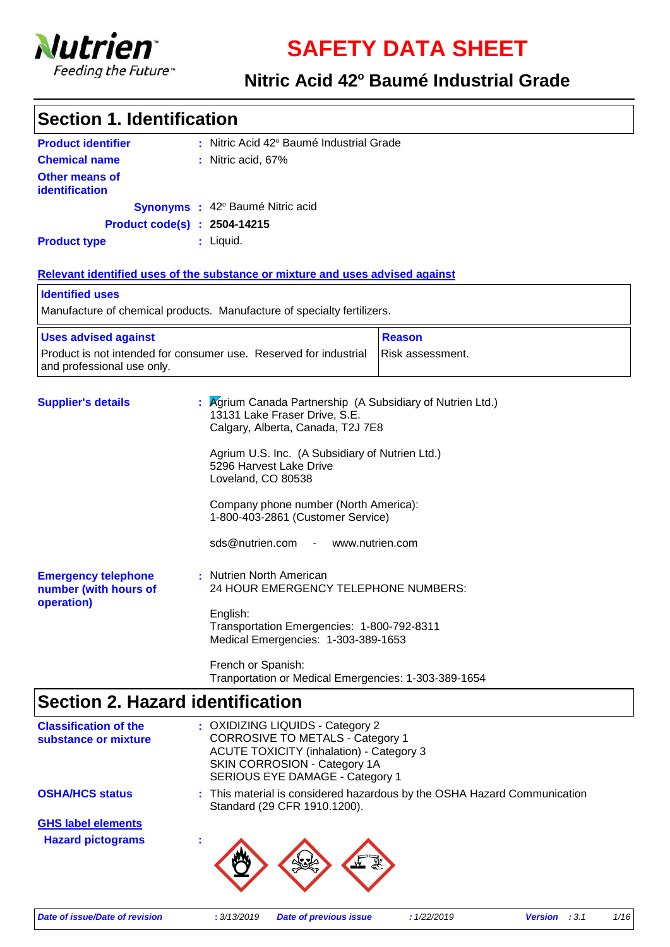

**SAFETY DATA SHEET**

#### **Nitric Acid 42° Baumé Industrial Grade**

| <b>Section 1. Identification</b>                                                                                    |                                                                                                                                                                                                                                    |  |  |  |
|---------------------------------------------------------------------------------------------------------------------|------------------------------------------------------------------------------------------------------------------------------------------------------------------------------------------------------------------------------------|--|--|--|
| <b>Product identifier</b>                                                                                           | : Nitric Acid 42° Baumé Industrial Grade                                                                                                                                                                                           |  |  |  |
| <b>Chemical name</b>                                                                                                | : Nitric acid, 67%                                                                                                                                                                                                                 |  |  |  |
| <b>Other means of</b><br>identification                                                                             |                                                                                                                                                                                                                                    |  |  |  |
|                                                                                                                     | Synonyms : 42° Baumé Nitric acid                                                                                                                                                                                                   |  |  |  |
|                                                                                                                     | <b>Product code(s) : 2504-14215</b>                                                                                                                                                                                                |  |  |  |
| <b>Product type</b>                                                                                                 | : Liquid.                                                                                                                                                                                                                          |  |  |  |
|                                                                                                                     | Relevant identified uses of the substance or mixture and uses advised against                                                                                                                                                      |  |  |  |
| <b>Identified uses</b>                                                                                              |                                                                                                                                                                                                                                    |  |  |  |
|                                                                                                                     | Manufacture of chemical products. Manufacture of specialty fertilizers.                                                                                                                                                            |  |  |  |
| <b>Uses advised against</b>                                                                                         | <b>Reason</b>                                                                                                                                                                                                                      |  |  |  |
| Product is not intended for consumer use. Reserved for industrial<br>Risk assessment.<br>and professional use only. |                                                                                                                                                                                                                                    |  |  |  |
| <b>Supplier's details</b>                                                                                           | Agrium Canada Partnership (A Subsidiary of Nutrien Ltd.)<br>13131 Lake Fraser Drive, S.E.<br>Calgary, Alberta, Canada, T2J 7E8<br>Agrium U.S. Inc. (A Subsidiary of Nutrien Ltd.)<br>5296 Harvest Lake Drive<br>Loveland, CO 80538 |  |  |  |
|                                                                                                                     | Company phone number (North America):<br>1-800-403-2861 (Customer Service)                                                                                                                                                         |  |  |  |
|                                                                                                                     | sds@nutrien.com -<br>www.nutrien.com                                                                                                                                                                                               |  |  |  |
| <b>Emergency telephone</b><br>number (with hours of                                                                 | : Nutrien North American<br>24 HOUR EMERGENCY TELEPHONE NUMBERS:                                                                                                                                                                   |  |  |  |
| operation)                                                                                                          | English:<br>Transportation Emergencies: 1-800-792-8311<br>Medical Emergencies: 1-303-389-1653                                                                                                                                      |  |  |  |
|                                                                                                                     | French or Spanish:<br>Tranportation or Medical Emergencies: 1-303-389-1654                                                                                                                                                         |  |  |  |
| <b>Section 2. Hazard identification</b>                                                                             |                                                                                                                                                                                                                                    |  |  |  |
| ooifiaatian.                                                                                                        | ∩VINIZINIC I I∩I IING ∴ Catagani 2                                                                                                                                                                                                 |  |  |  |

| <b>Classification of the</b><br>substance or mixture  | : OXIDIZING LIQUIDS - Category 2<br><b>CORROSIVE TO METALS - Category 1</b><br><b>ACUTE TOXICITY (inhalation) - Category 3</b><br>SKIN CORROSION - Category 1A<br>SERIOUS EYE DAMAGE - Category 1 |
|-------------------------------------------------------|---------------------------------------------------------------------------------------------------------------------------------------------------------------------------------------------------|
| <b>OSHA/HCS status</b>                                | : This material is considered hazardous by the OSHA Hazard Communication<br>Standard (29 CFR 1910.1200).                                                                                          |
| <b>GHS label elements</b><br><b>Hazard pictograms</b> |                                                                                                                                                                                                   |

*Date of issue/Date of revision* **:** *3/13/2019 Date of previous issue : 1/22/2019 Version : 3.1 1/16*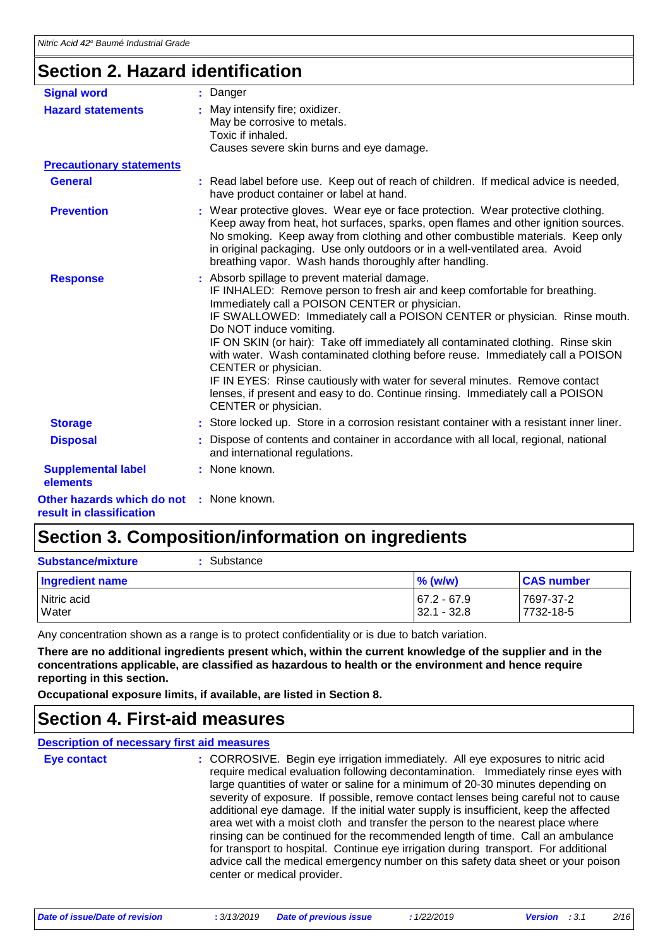### **Section 2. Hazard identification**

| <b>Signal word</b>                                     | : Danger                                                                                                                                                                                                                                                                                                                                                                                                                                                                                                                                                                                                                                                                     |  |
|--------------------------------------------------------|------------------------------------------------------------------------------------------------------------------------------------------------------------------------------------------------------------------------------------------------------------------------------------------------------------------------------------------------------------------------------------------------------------------------------------------------------------------------------------------------------------------------------------------------------------------------------------------------------------------------------------------------------------------------------|--|
| <b>Hazard statements</b>                               | May intensify fire; oxidizer.<br>May be corrosive to metals.<br>Toxic if inhaled.<br>Causes severe skin burns and eye damage.                                                                                                                                                                                                                                                                                                                                                                                                                                                                                                                                                |  |
| <b>Precautionary statements</b>                        |                                                                                                                                                                                                                                                                                                                                                                                                                                                                                                                                                                                                                                                                              |  |
| <b>General</b>                                         | : Read label before use. Keep out of reach of children. If medical advice is needed,<br>have product container or label at hand.                                                                                                                                                                                                                                                                                                                                                                                                                                                                                                                                             |  |
| <b>Prevention</b>                                      | : Wear protective gloves. Wear eye or face protection. Wear protective clothing.<br>Keep away from heat, hot surfaces, sparks, open flames and other ignition sources.<br>No smoking. Keep away from clothing and other combustible materials. Keep only<br>in original packaging. Use only outdoors or in a well-ventilated area. Avoid<br>breathing vapor. Wash hands thoroughly after handling.                                                                                                                                                                                                                                                                           |  |
| <b>Response</b>                                        | : Absorb spillage to prevent material damage.<br>IF INHALED: Remove person to fresh air and keep comfortable for breathing.<br>Immediately call a POISON CENTER or physician.<br>IF SWALLOWED: Immediately call a POISON CENTER or physician. Rinse mouth.<br>Do NOT induce vomiting.<br>IF ON SKIN (or hair): Take off immediately all contaminated clothing. Rinse skin<br>with water. Wash contaminated clothing before reuse. Immediately call a POISON<br>CENTER or physician.<br>IF IN EYES: Rinse cautiously with water for several minutes. Remove contact<br>lenses, if present and easy to do. Continue rinsing. Immediately call a POISON<br>CENTER or physician. |  |
| <b>Storage</b>                                         | : Store locked up. Store in a corrosion resistant container with a resistant inner liner.                                                                                                                                                                                                                                                                                                                                                                                                                                                                                                                                                                                    |  |
| <b>Disposal</b>                                        | Dispose of contents and container in accordance with all local, regional, national<br>and international regulations.                                                                                                                                                                                                                                                                                                                                                                                                                                                                                                                                                         |  |
| <b>Supplemental label</b><br>elements                  | : None known.                                                                                                                                                                                                                                                                                                                                                                                                                                                                                                                                                                                                                                                                |  |
| Other hazards which do not<br>result in classification | : None known.                                                                                                                                                                                                                                                                                                                                                                                                                                                                                                                                                                                                                                                                |  |

### **Section 3. Composition/information on ingredients**

: Substance

**Substance/mixture :**

| <b>Ingredient name</b> | $%$ (w/w)   | <b>CAS number</b> |
|------------------------|-------------|-------------------|
| Nitric acid            | 67.2 - 67.9 | 7697-37-2         |
| Water                  | 32.1 - 32.8 | 7732-18-5         |

Any concentration shown as a range is to protect confidentiality or is due to batch variation.

**There are no additional ingredients present which, within the current knowledge of the supplier and in the concentrations applicable, are classified as hazardous to health or the environment and hence require reporting in this section.**

**Occupational exposure limits, if available, are listed in Section 8.**

### **Section 4. First-aid measures**

**Description of necessary first aid measures**

CORROSIVE. Begin eye irrigation immediately. All eye exposures to nitric acid require medical evaluation following decontamination. Immediately rinse eyes with large quantities of water or saline for a minimum of 20-30 minutes depending on severity of exposure. If possible, remove contact lenses being careful not to cause additional eye damage. If the initial water supply is insufficient, keep the affected area wet with a moist cloth and transfer the person to the nearest place where rinsing can be continued for the recommended length of time. Call an ambulance for transport to hospital. Continue eye irrigation during transport. For additional advice call the medical emergency number on this safety data sheet or your poison center or medical provider. **Eye contact :**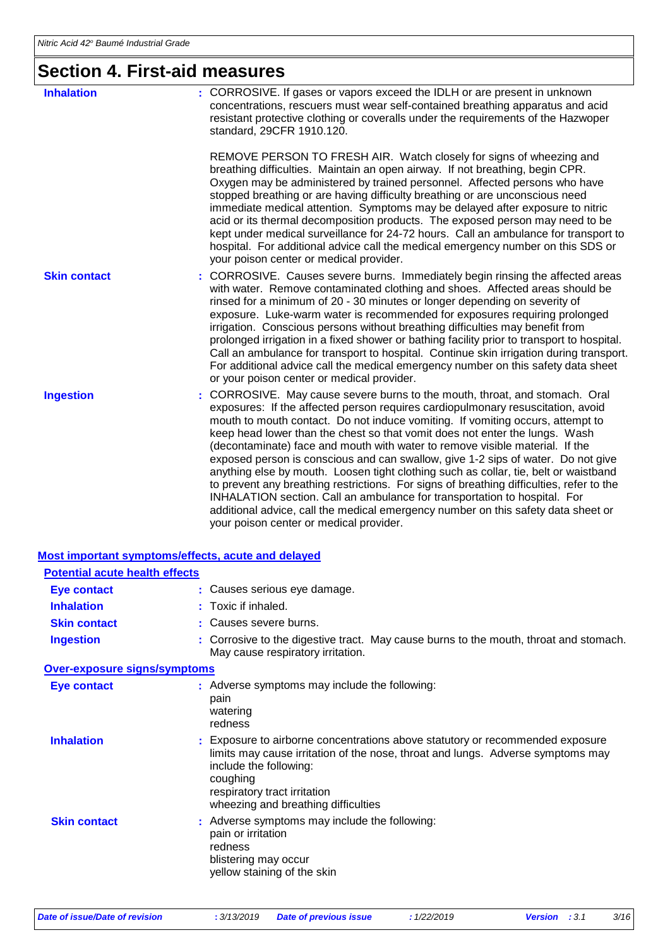### **Section 4. First-aid measures**

| ƏECUOLI 4. FIISL-dIU IIIEDSUIES                    |                                                                                                                                                                                                                                                                                                                                                                                                                                                                                                                                                                                                                                                                                                                                                                                                                                                                                                      |  |
|----------------------------------------------------|------------------------------------------------------------------------------------------------------------------------------------------------------------------------------------------------------------------------------------------------------------------------------------------------------------------------------------------------------------------------------------------------------------------------------------------------------------------------------------------------------------------------------------------------------------------------------------------------------------------------------------------------------------------------------------------------------------------------------------------------------------------------------------------------------------------------------------------------------------------------------------------------------|--|
| <b>Inhalation</b>                                  | : CORROSIVE. If gases or vapors exceed the IDLH or are present in unknown<br>concentrations, rescuers must wear self-contained breathing apparatus and acid<br>resistant protective clothing or coveralls under the requirements of the Hazwoper<br>standard, 29CFR 1910.120.                                                                                                                                                                                                                                                                                                                                                                                                                                                                                                                                                                                                                        |  |
|                                                    | REMOVE PERSON TO FRESH AIR. Watch closely for signs of wheezing and<br>breathing difficulties. Maintain an open airway. If not breathing, begin CPR.<br>Oxygen may be administered by trained personnel. Affected persons who have<br>stopped breathing or are having difficulty breathing or are unconscious need<br>immediate medical attention. Symptoms may be delayed after exposure to nitric<br>acid or its thermal decomposition products. The exposed person may need to be<br>kept under medical surveillance for 24-72 hours. Call an ambulance for transport to<br>hospital. For additional advice call the medical emergency number on this SDS or<br>your poison center or medical provider.                                                                                                                                                                                           |  |
| <b>Skin contact</b>                                | : CORROSIVE. Causes severe burns. Immediately begin rinsing the affected areas<br>with water. Remove contaminated clothing and shoes. Affected areas should be<br>rinsed for a minimum of 20 - 30 minutes or longer depending on severity of<br>exposure. Luke-warm water is recommended for exposures requiring prolonged<br>irrigation. Conscious persons without breathing difficulties may benefit from<br>prolonged irrigation in a fixed shower or bathing facility prior to transport to hospital.<br>Call an ambulance for transport to hospital. Continue skin irrigation during transport.<br>For additional advice call the medical emergency number on this safety data sheet<br>or your poison center or medical provider.                                                                                                                                                              |  |
| <b>Ingestion</b>                                   | : CORROSIVE. May cause severe burns to the mouth, throat, and stomach. Oral<br>exposures: If the affected person requires cardiopulmonary resuscitation, avoid<br>mouth to mouth contact. Do not induce vomiting. If vomiting occurs, attempt to<br>keep head lower than the chest so that vomit does not enter the lungs. Wash<br>(decontaminate) face and mouth with water to remove visible material. If the<br>exposed person is conscious and can swallow, give 1-2 sips of water. Do not give<br>anything else by mouth. Loosen tight clothing such as collar, tie, belt or waistband<br>to prevent any breathing restrictions. For signs of breathing difficulties, refer to the<br>INHALATION section. Call an ambulance for transportation to hospital. For<br>additional advice, call the medical emergency number on this safety data sheet or<br>your poison center or medical provider. |  |
| Most important symptoms/effects, acute and delayed |                                                                                                                                                                                                                                                                                                                                                                                                                                                                                                                                                                                                                                                                                                                                                                                                                                                                                                      |  |
| <b>Potential acute health effects</b>              |                                                                                                                                                                                                                                                                                                                                                                                                                                                                                                                                                                                                                                                                                                                                                                                                                                                                                                      |  |
| <b>Eye contact</b>                                 | Causes serious eye damage.                                                                                                                                                                                                                                                                                                                                                                                                                                                                                                                                                                                                                                                                                                                                                                                                                                                                           |  |
| <b>Inhalation</b>                                  | Toxic if inhaled.                                                                                                                                                                                                                                                                                                                                                                                                                                                                                                                                                                                                                                                                                                                                                                                                                                                                                    |  |
| <b>Skin contact</b>                                | Causes severe burns.                                                                                                                                                                                                                                                                                                                                                                                                                                                                                                                                                                                                                                                                                                                                                                                                                                                                                 |  |
| <b>Ingestion</b>                                   | Corrosive to the digestive tract. May cause burns to the mouth, throat and stomach.<br>May cause respiratory irritation.                                                                                                                                                                                                                                                                                                                                                                                                                                                                                                                                                                                                                                                                                                                                                                             |  |
| <b>Over-exposure signs/symptoms</b>                |                                                                                                                                                                                                                                                                                                                                                                                                                                                                                                                                                                                                                                                                                                                                                                                                                                                                                                      |  |
| <b>Eye contact</b>                                 | : Adverse symptoms may include the following:<br>pain<br>watering<br>redness                                                                                                                                                                                                                                                                                                                                                                                                                                                                                                                                                                                                                                                                                                                                                                                                                         |  |
| <b>Inhalation</b>                                  | Exposure to airborne concentrations above statutory or recommended exposure<br>limits may cause irritation of the nose, throat and lungs. Adverse symptoms may<br>include the following:<br>coughing<br>respiratory tract irritation<br>wheezing and breathing difficulties                                                                                                                                                                                                                                                                                                                                                                                                                                                                                                                                                                                                                          |  |
| <b>Skin contact</b>                                | Adverse symptoms may include the following:<br>pain or irritation<br>redness                                                                                                                                                                                                                                                                                                                                                                                                                                                                                                                                                                                                                                                                                                                                                                                                                         |  |

blistering may occur yellow staining of the skin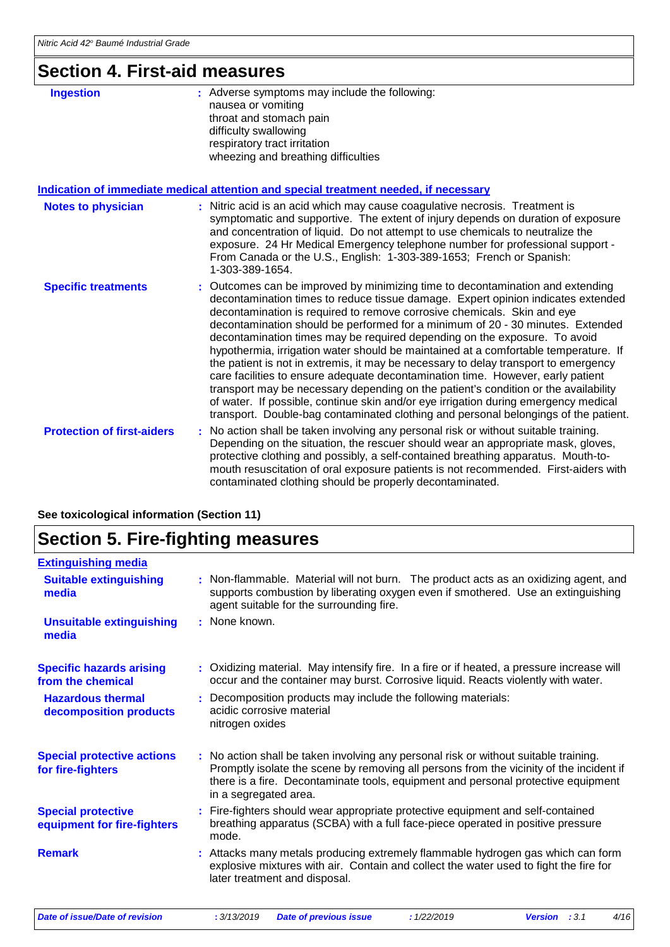### **Section 4. First-aid measures**

| <b>Ingestion</b>                  | : Adverse symptoms may include the following:<br>nausea or vomiting<br>throat and stomach pain<br>difficulty swallowing<br>respiratory tract irritation<br>wheezing and breathing difficulties                                                                                                                                                                                                                                                                                                                                                                                                                                                                                                                                                                                                                                                                                                                                                     |
|-----------------------------------|----------------------------------------------------------------------------------------------------------------------------------------------------------------------------------------------------------------------------------------------------------------------------------------------------------------------------------------------------------------------------------------------------------------------------------------------------------------------------------------------------------------------------------------------------------------------------------------------------------------------------------------------------------------------------------------------------------------------------------------------------------------------------------------------------------------------------------------------------------------------------------------------------------------------------------------------------|
|                                   | Indication of immediate medical attention and special treatment needed, if necessary                                                                                                                                                                                                                                                                                                                                                                                                                                                                                                                                                                                                                                                                                                                                                                                                                                                               |
| <b>Notes to physician</b>         | : Nitric acid is an acid which may cause coagulative necrosis. Treatment is<br>symptomatic and supportive. The extent of injury depends on duration of exposure<br>and concentration of liquid. Do not attempt to use chemicals to neutralize the<br>exposure. 24 Hr Medical Emergency telephone number for professional support -<br>From Canada or the U.S., English: 1-303-389-1653; French or Spanish:<br>1-303-389-1654.                                                                                                                                                                                                                                                                                                                                                                                                                                                                                                                      |
| <b>Specific treatments</b>        | : Outcomes can be improved by minimizing time to decontamination and extending<br>decontamination times to reduce tissue damage. Expert opinion indicates extended<br>decontamination is required to remove corrosive chemicals. Skin and eye<br>decontamination should be performed for a minimum of 20 - 30 minutes. Extended<br>decontamination times may be required depending on the exposure. To avoid<br>hypothermia, irrigation water should be maintained at a comfortable temperature. If<br>the patient is not in extremis, it may be necessary to delay transport to emergency<br>care facilities to ensure adequate decontamination time. However, early patient<br>transport may be necessary depending on the patient's condition or the availability<br>of water. If possible, continue skin and/or eye irrigation during emergency medical<br>transport. Double-bag contaminated clothing and personal belongings of the patient. |
| <b>Protection of first-aiders</b> | No action shall be taken involving any personal risk or without suitable training.<br>÷.<br>Depending on the situation, the rescuer should wear an appropriate mask, gloves,<br>protective clothing and possibly, a self-contained breathing apparatus. Mouth-to-<br>mouth resuscitation of oral exposure patients is not recommended. First-aiders with<br>contaminated clothing should be properly decontaminated.                                                                                                                                                                                                                                                                                                                                                                                                                                                                                                                               |

**See toxicological information (Section 11)**

### **Section 5. Fire-fighting measures**

| <b>Extinguishing media</b>                               |                                                                                                                                                                                                                                                                                               |  |  |  |
|----------------------------------------------------------|-----------------------------------------------------------------------------------------------------------------------------------------------------------------------------------------------------------------------------------------------------------------------------------------------|--|--|--|
| <b>Suitable extinguishing</b><br>media                   | : Non-flammable. Material will not burn. The product acts as an oxidizing agent, and<br>supports combustion by liberating oxygen even if smothered. Use an extinguishing<br>agent suitable for the surrounding fire.                                                                          |  |  |  |
| <b>Unsuitable extinguishing</b><br>media                 | : None known.                                                                                                                                                                                                                                                                                 |  |  |  |
| <b>Specific hazards arising</b><br>from the chemical     | : Oxidizing material. May intensify fire. In a fire or if heated, a pressure increase will<br>occur and the container may burst. Corrosive liquid. Reacts violently with water.                                                                                                               |  |  |  |
| <b>Hazardous thermal</b><br>decomposition products       | : Decomposition products may include the following materials:<br>acidic corrosive material<br>nitrogen oxides                                                                                                                                                                                 |  |  |  |
| <b>Special protective actions</b><br>for fire-fighters   | : No action shall be taken involving any personal risk or without suitable training.<br>Promptly isolate the scene by removing all persons from the vicinity of the incident if<br>there is a fire. Decontaminate tools, equipment and personal protective equipment<br>in a segregated area. |  |  |  |
| <b>Special protective</b><br>equipment for fire-fighters | : Fire-fighters should wear appropriate protective equipment and self-contained<br>breathing apparatus (SCBA) with a full face-piece operated in positive pressure<br>mode.                                                                                                                   |  |  |  |
| <b>Remark</b>                                            | : Attacks many metals producing extremely flammable hydrogen gas which can form<br>explosive mixtures with air. Contain and collect the water used to fight the fire for<br>later treatment and disposal.                                                                                     |  |  |  |
|                                                          |                                                                                                                                                                                                                                                                                               |  |  |  |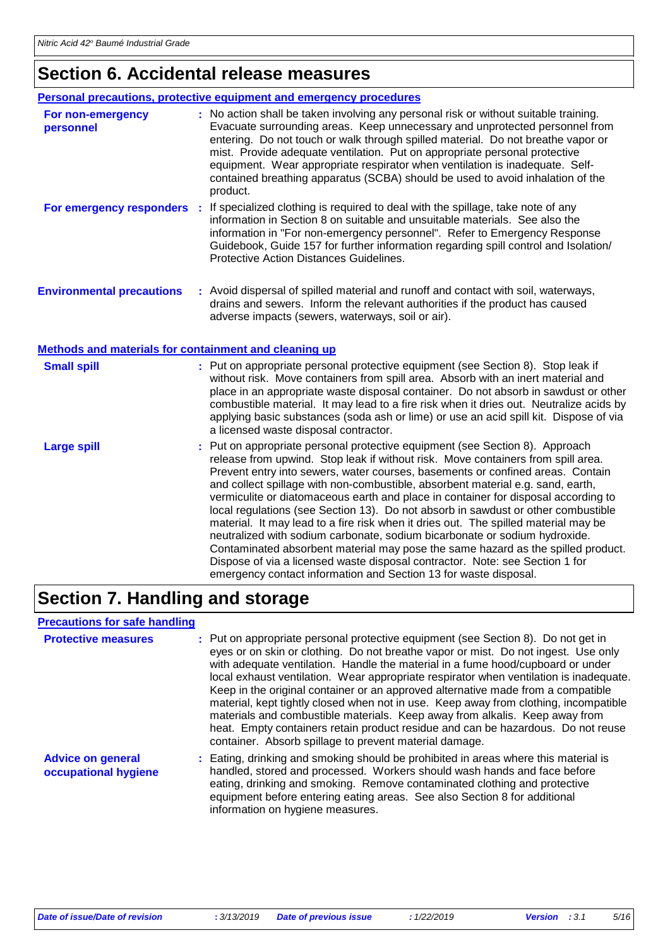### **Section 6. Accidental release measures**

| Personal precautions, protective equipment and emergency procedures |  |                                                                                                                                                                                                                                                                                                                                                                                                                                                                                                                     |  |
|---------------------------------------------------------------------|--|---------------------------------------------------------------------------------------------------------------------------------------------------------------------------------------------------------------------------------------------------------------------------------------------------------------------------------------------------------------------------------------------------------------------------------------------------------------------------------------------------------------------|--|
| For non-emergency<br>personnel                                      |  | : No action shall be taken involving any personal risk or without suitable training.<br>Evacuate surrounding areas. Keep unnecessary and unprotected personnel from<br>entering. Do not touch or walk through spilled material. Do not breathe vapor or<br>mist. Provide adequate ventilation. Put on appropriate personal protective<br>equipment. Wear appropriate respirator when ventilation is inadequate. Self-<br>contained breathing apparatus (SCBA) should be used to avoid inhalation of the<br>product. |  |
| For emergency responders                                            |  | If specialized clothing is required to deal with the spillage, take note of any<br>information in Section 8 on suitable and unsuitable materials. See also the<br>information in "For non-emergency personnel". Refer to Emergency Response<br>Guidebook, Guide 157 for further information regarding spill control and Isolation/<br>Protective Action Distances Guidelines.                                                                                                                                       |  |
| <b>Environmental precautions</b>                                    |  | : Avoid dispersal of spilled material and runoff and contact with soil, waterways,<br>drains and sewers. Inform the relevant authorities if the product has caused<br>adverse impacts (sewers, waterways, soil or air).                                                                                                                                                                                                                                                                                             |  |

#### **Methods and materials for containment and cleaning up**

| <b>Small spill</b> | : Put on appropriate personal protective equipment (see Section 8). Stop leak if<br>without risk. Move containers from spill area. Absorb with an inert material and<br>place in an appropriate waste disposal container. Do not absorb in sawdust or other<br>combustible material. It may lead to a fire risk when it dries out. Neutralize acids by<br>applying basic substances (soda ash or lime) or use an acid spill kit. Dispose of via<br>a licensed waste disposal contractor.                                                                                                                                                                                                                                                                                                                                                                                                                                      |
|--------------------|-------------------------------------------------------------------------------------------------------------------------------------------------------------------------------------------------------------------------------------------------------------------------------------------------------------------------------------------------------------------------------------------------------------------------------------------------------------------------------------------------------------------------------------------------------------------------------------------------------------------------------------------------------------------------------------------------------------------------------------------------------------------------------------------------------------------------------------------------------------------------------------------------------------------------------|
| <b>Large spill</b> | : Put on appropriate personal protective equipment (see Section 8). Approach<br>release from upwind. Stop leak if without risk. Move containers from spill area.<br>Prevent entry into sewers, water courses, basements or confined areas. Contain<br>and collect spillage with non-combustible, absorbent material e.g. sand, earth,<br>vermiculite or diatomaceous earth and place in container for disposal according to<br>local regulations (see Section 13). Do not absorb in sawdust or other combustible<br>material. It may lead to a fire risk when it dries out. The spilled material may be<br>neutralized with sodium carbonate, sodium bicarbonate or sodium hydroxide.<br>Contaminated absorbent material may pose the same hazard as the spilled product.<br>Dispose of via a licensed waste disposal contractor. Note: see Section 1 for<br>emergency contact information and Section 13 for waste disposal. |

### **Section 7. Handling and storage**

#### **Precautions for safe handling**

| <b>Protective measures</b>                       | : Put on appropriate personal protective equipment (see Section 8). Do not get in<br>eyes or on skin or clothing. Do not breathe vapor or mist. Do not ingest. Use only<br>with adequate ventilation. Handle the material in a fume hood/cupboard or under<br>local exhaust ventilation. Wear appropriate respirator when ventilation is inadequate.<br>Keep in the original container or an approved alternative made from a compatible<br>material, kept tightly closed when not in use. Keep away from clothing, incompatible<br>materials and combustible materials. Keep away from alkalis. Keep away from<br>heat. Empty containers retain product residue and can be hazardous. Do not reuse<br>container. Absorb spillage to prevent material damage. |
|--------------------------------------------------|---------------------------------------------------------------------------------------------------------------------------------------------------------------------------------------------------------------------------------------------------------------------------------------------------------------------------------------------------------------------------------------------------------------------------------------------------------------------------------------------------------------------------------------------------------------------------------------------------------------------------------------------------------------------------------------------------------------------------------------------------------------|
| <b>Advice on general</b><br>occupational hygiene | : Eating, drinking and smoking should be prohibited in areas where this material is<br>handled, stored and processed. Workers should wash hands and face before<br>eating, drinking and smoking. Remove contaminated clothing and protective<br>equipment before entering eating areas. See also Section 8 for additional<br>information on hygiene measures.                                                                                                                                                                                                                                                                                                                                                                                                 |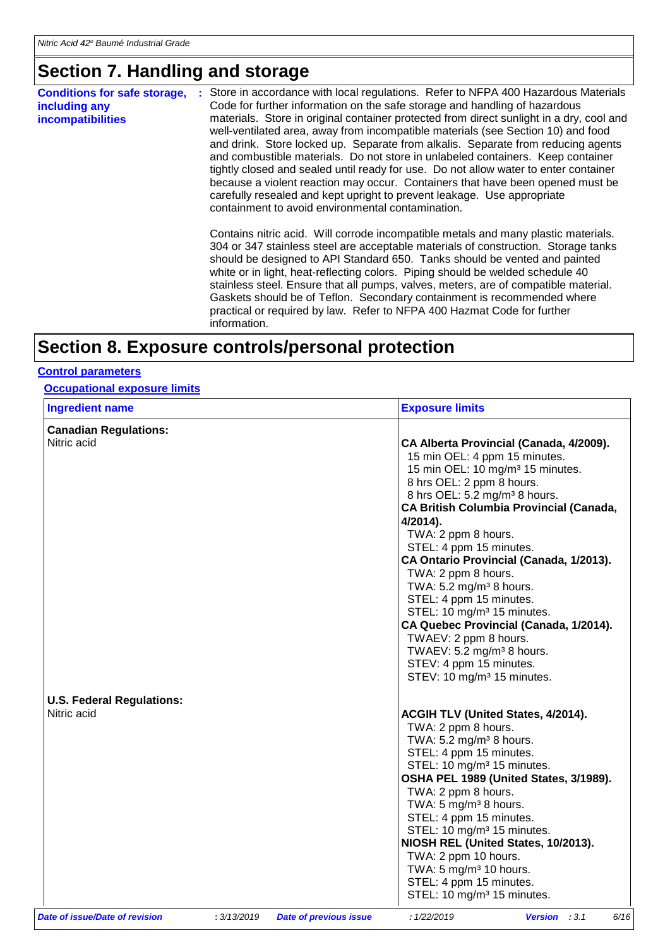### **Section 7. Handling and storage**

| <b>Conditions for safe storage,</b><br>including any<br><b>incompatibilities</b> | Store in accordance with local regulations. Refer to NFPA 400 Hazardous Materials<br>Code for further information on the safe storage and handling of hazardous<br>materials. Store in original container protected from direct sunlight in a dry, cool and<br>well-ventilated area, away from incompatible materials (see Section 10) and food<br>and drink. Store locked up. Separate from alkalis. Separate from reducing agents<br>and combustible materials. Do not store in unlabeled containers. Keep container<br>tightly closed and sealed until ready for use. Do not allow water to enter container<br>because a violent reaction may occur. Containers that have been opened must be<br>carefully resealed and kept upright to prevent leakage. Use appropriate<br>containment to avoid environmental contamination. |
|----------------------------------------------------------------------------------|----------------------------------------------------------------------------------------------------------------------------------------------------------------------------------------------------------------------------------------------------------------------------------------------------------------------------------------------------------------------------------------------------------------------------------------------------------------------------------------------------------------------------------------------------------------------------------------------------------------------------------------------------------------------------------------------------------------------------------------------------------------------------------------------------------------------------------|
|                                                                                  | Contains nitric acid. Will corrode incompatible metals and many plastic materials.<br>304 or 347 stainless steel are acceptable materials of construction. Storage tanks<br>should be designed to API Standard 650. Tanks should be vented and painted<br>white or in light, heat-reflecting colors. Piping should be welded schedule 40<br>stainless steel. Ensure that all pumps, valves, meters, are of compatible material.<br>Gaskets should be of Teflon. Secondary containment is recommended where<br>practical or required by law. Refer to NFPA 400 Hazmat Code for further<br>information.                                                                                                                                                                                                                            |
|                                                                                  |                                                                                                                                                                                                                                                                                                                                                                                                                                                                                                                                                                                                                                                                                                                                                                                                                                  |

## **Section 8. Exposure controls/personal protection**

#### **Control parameters**

**Occupational exposure limits**

| <b>Ingredient name</b>                          |             |                               | <b>Exposure limits</b>                                                                                                                                                                                                                                                                                                                                                                                                                                                                                                                                                                                                                                                              |
|-------------------------------------------------|-------------|-------------------------------|-------------------------------------------------------------------------------------------------------------------------------------------------------------------------------------------------------------------------------------------------------------------------------------------------------------------------------------------------------------------------------------------------------------------------------------------------------------------------------------------------------------------------------------------------------------------------------------------------------------------------------------------------------------------------------------|
| <b>Canadian Regulations:</b>                    |             |                               |                                                                                                                                                                                                                                                                                                                                                                                                                                                                                                                                                                                                                                                                                     |
| Nitric acid                                     |             |                               | CA Alberta Provincial (Canada, 4/2009).<br>15 min OEL: 4 ppm 15 minutes.<br>15 min OEL: 10 mg/m <sup>3</sup> 15 minutes.<br>8 hrs OEL: 2 ppm 8 hours.<br>8 hrs OEL: 5.2 mg/m <sup>3</sup> 8 hours.<br><b>CA British Columbia Provincial (Canada,</b><br>$4/2014$ ).<br>TWA: 2 ppm 8 hours.<br>STEL: 4 ppm 15 minutes.<br>CA Ontario Provincial (Canada, 1/2013).<br>TWA: 2 ppm 8 hours.<br>TWA: $5.2 \text{ mg/m}^3$ 8 hours.<br>STEL: 4 ppm 15 minutes.<br>STEL: 10 mg/m <sup>3</sup> 15 minutes.<br>CA Quebec Provincial (Canada, 1/2014).<br>TWAEV: 2 ppm 8 hours.<br>TWAEV: 5.2 mg/m <sup>3</sup> 8 hours.<br>STEV: 4 ppm 15 minutes.<br>STEV: 10 mg/m <sup>3</sup> 15 minutes. |
| <b>U.S. Federal Regulations:</b><br>Nitric acid |             |                               | ACGIH TLV (United States, 4/2014).<br>TWA: 2 ppm 8 hours.<br>TWA: $5.2 \text{ mg/m}^3$ 8 hours.<br>STEL: 4 ppm 15 minutes.<br>STEL: 10 mg/m <sup>3</sup> 15 minutes.<br>OSHA PEL 1989 (United States, 3/1989).<br>TWA: 2 ppm 8 hours.<br>TWA: 5 mg/m <sup>3</sup> 8 hours.<br>STEL: 4 ppm 15 minutes.<br>STEL: 10 mg/m <sup>3</sup> 15 minutes.<br>NIOSH REL (United States, 10/2013).<br>TWA: 2 ppm 10 hours.<br>TWA: $5 \text{ mg/m}^3$ 10 hours.<br>STEL: 4 ppm 15 minutes.<br>STEL: 10 mg/m <sup>3</sup> 15 minutes.                                                                                                                                                            |
| Date of issue/Date of revision                  | : 3/13/2019 | <b>Date of previous issue</b> | 6/16<br>: 1/22/2019<br><b>Version</b> : $3.1$                                                                                                                                                                                                                                                                                                                                                                                                                                                                                                                                                                                                                                       |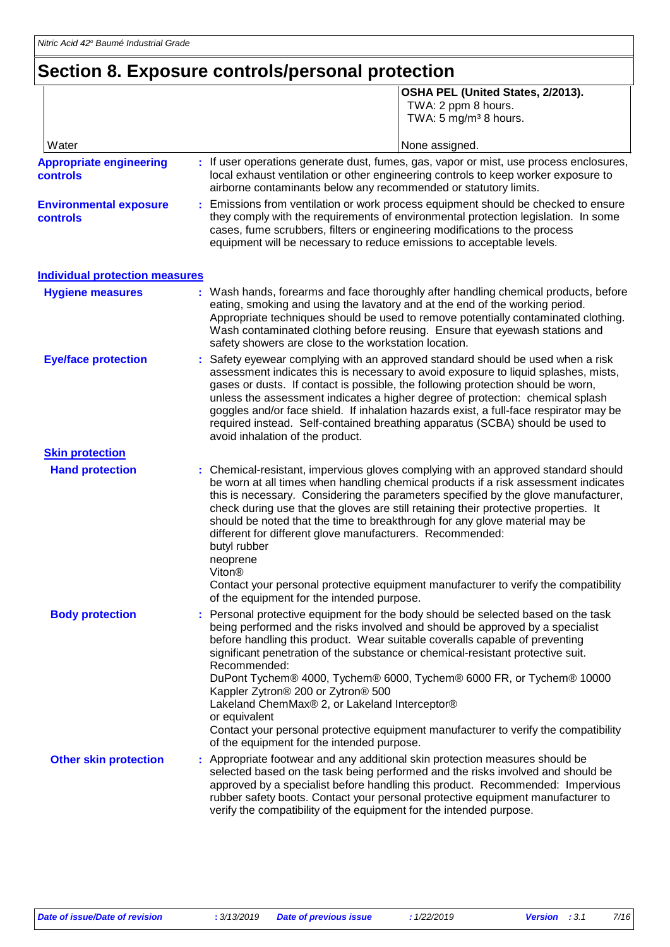## **Section 8. Exposure controls/personal protection**

|                                                   | OSHA PEL (United States, 2/2013).<br>TWA: 2 ppm 8 hours.<br>TWA: 5 mg/m <sup>3</sup> 8 hours.                                                                                                                                                                                                                                                                                                                                                                                                                                                                                                                                                                                              |
|---------------------------------------------------|--------------------------------------------------------------------------------------------------------------------------------------------------------------------------------------------------------------------------------------------------------------------------------------------------------------------------------------------------------------------------------------------------------------------------------------------------------------------------------------------------------------------------------------------------------------------------------------------------------------------------------------------------------------------------------------------|
| Water                                             | None assigned.                                                                                                                                                                                                                                                                                                                                                                                                                                                                                                                                                                                                                                                                             |
| <b>Appropriate engineering</b><br><b>controls</b> | : If user operations generate dust, fumes, gas, vapor or mist, use process enclosures,<br>local exhaust ventilation or other engineering controls to keep worker exposure to<br>airborne contaminants below any recommended or statutory limits.                                                                                                                                                                                                                                                                                                                                                                                                                                           |
| <b>Environmental exposure</b><br><b>controls</b>  | Emissions from ventilation or work process equipment should be checked to ensure<br>they comply with the requirements of environmental protection legislation. In some<br>cases, fume scrubbers, filters or engineering modifications to the process<br>equipment will be necessary to reduce emissions to acceptable levels.                                                                                                                                                                                                                                                                                                                                                              |
| <b>Individual protection measures</b>             |                                                                                                                                                                                                                                                                                                                                                                                                                                                                                                                                                                                                                                                                                            |
| <b>Hygiene measures</b>                           | : Wash hands, forearms and face thoroughly after handling chemical products, before<br>eating, smoking and using the lavatory and at the end of the working period.<br>Appropriate techniques should be used to remove potentially contaminated clothing.<br>Wash contaminated clothing before reusing. Ensure that eyewash stations and<br>safety showers are close to the workstation location.                                                                                                                                                                                                                                                                                          |
| <b>Eye/face protection</b>                        | Safety eyewear complying with an approved standard should be used when a risk<br>assessment indicates this is necessary to avoid exposure to liquid splashes, mists,<br>gases or dusts. If contact is possible, the following protection should be worn,<br>unless the assessment indicates a higher degree of protection: chemical splash<br>goggles and/or face shield. If inhalation hazards exist, a full-face respirator may be<br>required instead. Self-contained breathing apparatus (SCBA) should be used to<br>avoid inhalation of the product.                                                                                                                                  |
| <b>Skin protection</b>                            |                                                                                                                                                                                                                                                                                                                                                                                                                                                                                                                                                                                                                                                                                            |
| <b>Hand protection</b>                            | : Chemical-resistant, impervious gloves complying with an approved standard should<br>be worn at all times when handling chemical products if a risk assessment indicates<br>this is necessary. Considering the parameters specified by the glove manufacturer,<br>check during use that the gloves are still retaining their protective properties. It<br>should be noted that the time to breakthrough for any glove material may be<br>different for different glove manufacturers. Recommended:<br>butyl rubber<br>neoprene<br>Viton <sup>®</sup><br>Contact your personal protective equipment manufacturer to verify the compatibility<br>of the equipment for the intended purpose. |
| <b>Body protection</b>                            | Personal protective equipment for the body should be selected based on the task<br>being performed and the risks involved and should be approved by a specialist<br>before handling this product. Wear suitable coveralls capable of preventing<br>significant penetration of the substance or chemical-resistant protective suit.<br>Recommended:<br>DuPont Tychem® 4000, Tychem® 6000, Tychem® 6000 FR, or Tychem® 10000<br>Kappler Zytron® 200 or Zytron® 500<br>Lakeland ChemMax® 2, or Lakeland Interceptor®<br>or equivalent<br>Contact your personal protective equipment manufacturer to verify the compatibility<br>of the equipment for the intended purpose.                    |
| <b>Other skin protection</b>                      | : Appropriate footwear and any additional skin protection measures should be<br>selected based on the task being performed and the risks involved and should be<br>approved by a specialist before handling this product. Recommended: Impervious<br>rubber safety boots. Contact your personal protective equipment manufacturer to<br>verify the compatibility of the equipment for the intended purpose.                                                                                                                                                                                                                                                                                |

П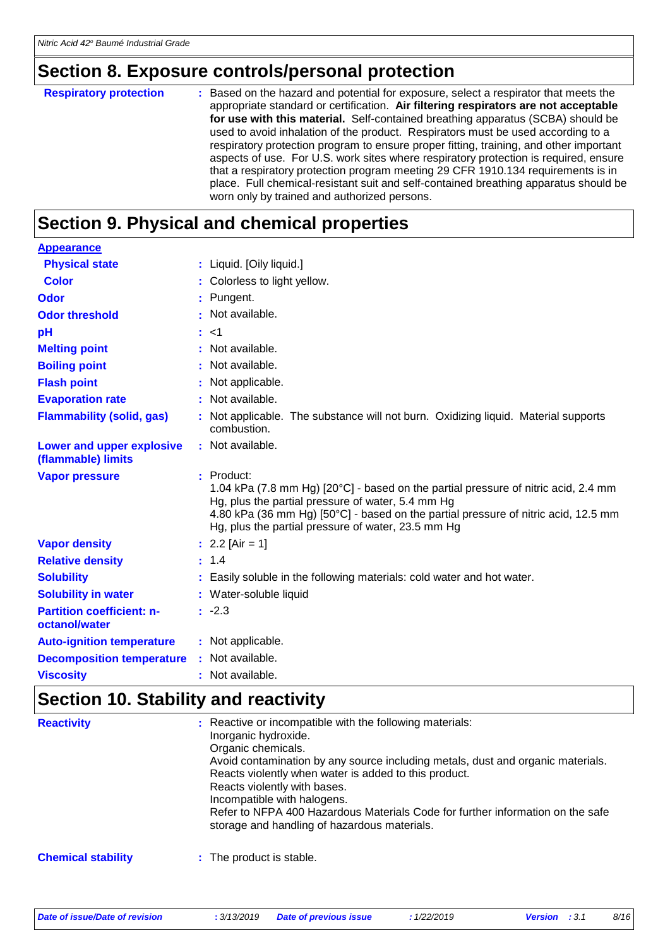## **Section 8. Exposure controls/personal protection**

| : Based on the hazard and potential for exposure, select a respirator that meets the<br><b>Respiratory protection</b><br>appropriate standard or certification. Air filtering respirators are not acceptable<br>for use with this material. Self-contained breathing apparatus (SCBA) should be<br>used to avoid inhalation of the product. Respirators must be used according to a<br>respiratory protection program to ensure proper fitting, training, and other important<br>aspects of use. For U.S. work sites where respiratory protection is required, ensure<br>that a respiratory protection program meeting 29 CFR 1910.134 requirements is in<br>place. Full chemical-resistant suit and self-contained breathing apparatus should be<br>worn only by trained and authorized persons. |
|---------------------------------------------------------------------------------------------------------------------------------------------------------------------------------------------------------------------------------------------------------------------------------------------------------------------------------------------------------------------------------------------------------------------------------------------------------------------------------------------------------------------------------------------------------------------------------------------------------------------------------------------------------------------------------------------------------------------------------------------------------------------------------------------------|
|                                                                                                                                                                                                                                                                                                                                                                                                                                                                                                                                                                                                                                                                                                                                                                                                   |

## **Section 9. Physical and chemical properties**

| <b>Appearance</b>                                 |                                                                                                                                                                                                                                                                                                     |
|---------------------------------------------------|-----------------------------------------------------------------------------------------------------------------------------------------------------------------------------------------------------------------------------------------------------------------------------------------------------|
| <b>Physical state</b>                             | : Liquid. [Oily liquid.]                                                                                                                                                                                                                                                                            |
| <b>Color</b>                                      | : Colorless to light yellow.                                                                                                                                                                                                                                                                        |
| <b>Odor</b>                                       | : Pungent.                                                                                                                                                                                                                                                                                          |
| <b>Odor threshold</b>                             | : Not available.                                                                                                                                                                                                                                                                                    |
| pH                                                | : < 1                                                                                                                                                                                                                                                                                               |
| <b>Melting point</b>                              | : Not available.                                                                                                                                                                                                                                                                                    |
| <b>Boiling point</b>                              | : Not available.                                                                                                                                                                                                                                                                                    |
| <b>Flash point</b>                                | : Not applicable.                                                                                                                                                                                                                                                                                   |
| <b>Evaporation rate</b>                           | : Not available.                                                                                                                                                                                                                                                                                    |
| <b>Flammability (solid, gas)</b>                  | : Not applicable. The substance will not burn. Oxidizing liquid. Material supports<br>combustion.                                                                                                                                                                                                   |
| Lower and upper explosive<br>(flammable) limits   | : Not available.                                                                                                                                                                                                                                                                                    |
| <b>Vapor pressure</b>                             | $:$ Product:<br>1.04 kPa (7.8 mm Hg) [20°C] - based on the partial pressure of nitric acid, 2.4 mm<br>Hg, plus the partial pressure of water, 5.4 mm Hg<br>4.80 kPa (36 mm Hg) [50°C] - based on the partial pressure of nitric acid, 12.5 mm<br>Hg, plus the partial pressure of water, 23.5 mm Hg |
| <b>Vapor density</b>                              | : $2.2$ [Air = 1]                                                                                                                                                                                                                                                                                   |
| <b>Relative density</b>                           | : 1.4                                                                                                                                                                                                                                                                                               |
| <b>Solubility</b>                                 | Easily soluble in the following materials: cold water and hot water.                                                                                                                                                                                                                                |
| <b>Solubility in water</b>                        | : Water-soluble liquid                                                                                                                                                                                                                                                                              |
| <b>Partition coefficient: n-</b><br>octanol/water | $: -2.3$                                                                                                                                                                                                                                                                                            |
| <b>Auto-ignition temperature</b>                  | : Not applicable.                                                                                                                                                                                                                                                                                   |
| <b>Decomposition temperature</b>                  | : Not available.                                                                                                                                                                                                                                                                                    |
| <b>Viscosity</b>                                  | : Not available.                                                                                                                                                                                                                                                                                    |

### **Section 10. Stability and reactivity**

| <b>Reactivity</b>         | : Reactive or incompatible with the following materials:<br>Inorganic hydroxide.<br>Organic chemicals.<br>Avoid contamination by any source including metals, dust and organic materials.<br>Reacts violently when water is added to this product.<br>Reacts violently with bases.<br>Incompatible with halogens.<br>Refer to NFPA 400 Hazardous Materials Code for further information on the safe<br>storage and handling of hazardous materials. |
|---------------------------|-----------------------------------------------------------------------------------------------------------------------------------------------------------------------------------------------------------------------------------------------------------------------------------------------------------------------------------------------------------------------------------------------------------------------------------------------------|
| <b>Chemical stability</b> | : The product is stable.                                                                                                                                                                                                                                                                                                                                                                                                                            |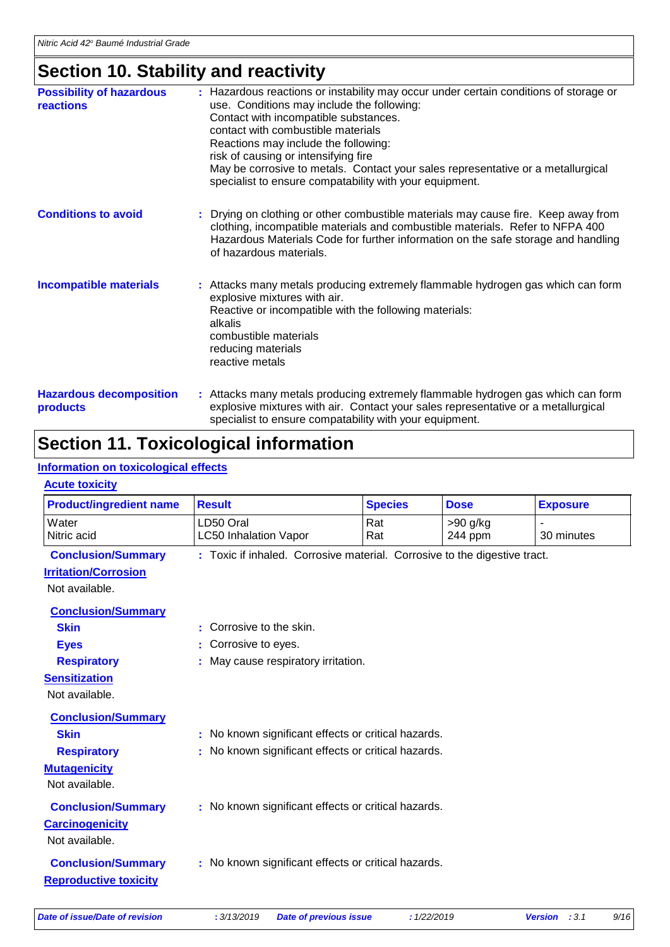### **Section 10. Stability and reactivity**

| <b>Possibility of hazardous</b><br>reactions | : Hazardous reactions or instability may occur under certain conditions of storage or<br>use. Conditions may include the following:<br>Contact with incompatible substances.<br>contact with combustible materials<br>Reactions may include the following:<br>risk of causing or intensifying fire<br>May be corrosive to metals. Contact your sales representative or a metallurgical<br>specialist to ensure compatability with your equipment. |
|----------------------------------------------|---------------------------------------------------------------------------------------------------------------------------------------------------------------------------------------------------------------------------------------------------------------------------------------------------------------------------------------------------------------------------------------------------------------------------------------------------|
| <b>Conditions to avoid</b>                   | : Drying on clothing or other combustible materials may cause fire. Keep away from<br>clothing, incompatible materials and combustible materials. Refer to NFPA 400<br>Hazardous Materials Code for further information on the safe storage and handling<br>of hazardous materials.                                                                                                                                                               |
| <b>Incompatible materials</b>                | : Attacks many metals producing extremely flammable hydrogen gas which can form<br>explosive mixtures with air.<br>Reactive or incompatible with the following materials:<br>alkalis<br>combustible materials<br>reducing materials<br>reactive metals                                                                                                                                                                                            |
| <b>Hazardous decomposition</b><br>products   | : Attacks many metals producing extremely flammable hydrogen gas which can form<br>explosive mixtures with air. Contact your sales representative or a metallurgical<br>specialist to ensure compatability with your equipment.                                                                                                                                                                                                                   |

### **Section 11. Toxicological information**

#### **Information on toxicological effects**

#### **Acute toxicity**

| <b>Product/ingredient name</b> | <b>Result</b>                                                             | <b>Species</b>                    | <b>Dose</b> | <b>Exposure</b> |  |
|--------------------------------|---------------------------------------------------------------------------|-----------------------------------|-------------|-----------------|--|
| Water                          | LD50 Oral                                                                 | Rat                               | $>90$ g/kg  |                 |  |
| Nitric acid                    | <b>LC50 Inhalation Vapor</b>                                              | Rat                               | 244 ppm     | 30 minutes      |  |
| <b>Conclusion/Summary</b>      | : Toxic if inhaled. Corrosive material. Corrosive to the digestive tract. |                                   |             |                 |  |
| <b>Irritation/Corrosion</b>    |                                                                           |                                   |             |                 |  |
| Not available.                 |                                                                           |                                   |             |                 |  |
| <b>Conclusion/Summary</b>      |                                                                           |                                   |             |                 |  |
| <b>Skin</b>                    | Corrosive to the skin.<br>٠                                               |                                   |             |                 |  |
| <b>Eyes</b>                    | Corrosive to eyes.                                                        |                                   |             |                 |  |
| <b>Respiratory</b>             |                                                                           | May cause respiratory irritation. |             |                 |  |
| <b>Sensitization</b>           |                                                                           |                                   |             |                 |  |
| Not available.                 |                                                                           |                                   |             |                 |  |
| <b>Conclusion/Summary</b>      |                                                                           |                                   |             |                 |  |
| <b>Skin</b>                    | No known significant effects or critical hazards.                         |                                   |             |                 |  |
| <b>Respiratory</b>             | No known significant effects or critical hazards.                         |                                   |             |                 |  |
| <b>Mutagenicity</b>            |                                                                           |                                   |             |                 |  |
| Not available.                 |                                                                           |                                   |             |                 |  |
| <b>Conclusion/Summary</b>      | : No known significant effects or critical hazards.                       |                                   |             |                 |  |
| <b>Carcinogenicity</b>         |                                                                           |                                   |             |                 |  |
| Not available.                 |                                                                           |                                   |             |                 |  |
| <b>Conclusion/Summary</b>      | : No known significant effects or critical hazards.                       |                                   |             |                 |  |
| <b>Reproductive toxicity</b>   |                                                                           |                                   |             |                 |  |
|                                |                                                                           |                                   |             |                 |  |
|                                |                                                                           |                                   |             |                 |  |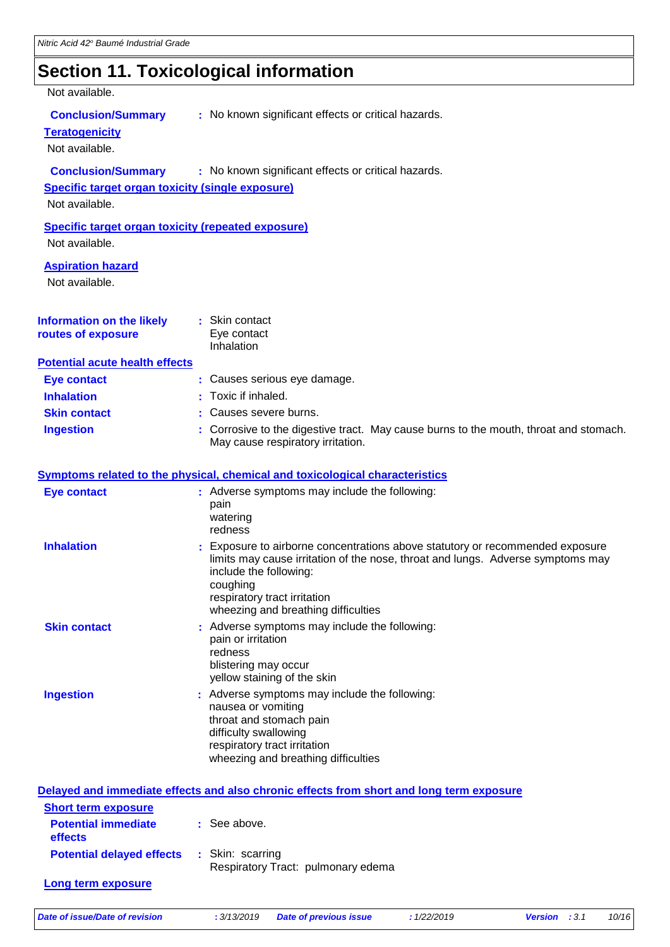## **Section 11. Toxicological information**

|                                                                                                        | 00000011 1 1 1 1 0 A10010 giodi 11 11 0 1 11 identiti                                                                                                                                                                                                                         |
|--------------------------------------------------------------------------------------------------------|-------------------------------------------------------------------------------------------------------------------------------------------------------------------------------------------------------------------------------------------------------------------------------|
| Not available.                                                                                         |                                                                                                                                                                                                                                                                               |
| <b>Conclusion/Summary</b><br><b>Teratogenicity</b><br>Not available.                                   | : No known significant effects or critical hazards.                                                                                                                                                                                                                           |
| <b>Conclusion/Summary</b><br><b>Specific target organ toxicity (single exposure)</b><br>Not available. | : No known significant effects or critical hazards.                                                                                                                                                                                                                           |
| <b>Specific target organ toxicity (repeated exposure)</b><br>Not available.                            |                                                                                                                                                                                                                                                                               |
| <b>Aspiration hazard</b><br>Not available.                                                             |                                                                                                                                                                                                                                                                               |
| <b>Information on the likely</b><br>routes of exposure                                                 | : Skin contact<br>Eye contact<br>Inhalation                                                                                                                                                                                                                                   |
| <b>Potential acute health effects</b>                                                                  |                                                                                                                                                                                                                                                                               |
| <b>Eye contact</b>                                                                                     | : Causes serious eye damage.                                                                                                                                                                                                                                                  |
| <b>Inhalation</b>                                                                                      | Toxic if inhaled.                                                                                                                                                                                                                                                             |
| <b>Skin contact</b>                                                                                    | Causes severe burns.                                                                                                                                                                                                                                                          |
| <b>Ingestion</b>                                                                                       | : Corrosive to the digestive tract. May cause burns to the mouth, throat and stomach.<br>May cause respiratory irritation.                                                                                                                                                    |
|                                                                                                        | Symptoms related to the physical, chemical and toxicological characteristics                                                                                                                                                                                                  |
| <b>Eye contact</b>                                                                                     | : Adverse symptoms may include the following:<br>pain<br>watering<br>redness                                                                                                                                                                                                  |
| <b>Inhalation</b>                                                                                      | : Exposure to airborne concentrations above statutory or recommended exposure<br>limits may cause irritation of the nose, throat and lungs. Adverse symptoms may<br>include the following:<br>coughing<br>respiratory tract irritation<br>wheezing and breathing difficulties |
| <b>Skin contact</b>                                                                                    | : Adverse symptoms may include the following:<br>pain or irritation<br>redness                                                                                                                                                                                                |

|                  | yellow staining of the skin                                                                                                                                                                    |
|------------------|------------------------------------------------------------------------------------------------------------------------------------------------------------------------------------------------|
| <b>Ingestion</b> | : Adverse symptoms may include the following:<br>nausea or vomiting<br>throat and stomach pain<br>difficulty swallowing<br>respiratory tract irritation<br>wheezing and breathing difficulties |

blistering may occur

|                                       | Delayed and immediate effects and also chronic effects from short and long term exposure |
|---------------------------------------|------------------------------------------------------------------------------------------|
| <b>Short term exposure</b>            |                                                                                          |
| <b>Potential immediate</b><br>effects | $\therefore$ See above.                                                                  |
| <b>Potential delayed effects</b>      | : Skin: scarring<br>Respiratory Tract: pulmonary edema                                   |
| Long term exposure                    |                                                                                          |
|                                       |                                                                                          |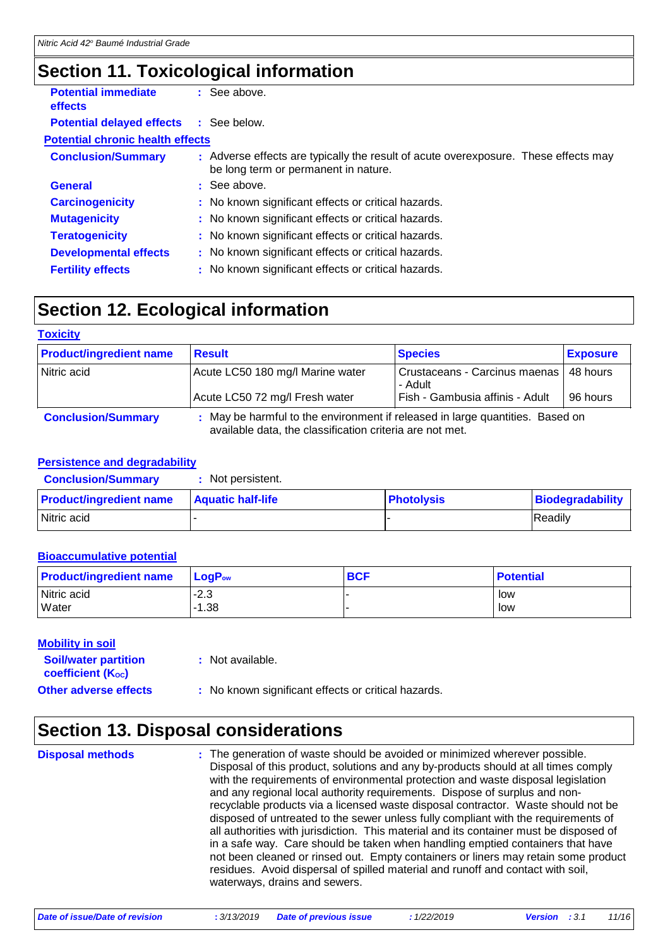### **Section 11. Toxicological information**

| <b>Potential immediate</b><br><b>effects</b>  | : See above.                                                                                                                |  |
|-----------------------------------------------|-----------------------------------------------------------------------------------------------------------------------------|--|
| <b>Potential delayed effects : See below.</b> |                                                                                                                             |  |
| <b>Potential chronic health effects</b>       |                                                                                                                             |  |
| <b>Conclusion/Summary</b>                     | : Adverse effects are typically the result of acute overexposure. These effects may<br>be long term or permanent in nature. |  |
| <b>General</b>                                | $\therefore$ See above.                                                                                                     |  |
| <b>Carcinogenicity</b>                        | : No known significant effects or critical hazards.                                                                         |  |
| <b>Mutagenicity</b>                           | : No known significant effects or critical hazards.                                                                         |  |
| <b>Teratogenicity</b>                         | : No known significant effects or critical hazards.                                                                         |  |
| <b>Developmental effects</b>                  | : No known significant effects or critical hazards.                                                                         |  |
| <b>Fertility effects</b>                      | : No known significant effects or critical hazards.                                                                         |  |

### **Section 12. Ecological information**

| <b>Toxicity</b>                |                                                                                                                                           |                                          |                 |
|--------------------------------|-------------------------------------------------------------------------------------------------------------------------------------------|------------------------------------------|-----------------|
| <b>Product/ingredient name</b> | <b>Result</b>                                                                                                                             | <b>Species</b>                           | <b>Exposure</b> |
| Nitric acid                    | Acute LC50 180 mg/l Marine water                                                                                                          | Crustaceans - Carcinus maenas<br>- Adult | 48 hours        |
|                                | Acute LC50 72 mg/l Fresh water                                                                                                            | Fish - Gambusia affinis - Adult          | 96 hours        |
| <b>Conclusion/Summary</b>      | : May be harmful to the environment if released in large quantities. Based on<br>available data, the classification criteria are not met. |                                          |                 |

#### **Persistence and degradability**

| <b>Conclusion/Summary</b>      | Not persistent.          |                   |                  |
|--------------------------------|--------------------------|-------------------|------------------|
| <b>Product/ingredient name</b> | <b>Aquatic half-life</b> | <b>Photolysis</b> | Biodegradability |
| Nitric acid                    |                          |                   | Readily          |

#### **Bioaccumulative potential**

| <b>Product/ingredient name</b> | <b>⊥LoqP</b> ow | <b>BCF</b> | <b>Potential</b> |
|--------------------------------|-----------------|------------|------------------|
| Nitric acid                    | $-2.3$          |            | low              |
| <b>Water</b>                   | $-1.38$         |            | low              |

#### **Mobility in soil**

|  | Not available. |
|--|----------------|
|  |                |

**Soil/water partition coefficient (Koc)** 

- 
- **Other adverse effects : No known significant effects or critical hazards.**

### **Section 13. Disposal considerations**

The generation of waste should be avoided or minimized wherever possible. Disposal of this product, solutions and any by-products should at all times comply with the requirements of environmental protection and waste disposal legislation and any regional local authority requirements. Dispose of surplus and nonrecyclable products via a licensed waste disposal contractor. Waste should not be disposed of untreated to the sewer unless fully compliant with the requirements of all authorities with jurisdiction. This material and its container must be disposed of in a safe way. Care should be taken when handling emptied containers that have not been cleaned or rinsed out. Empty containers or liners may retain some product residues. Avoid dispersal of spilled material and runoff and contact with soil, waterways, drains and sewers. **Disposal methods :**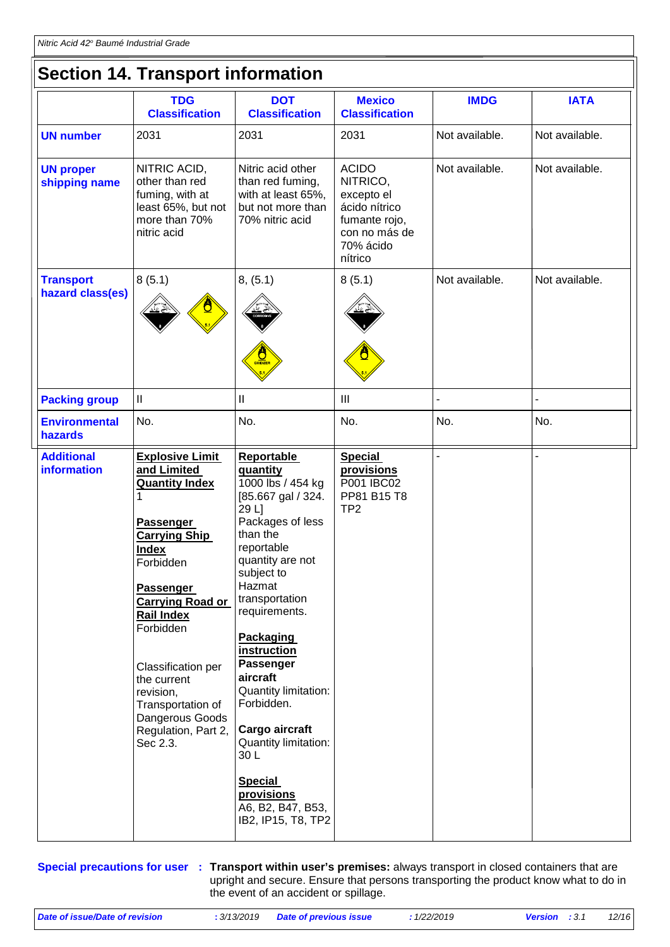| <b>Section 14. Transport information</b> |                                                                                                                                                                                                                                                                                                                                                            |                                                                                                                                                                                                                                                                                                                                                                                                                                                            |                                                                                                                   |                |                |  |  |
|------------------------------------------|------------------------------------------------------------------------------------------------------------------------------------------------------------------------------------------------------------------------------------------------------------------------------------------------------------------------------------------------------------|------------------------------------------------------------------------------------------------------------------------------------------------------------------------------------------------------------------------------------------------------------------------------------------------------------------------------------------------------------------------------------------------------------------------------------------------------------|-------------------------------------------------------------------------------------------------------------------|----------------|----------------|--|--|
|                                          | <b>TDG</b><br><b>Classification</b>                                                                                                                                                                                                                                                                                                                        | <b>DOT</b><br><b>Classification</b>                                                                                                                                                                                                                                                                                                                                                                                                                        | <b>Mexico</b><br><b>Classification</b>                                                                            | <b>IMDG</b>    | <b>IATA</b>    |  |  |
| <b>UN number</b>                         | 2031                                                                                                                                                                                                                                                                                                                                                       | 2031                                                                                                                                                                                                                                                                                                                                                                                                                                                       | 2031                                                                                                              | Not available. | Not available. |  |  |
| <b>UN proper</b><br>shipping name        | NITRIC ACID,<br>other than red<br>fuming, with at<br>least 65%, but not<br>more than 70%<br>nitric acid                                                                                                                                                                                                                                                    | Nitric acid other<br>than red fuming,<br>with at least 65%,<br>but not more than<br>70% nitric acid                                                                                                                                                                                                                                                                                                                                                        | <b>ACIDO</b><br>NITRICO,<br>excepto el<br>ácido nítrico<br>fumante rojo,<br>con no más de<br>70% ácido<br>nítrico | Not available. | Not available. |  |  |
| <b>Transport</b><br>hazard class(es)     | 8(5.1)                                                                                                                                                                                                                                                                                                                                                     | 8, (5.1)<br>OXIDIZE                                                                                                                                                                                                                                                                                                                                                                                                                                        | 8(5.1)                                                                                                            | Not available. | Not available. |  |  |
| <b>Packing group</b>                     | $\ensuremath{\mathsf{II}}$                                                                                                                                                                                                                                                                                                                                 | $\mathbf{I}$                                                                                                                                                                                                                                                                                                                                                                                                                                               | $\mathbf{III}$                                                                                                    | L,             |                |  |  |
| <b>Environmental</b><br>hazards          | No.                                                                                                                                                                                                                                                                                                                                                        | No.                                                                                                                                                                                                                                                                                                                                                                                                                                                        | No.                                                                                                               | No.            | No.            |  |  |
| <b>Additional</b><br><b>information</b>  | <b>Explosive Limit</b><br>and Limited<br><b>Quantity Index</b><br>1<br><b>Passenger</b><br><b>Carrying Ship</b><br><b>Index</b><br>Forbidden<br><b>Passenger</b><br><b>Carrying Road or</b><br><b>Rail Index</b><br>Forbidden<br>Classification per<br>the current<br>revision,<br>Transportation of<br>Dangerous Goods<br>Regulation, Part 2,<br>Sec 2.3. | <b>Reportable</b><br>quantity<br>1000 lbs / 454 kg<br>[85.667 gal / 324.<br>29 L]<br>Packages of less<br>than the<br>reportable<br>quantity are not<br>subject to<br>Hazmat<br>transportation<br>requirements.<br><b>Packaging</b><br><i>instruction</i><br><b>Passenger</b><br>aircraft<br>Quantity limitation:<br>Forbidden.<br>Cargo aircraft<br>Quantity limitation:<br>30L<br><b>Special</b><br>provisions<br>A6, B2, B47, B53,<br>IB2, IP15, T8, TP2 | <b>Special</b><br><b>provisions</b><br>P001 IBC02<br>PP81 B15 T8<br>TP <sub>2</sub>                               |                |                |  |  |

**Special precautions for user** : Transport within user's premises: always transport in closed containers that are upright and secure. Ensure that persons transporting the product know what to do in the event of an accident or spillage.

| Date of issue/Date of revision | : 3/13/2019 Date of previous issue | : 1/22/2019 | <b>Version</b> : 3.1 | 12/16 |
|--------------------------------|------------------------------------|-------------|----------------------|-------|
|                                |                                    |             |                      |       |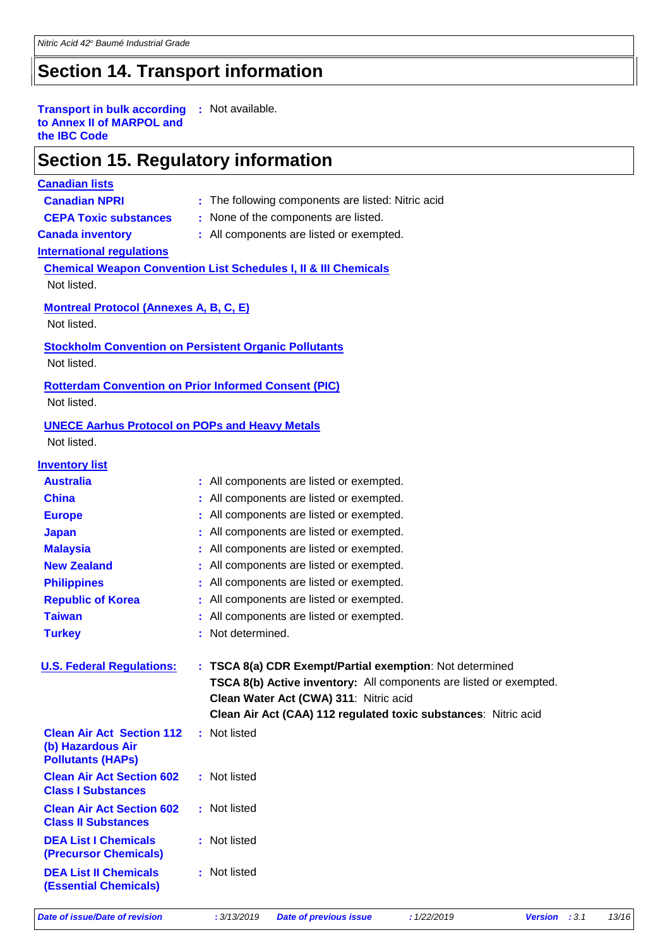### **Section 14. Transport information**

#### **Transport in bulk according :** Not available. **to Annex II of MARPOL and the IBC Code**

### **Section 15. Regulatory information**

#### **Canadian lists**

- 
- **Canadian NPRI** : The following components are listed: Nitric acid
- 
- **CEPA Toxic substances :** None of the components are listed.
- 
- **Canada inventory :** All components are listed or exempted.

#### **International regulations**

**Chemical Weapon Convention List Schedules I, II & III Chemicals** Not listed.

#### **Montreal Protocol (Annexes A, B, C, E)**

Not listed.

#### **Stockholm Convention on Persistent Organic Pollutants**

Not listed.

#### **Rotterdam Convention on Prior Informed Consent (PIC)** Not listed.

#### **UNECE Aarhus Protocol on POPs and Heavy Metals**

Not listed.

| <b>Inventory list</b>                                                             |                                                                    |
|-----------------------------------------------------------------------------------|--------------------------------------------------------------------|
| <b>Australia</b>                                                                  | : All components are listed or exempted.                           |
| <b>China</b>                                                                      | All components are listed or exempted.                             |
| <b>Europe</b>                                                                     | All components are listed or exempted.                             |
| <b>Japan</b>                                                                      | All components are listed or exempted.                             |
| <b>Malaysia</b>                                                                   | All components are listed or exempted.                             |
| <b>New Zealand</b>                                                                | All components are listed or exempted.                             |
| <b>Philippines</b>                                                                | All components are listed or exempted.                             |
| <b>Republic of Korea</b>                                                          | All components are listed or exempted.                             |
| <b>Taiwan</b>                                                                     | All components are listed or exempted.                             |
| <b>Turkey</b>                                                                     | Not determined.                                                    |
|                                                                                   |                                                                    |
| <b>U.S. Federal Regulations:</b>                                                  | : TSCA 8(a) CDR Exempt/Partial exemption: Not determined           |
|                                                                                   | TSCA 8(b) Active inventory: All components are listed or exempted. |
|                                                                                   | Clean Water Act (CWA) 311: Nitric acid                             |
|                                                                                   | Clean Air Act (CAA) 112 regulated toxic substances: Nitric acid    |
| <b>Clean Air Act Section 112</b><br>(b) Hazardous Air<br><b>Pollutants (HAPS)</b> | : Not listed                                                       |
| <b>Clean Air Act Section 602</b><br><b>Class I Substances</b>                     | : Not listed                                                       |
| <b>Clean Air Act Section 602</b><br><b>Class II Substances</b>                    | : Not listed                                                       |
| <b>DEA List I Chemicals</b><br><b>(Precursor Chemicals)</b>                       | : Not listed                                                       |
| <b>DEA List II Chemicals</b>                                                      |                                                                    |
| <b>(Essential Chemicals)</b>                                                      | : Not listed                                                       |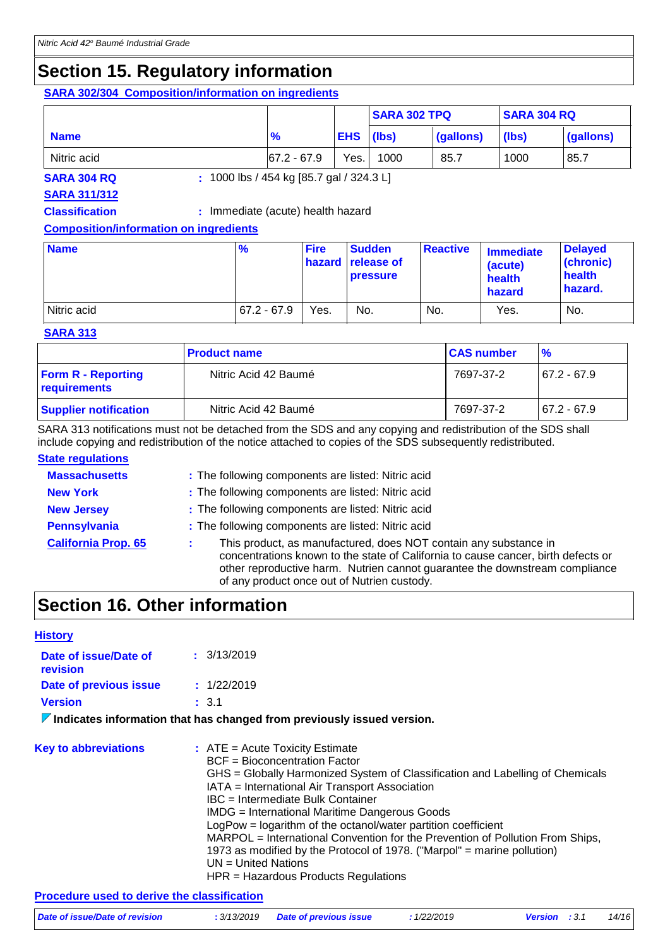### **Section 15. Regulatory information**

#### **SARA 302/304 Composition/information on ingredients**

|             |                |                  | <b>SARA 302 TPQ</b> |           | <b>SARA 304 RQ</b> |           |
|-------------|----------------|------------------|---------------------|-----------|--------------------|-----------|
| <b>Name</b> | $\frac{9}{6}$  | <b>EHS</b> (lbs) |                     | (gallons) | (lbs)              | (gallons) |
| Nitric acid | $167.2 - 67.9$ | Yes.             | 1000                | 85.7      | 1000               | 85.7      |

**SARA 304 RQ :** 1000 lbs / 454 kg [85.7 gal / 324.3 L]

#### **SARA 311/312**

**Classification :** Immediate (acute) health hazard

#### **Composition/information on ingredients**

| <b>Name</b> | $\frac{9}{6}$ | <b>Fire</b> | <b>Sudden</b><br><b>hazard</b> release of<br><b>pressure</b> | <b>Reactive</b> | <b>Immediate</b><br>(acute)<br>health<br>hazard | <b>Delayed</b><br>(chronic)<br>health<br>hazard. |
|-------------|---------------|-------------|--------------------------------------------------------------|-----------------|-------------------------------------------------|--------------------------------------------------|
| Nitric acid | $67.2 - 67.9$ | Yes.        | No.                                                          | No.             | Yes.                                            | No.                                              |

#### **SARA 313**

|                                           | <b>Product name</b>  | <b>CAS number</b> | $\frac{9}{6}$  |
|-------------------------------------------|----------------------|-------------------|----------------|
| <b>Form R - Reporting</b><br>requirements | Nitric Acid 42 Baumé | 7697-37-2         | $167.2 - 67.9$ |
| <b>Supplier notification</b>              | Nitric Acid 42 Baumé | 7697-37-2         | 67.2 - 67.9    |

SARA 313 notifications must not be detached from the SDS and any copying and redistribution of the SDS shall include copying and redistribution of the notice attached to copies of the SDS subsequently redistributed.

#### **State regulations**

| <b>Massachusetts</b>       | : The following components are listed: Nitric acid                                                                                                                                                                                                                                  |
|----------------------------|-------------------------------------------------------------------------------------------------------------------------------------------------------------------------------------------------------------------------------------------------------------------------------------|
| <b>New York</b>            | : The following components are listed: Nitric acid                                                                                                                                                                                                                                  |
| <b>New Jersey</b>          | : The following components are listed: Nitric acid                                                                                                                                                                                                                                  |
| <b>Pennsylvania</b>        | : The following components are listed: Nitric acid                                                                                                                                                                                                                                  |
| <b>California Prop. 65</b> | This product, as manufactured, does NOT contain any substance in<br>concentrations known to the state of California to cause cancer, birth defects or<br>other reproductive harm. Nutrien cannot guarantee the downstream compliance<br>of any product once out of Nutrien custody. |

### **Section 16. Other information**

| <b>History</b>                              |                                                                                                                                                                                                                                                                                                                                                                                                                                                                                                                                                                                                           |
|---------------------------------------------|-----------------------------------------------------------------------------------------------------------------------------------------------------------------------------------------------------------------------------------------------------------------------------------------------------------------------------------------------------------------------------------------------------------------------------------------------------------------------------------------------------------------------------------------------------------------------------------------------------------|
| Date of issue/Date of<br>revision           | : 3/13/2019                                                                                                                                                                                                                                                                                                                                                                                                                                                                                                                                                                                               |
| Date of previous issue                      | : 1/22/2019                                                                                                                                                                                                                                                                                                                                                                                                                                                                                                                                                                                               |
| <b>Version</b>                              | : 3.1                                                                                                                                                                                                                                                                                                                                                                                                                                                                                                                                                                                                     |
|                                             | $\nabla$ Indicates information that has changed from previously issued version.                                                                                                                                                                                                                                                                                                                                                                                                                                                                                                                           |
|                                             |                                                                                                                                                                                                                                                                                                                                                                                                                                                                                                                                                                                                           |
| <b>Key to abbreviations</b>                 | $:$ ATE = Acute Toxicity Estimate<br><b>BCF</b> = Bioconcentration Factor<br>GHS = Globally Harmonized System of Classification and Labelling of Chemicals<br>IATA = International Air Transport Association<br>IBC = Intermediate Bulk Container<br><b>IMDG</b> = International Maritime Dangerous Goods<br>LogPow = logarithm of the octanol/water partition coefficient<br>MARPOL = International Convention for the Prevention of Pollution From Ships,<br>1973 as modified by the Protocol of 1978. ("Marpol" = marine pollution)<br>$UN = United Nations$<br>$HPR =$ Hazardous Products Regulations |
| Procedure used to derive the classification |                                                                                                                                                                                                                                                                                                                                                                                                                                                                                                                                                                                                           |

| Date of issue/Date of revision | : 3/13/2019 Date of previous issue | 1/22/2019 | <b>Version</b> : 3.1 | 14/16 |
|--------------------------------|------------------------------------|-----------|----------------------|-------|
|                                |                                    |           |                      |       |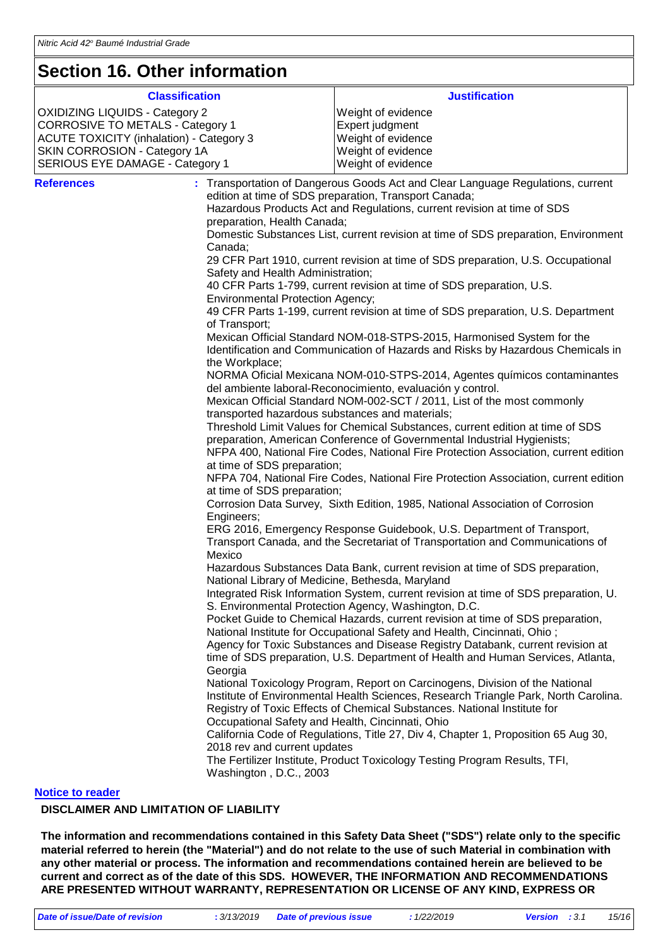### **Section 16. Other information**

| <b>Classification</b><br><b>OXIDIZING LIQUIDS - Category 2</b>                                                                     |                                                                                                                                                                                                                                              | <b>Justification</b><br>Weight of evidence                                                                                                                                                                                                                                                                                                                                                                                                                                                                                                                                                                                                                                                                                                                                                                                                                                                                                                                                                                                                                                                                                                                                                                                                                                                                                                                                                                                                                                                                                                                                                                                                                                                                                                                                                                                                                                                                                                                                                                                                                                                                                                                                                                                                                                                                                                                                                                                                                                                                                                                                                                                                                                                                                           |
|------------------------------------------------------------------------------------------------------------------------------------|----------------------------------------------------------------------------------------------------------------------------------------------------------------------------------------------------------------------------------------------|--------------------------------------------------------------------------------------------------------------------------------------------------------------------------------------------------------------------------------------------------------------------------------------------------------------------------------------------------------------------------------------------------------------------------------------------------------------------------------------------------------------------------------------------------------------------------------------------------------------------------------------------------------------------------------------------------------------------------------------------------------------------------------------------------------------------------------------------------------------------------------------------------------------------------------------------------------------------------------------------------------------------------------------------------------------------------------------------------------------------------------------------------------------------------------------------------------------------------------------------------------------------------------------------------------------------------------------------------------------------------------------------------------------------------------------------------------------------------------------------------------------------------------------------------------------------------------------------------------------------------------------------------------------------------------------------------------------------------------------------------------------------------------------------------------------------------------------------------------------------------------------------------------------------------------------------------------------------------------------------------------------------------------------------------------------------------------------------------------------------------------------------------------------------------------------------------------------------------------------------------------------------------------------------------------------------------------------------------------------------------------------------------------------------------------------------------------------------------------------------------------------------------------------------------------------------------------------------------------------------------------------------------------------------------------------------------------------------------------------|
| <b>CORROSIVE TO METALS - Category 1</b>                                                                                            |                                                                                                                                                                                                                                              | Expert judgment                                                                                                                                                                                                                                                                                                                                                                                                                                                                                                                                                                                                                                                                                                                                                                                                                                                                                                                                                                                                                                                                                                                                                                                                                                                                                                                                                                                                                                                                                                                                                                                                                                                                                                                                                                                                                                                                                                                                                                                                                                                                                                                                                                                                                                                                                                                                                                                                                                                                                                                                                                                                                                                                                                                      |
|                                                                                                                                    |                                                                                                                                                                                                                                              |                                                                                                                                                                                                                                                                                                                                                                                                                                                                                                                                                                                                                                                                                                                                                                                                                                                                                                                                                                                                                                                                                                                                                                                                                                                                                                                                                                                                                                                                                                                                                                                                                                                                                                                                                                                                                                                                                                                                                                                                                                                                                                                                                                                                                                                                                                                                                                                                                                                                                                                                                                                                                                                                                                                                      |
| <b>ACUTE TOXICITY (inhalation) - Category 3</b>                                                                                    |                                                                                                                                                                                                                                              | Weight of evidence                                                                                                                                                                                                                                                                                                                                                                                                                                                                                                                                                                                                                                                                                                                                                                                                                                                                                                                                                                                                                                                                                                                                                                                                                                                                                                                                                                                                                                                                                                                                                                                                                                                                                                                                                                                                                                                                                                                                                                                                                                                                                                                                                                                                                                                                                                                                                                                                                                                                                                                                                                                                                                                                                                                   |
|                                                                                                                                    |                                                                                                                                                                                                                                              |                                                                                                                                                                                                                                                                                                                                                                                                                                                                                                                                                                                                                                                                                                                                                                                                                                                                                                                                                                                                                                                                                                                                                                                                                                                                                                                                                                                                                                                                                                                                                                                                                                                                                                                                                                                                                                                                                                                                                                                                                                                                                                                                                                                                                                                                                                                                                                                                                                                                                                                                                                                                                                                                                                                                      |
|                                                                                                                                    |                                                                                                                                                                                                                                              |                                                                                                                                                                                                                                                                                                                                                                                                                                                                                                                                                                                                                                                                                                                                                                                                                                                                                                                                                                                                                                                                                                                                                                                                                                                                                                                                                                                                                                                                                                                                                                                                                                                                                                                                                                                                                                                                                                                                                                                                                                                                                                                                                                                                                                                                                                                                                                                                                                                                                                                                                                                                                                                                                                                                      |
| SKIN CORROSION - Category 1A<br>SERIOUS EYE DAMAGE - Category 1<br><b>References</b><br>Canada;<br>Engineers;<br>Mexico<br>Georgia | preparation, Health Canada;<br>Safety and Health Administration;<br><b>Environmental Protection Agency;</b><br>of Transport;<br>the Workplace;<br>at time of SDS preparation;<br>at time of SDS preparation;<br>2018 rev and current updates | Weight of evidence<br>Weight of evidence<br>: Transportation of Dangerous Goods Act and Clear Language Regulations, current<br>edition at time of SDS preparation, Transport Canada;<br>Hazardous Products Act and Regulations, current revision at time of SDS<br>Domestic Substances List, current revision at time of SDS preparation, Environment<br>29 CFR Part 1910, current revision at time of SDS preparation, U.S. Occupational<br>40 CFR Parts 1-799, current revision at time of SDS preparation, U.S.<br>49 CFR Parts 1-199, current revision at time of SDS preparation, U.S. Department<br>Mexican Official Standard NOM-018-STPS-2015, Harmonised System for the<br>Identification and Communication of Hazards and Risks by Hazardous Chemicals in<br>NORMA Oficial Mexicana NOM-010-STPS-2014, Agentes químicos contaminantes<br>del ambiente laboral-Reconocimiento, evaluación y control.<br>Mexican Official Standard NOM-002-SCT / 2011, List of the most commonly<br>transported hazardous substances and materials;<br>Threshold Limit Values for Chemical Substances, current edition at time of SDS<br>preparation, American Conference of Governmental Industrial Hygienists;<br>NFPA 400, National Fire Codes, National Fire Protection Association, current edition<br>NFPA 704, National Fire Codes, National Fire Protection Association, current edition<br>Corrosion Data Survey, Sixth Edition, 1985, National Association of Corrosion<br>ERG 2016, Emergency Response Guidebook, U.S. Department of Transport,<br>Transport Canada, and the Secretariat of Transportation and Communications of<br>Hazardous Substances Data Bank, current revision at time of SDS preparation,<br>National Library of Medicine, Bethesda, Maryland<br>Integrated Risk Information System, current revision at time of SDS preparation, U.<br>S. Environmental Protection Agency, Washington, D.C.<br>Pocket Guide to Chemical Hazards, current revision at time of SDS preparation,<br>National Institute for Occupational Safety and Health, Cincinnati, Ohio;<br>Agency for Toxic Substances and Disease Registry Databank, current revision at<br>time of SDS preparation, U.S. Department of Health and Human Services, Atlanta,<br>National Toxicology Program, Report on Carcinogens, Division of the National<br>Institute of Environmental Health Sciences, Research Triangle Park, North Carolina.<br>Registry of Toxic Effects of Chemical Substances. National Institute for<br>Occupational Safety and Health, Cincinnati, Ohio<br>California Code of Regulations, Title 27, Div 4, Chapter 1, Proposition 65 Aug 30,<br>The Fertilizer Institute, Product Toxicology Testing Program Results, TFI, |
|                                                                                                                                    | Washington, D.C., 2003                                                                                                                                                                                                                       |                                                                                                                                                                                                                                                                                                                                                                                                                                                                                                                                                                                                                                                                                                                                                                                                                                                                                                                                                                                                                                                                                                                                                                                                                                                                                                                                                                                                                                                                                                                                                                                                                                                                                                                                                                                                                                                                                                                                                                                                                                                                                                                                                                                                                                                                                                                                                                                                                                                                                                                                                                                                                                                                                                                                      |
| <b>Notice to reader</b>                                                                                                            |                                                                                                                                                                                                                                              |                                                                                                                                                                                                                                                                                                                                                                                                                                                                                                                                                                                                                                                                                                                                                                                                                                                                                                                                                                                                                                                                                                                                                                                                                                                                                                                                                                                                                                                                                                                                                                                                                                                                                                                                                                                                                                                                                                                                                                                                                                                                                                                                                                                                                                                                                                                                                                                                                                                                                                                                                                                                                                                                                                                                      |

#### **DISCLAIMER AND LIMITATION OF LIABILITY**

**The information and recommendations contained in this Safety Data Sheet ("SDS") relate only to the specific material referred to herein (the "Material") and do not relate to the use of such Material in combination with any other material or process. The information and recommendations contained herein are believed to be current and correct as of the date of this SDS. HOWEVER, THE INFORMATION AND RECOMMENDATIONS ARE PRESENTED WITHOUT WARRANTY, REPRESENTATION OR LICENSE OF ANY KIND, EXPRESS OR**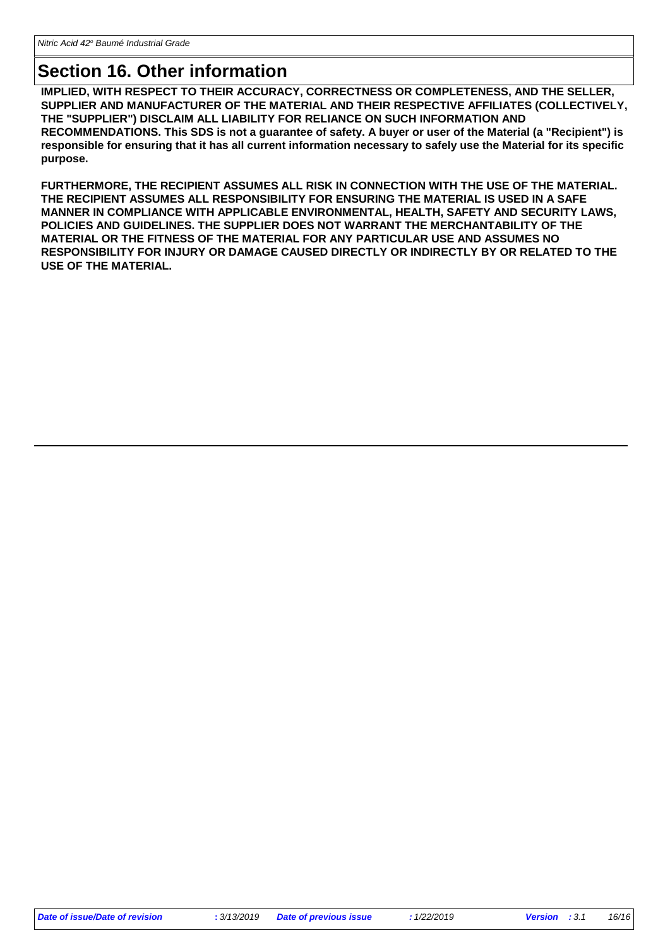### **Section 16. Other information**

**IMPLIED, WITH RESPECT TO THEIR ACCURACY, CORRECTNESS OR COMPLETENESS, AND THE SELLER, SUPPLIER AND MANUFACTURER OF THE MATERIAL AND THEIR RESPECTIVE AFFILIATES (COLLECTIVELY, THE "SUPPLIER") DISCLAIM ALL LIABILITY FOR RELIANCE ON SUCH INFORMATION AND RECOMMENDATIONS. This SDS is not a guarantee of safety. A buyer or user of the Material (a "Recipient") is responsible for ensuring that it has all current information necessary to safely use the Material for its specific purpose.**

**FURTHERMORE, THE RECIPIENT ASSUMES ALL RISK IN CONNECTION WITH THE USE OF THE MATERIAL. THE RECIPIENT ASSUMES ALL RESPONSIBILITY FOR ENSURING THE MATERIAL IS USED IN A SAFE MANNER IN COMPLIANCE WITH APPLICABLE ENVIRONMENTAL, HEALTH, SAFETY AND SECURITY LAWS, POLICIES AND GUIDELINES. THE SUPPLIER DOES NOT WARRANT THE MERCHANTABILITY OF THE MATERIAL OR THE FITNESS OF THE MATERIAL FOR ANY PARTICULAR USE AND ASSUMES NO RESPONSIBILITY FOR INJURY OR DAMAGE CAUSED DIRECTLY OR INDIRECTLY BY OR RELATED TO THE USE OF THE MATERIAL.**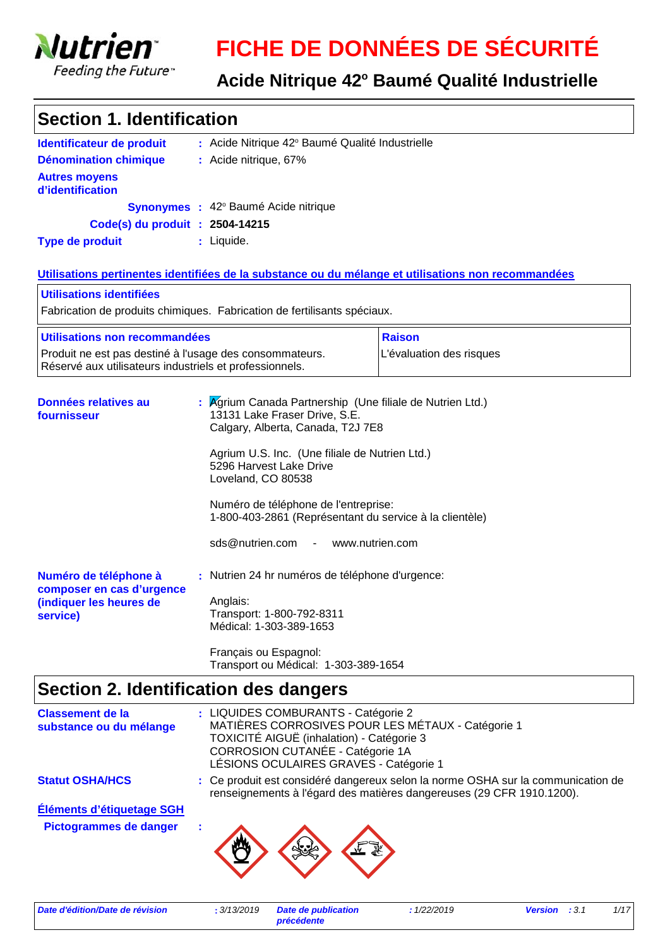

# **FICHE DE DONNÉES DE SÉCURITÉ**

### Acide Nitrique 42° Baumé Qualité Industrielle

| <b>Section 1. Identification</b>                                                                                   |                                                                                                                                                                                                                                                                                                                                                                           |                                                                                                     |
|--------------------------------------------------------------------------------------------------------------------|---------------------------------------------------------------------------------------------------------------------------------------------------------------------------------------------------------------------------------------------------------------------------------------------------------------------------------------------------------------------------|-----------------------------------------------------------------------------------------------------|
| Identificateur de produit                                                                                          | : Acide Nitrique 42° Baumé Qualité Industrielle                                                                                                                                                                                                                                                                                                                           |                                                                                                     |
| <b>Dénomination chimique</b>                                                                                       | : Acide nitrique, 67%                                                                                                                                                                                                                                                                                                                                                     |                                                                                                     |
| <b>Autres moyens</b><br>d'identification                                                                           |                                                                                                                                                                                                                                                                                                                                                                           |                                                                                                     |
|                                                                                                                    | Synonymes : 42° Baumé Acide nitrique                                                                                                                                                                                                                                                                                                                                      |                                                                                                     |
| Code(s) du produit : 2504-14215                                                                                    |                                                                                                                                                                                                                                                                                                                                                                           |                                                                                                     |
| <b>Type de produit</b>                                                                                             | : Liquide.                                                                                                                                                                                                                                                                                                                                                                |                                                                                                     |
|                                                                                                                    |                                                                                                                                                                                                                                                                                                                                                                           | Utilisations pertinentes identifiées de la substance ou du mélange et utilisations non recommandées |
| Utilisations identifiées                                                                                           |                                                                                                                                                                                                                                                                                                                                                                           |                                                                                                     |
|                                                                                                                    | Fabrication de produits chimiques. Fabrication de fertilisants spéciaux.                                                                                                                                                                                                                                                                                                  |                                                                                                     |
| <u>Utilisations non recommandées</u>                                                                               |                                                                                                                                                                                                                                                                                                                                                                           | <b>Raison</b>                                                                                       |
| Produit ne est pas destiné à l'usage des consommateurs.<br>Réservé aux utilisateurs industriels et professionnels. |                                                                                                                                                                                                                                                                                                                                                                           | L'évaluation des risques                                                                            |
| Données relatives au<br>fournisseur                                                                                | Agrium Canada Partnership (Une filiale de Nutrien Ltd.)<br>13131 Lake Fraser Drive, S.E.<br>Calgary, Alberta, Canada, T2J 7E8<br>Agrium U.S. Inc. (Une filiale de Nutrien Ltd.)<br>5296 Harvest Lake Drive<br>Loveland, CO 80538<br>Numéro de téléphone de l'entreprise:<br>1-800-403-2861 (Représentant du service à la clientèle)<br>sds@nutrien.com<br>www.nutrien.com |                                                                                                     |
| Numéro de téléphone à<br>composer en cas d'urgence<br>(indiquer les heures de<br>service)                          | : Nutrien 24 hr numéros de téléphone d'urgence:<br>Anglais:<br>Transport: 1-800-792-8311<br>Médical: 1-303-389-1653<br>Français ou Espagnol:<br>Transport ou Médical: 1-303-389-1654                                                                                                                                                                                      |                                                                                                     |

### **Section 2. Identification des dangers**

| <b>Classement de la</b><br>substance ou du mélange | : LIQUIDES COMBURANTS - Catégorie 2<br>MATIÈRES CORROSIVES POUR LES MÉTAUX - Catégorie 1<br>TOXICITÉ AIGUË (inhalation) - Catégorie 3<br>CORROSION CUTANÉE - Catégorie 1A<br>LÉSIONS OCULAIRES GRAVES - Catégorie 1 |
|----------------------------------------------------|---------------------------------------------------------------------------------------------------------------------------------------------------------------------------------------------------------------------|
| <b>Statut OSHA/HCS</b>                             | : Ce produit est considéré dangereux selon la norme OSHA sur la communication de<br>renseignements à l'égard des matières dangereuses (29 CFR 1910.1200).                                                           |
| Éléments d'étiquetage SGH                          |                                                                                                                                                                                                                     |
| <b>Pictogrammes de danger</b>                      |                                                                                                                                                                                                                     |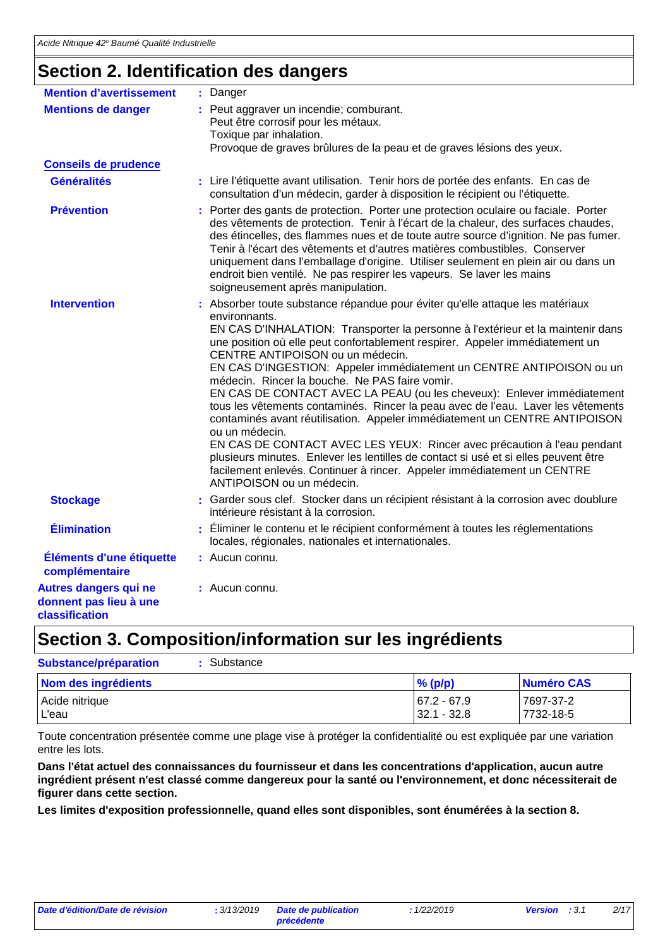### **Section 2. Identification des dangers**

| <b>Mention d'avertissement</b><br>: Danger<br>Peut aggraver un incendie; comburant.<br><b>Mentions de danger</b><br>Peut être corrosif pour les métaux.<br>Toxique par inhalation.<br>Provoque de graves brûlures de la peau et de graves lésions des yeux.<br><b>Conseils de prudence</b><br><b>Généralités</b><br>: Lire l'étiquette avant utilisation. Tenir hors de portée des enfants. En cas de<br>consultation d'un médecin, garder à disposition le récipient ou l'étiquette.<br><b>Prévention</b><br>: Porter des gants de protection. Porter une protection oculaire ou faciale. Porter<br>Tenir à l'écart des vêtements et d'autres matières combustibles. Conserver<br>endroit bien ventilé. Ne pas respirer les vapeurs. Se laver les mains<br>soigneusement après manipulation.<br><b>Intervention</b><br>: Absorber toute substance répandue pour éviter qu'elle attaque les matériaux<br>environnants.<br>une position où elle peut confortablement respirer. Appeler immédiatement un<br>CENTRE ANTIPOISON ou un médecin.<br>médecin. Rincer la bouche. Ne PAS faire vomir.<br>ou un médecin.<br>plusieurs minutes. Enlever les lentilles de contact si usé et si elles peuvent être<br>facilement enlevés. Continuer à rincer. Appeler immédiatement un CENTRE<br>ANTIPOISON ou un médecin.<br><b>Stockage</b><br>intérieure résistant à la corrosion.<br><b>Élimination</b><br>Éliminer le contenu et le récipient conformément à toutes les réglementations<br>locales, régionales, nationales et internationales.<br>Éléments d'une étiquette<br>: Aucun connu.<br>complémentaire<br>: Aucun connu. |                        |                                                                                                                                                                                                                                                                                                                                                                                                                                                                                |
|--------------------------------------------------------------------------------------------------------------------------------------------------------------------------------------------------------------------------------------------------------------------------------------------------------------------------------------------------------------------------------------------------------------------------------------------------------------------------------------------------------------------------------------------------------------------------------------------------------------------------------------------------------------------------------------------------------------------------------------------------------------------------------------------------------------------------------------------------------------------------------------------------------------------------------------------------------------------------------------------------------------------------------------------------------------------------------------------------------------------------------------------------------------------------------------------------------------------------------------------------------------------------------------------------------------------------------------------------------------------------------------------------------------------------------------------------------------------------------------------------------------------------------------------------------------------------------------------------------------------------|------------------------|--------------------------------------------------------------------------------------------------------------------------------------------------------------------------------------------------------------------------------------------------------------------------------------------------------------------------------------------------------------------------------------------------------------------------------------------------------------------------------|
|                                                                                                                                                                                                                                                                                                                                                                                                                                                                                                                                                                                                                                                                                                                                                                                                                                                                                                                                                                                                                                                                                                                                                                                                                                                                                                                                                                                                                                                                                                                                                                                                                          |                        |                                                                                                                                                                                                                                                                                                                                                                                                                                                                                |
| Autres dangers qui ne                                                                                                                                                                                                                                                                                                                                                                                                                                                                                                                                                                                                                                                                                                                                                                                                                                                                                                                                                                                                                                                                                                                                                                                                                                                                                                                                                                                                                                                                                                                                                                                                    |                        |                                                                                                                                                                                                                                                                                                                                                                                                                                                                                |
|                                                                                                                                                                                                                                                                                                                                                                                                                                                                                                                                                                                                                                                                                                                                                                                                                                                                                                                                                                                                                                                                                                                                                                                                                                                                                                                                                                                                                                                                                                                                                                                                                          |                        |                                                                                                                                                                                                                                                                                                                                                                                                                                                                                |
|                                                                                                                                                                                                                                                                                                                                                                                                                                                                                                                                                                                                                                                                                                                                                                                                                                                                                                                                                                                                                                                                                                                                                                                                                                                                                                                                                                                                                                                                                                                                                                                                                          |                        |                                                                                                                                                                                                                                                                                                                                                                                                                                                                                |
|                                                                                                                                                                                                                                                                                                                                                                                                                                                                                                                                                                                                                                                                                                                                                                                                                                                                                                                                                                                                                                                                                                                                                                                                                                                                                                                                                                                                                                                                                                                                                                                                                          |                        | des vêtements de protection. Tenir à l'écart de la chaleur, des surfaces chaudes,<br>des étincelles, des flammes nues et de toute autre source d'ignition. Ne pas fumer.<br>uniquement dans l'emballage d'origine. Utiliser seulement en plein air ou dans un                                                                                                                                                                                                                  |
|                                                                                                                                                                                                                                                                                                                                                                                                                                                                                                                                                                                                                                                                                                                                                                                                                                                                                                                                                                                                                                                                                                                                                                                                                                                                                                                                                                                                                                                                                                                                                                                                                          |                        | EN CAS D'INHALATION: Transporter la personne à l'extérieur et la maintenir dans<br>EN CAS D'INGESTION: Appeler immédiatement un CENTRE ANTIPOISON ou un<br>EN CAS DE CONTACT AVEC LA PEAU (ou les cheveux): Enlever immédiatement<br>tous les vêtements contaminés. Rincer la peau avec de l'eau. Laver les vêtements<br>contaminés avant réutilisation. Appeler immédiatement un CENTRE ANTIPOISON<br>EN CAS DE CONTACT AVEC LES YEUX: Rincer avec précaution à l'eau pendant |
|                                                                                                                                                                                                                                                                                                                                                                                                                                                                                                                                                                                                                                                                                                                                                                                                                                                                                                                                                                                                                                                                                                                                                                                                                                                                                                                                                                                                                                                                                                                                                                                                                          |                        | : Garder sous clef. Stocker dans un récipient résistant à la corrosion avec doublure                                                                                                                                                                                                                                                                                                                                                                                           |
|                                                                                                                                                                                                                                                                                                                                                                                                                                                                                                                                                                                                                                                                                                                                                                                                                                                                                                                                                                                                                                                                                                                                                                                                                                                                                                                                                                                                                                                                                                                                                                                                                          |                        |                                                                                                                                                                                                                                                                                                                                                                                                                                                                                |
|                                                                                                                                                                                                                                                                                                                                                                                                                                                                                                                                                                                                                                                                                                                                                                                                                                                                                                                                                                                                                                                                                                                                                                                                                                                                                                                                                                                                                                                                                                                                                                                                                          |                        |                                                                                                                                                                                                                                                                                                                                                                                                                                                                                |
| <b>classification</b>                                                                                                                                                                                                                                                                                                                                                                                                                                                                                                                                                                                                                                                                                                                                                                                                                                                                                                                                                                                                                                                                                                                                                                                                                                                                                                                                                                                                                                                                                                                                                                                                    | donnent pas lieu à une |                                                                                                                                                                                                                                                                                                                                                                                                                                                                                |

### **Section 3. Composition/information sur les ingrédients**

| <b>Substance/préparation</b> | : Substance |  |
|------------------------------|-------------|--|
|------------------------------|-------------|--|

| Nom des ingrédients | $%$ (p/p)      | Numéro CAS |
|---------------------|----------------|------------|
| Acide nitrique      | $167.2 - 67.9$ | 7697-37-2  |
| L'eau               | $32.1 - 32.8$  | 7732-18-5  |

Toute concentration présentée comme une plage vise à protéger la confidentialité ou est expliquée par une variation entre les lots.

**Dans l'état actuel des connaissances du fournisseur et dans les concentrations d'application, aucun autre ingrédient présent n'est classé comme dangereux pour la santé ou l'environnement, et donc nécessiterait de figurer dans cette section.**

**Les limites d'exposition professionnelle, quand elles sont disponibles, sont énumérées à la section 8.**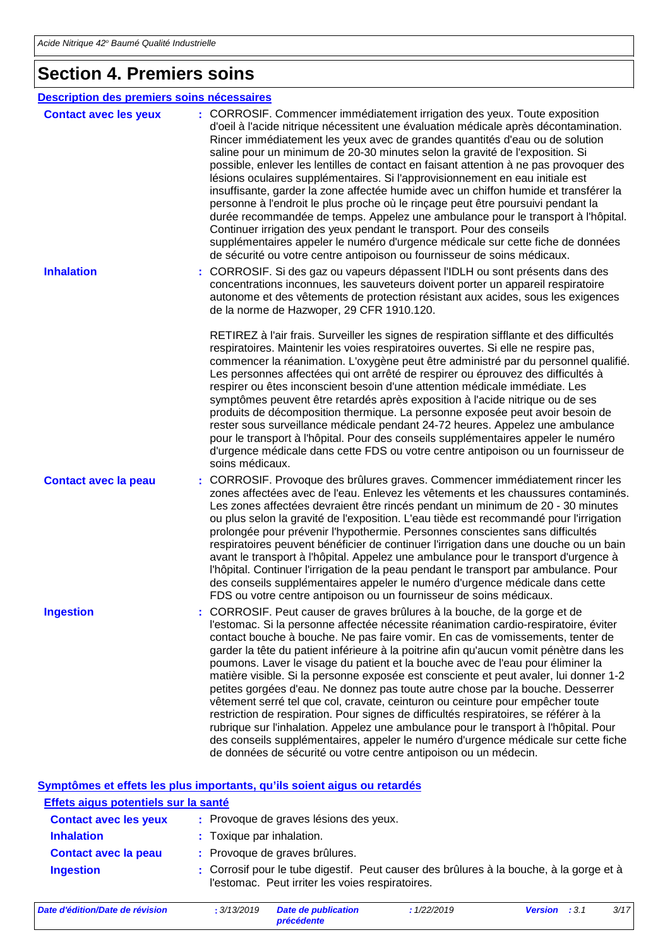### **Section 4. Premiers soins**

| Description des premiers soins nécessaires |                                                                                                                                                                                                                                                                                                                                                                                                                                                                                                                                                                                                                                                                                                                                                                                                                                                                                                                                                                                                                                            |
|--------------------------------------------|--------------------------------------------------------------------------------------------------------------------------------------------------------------------------------------------------------------------------------------------------------------------------------------------------------------------------------------------------------------------------------------------------------------------------------------------------------------------------------------------------------------------------------------------------------------------------------------------------------------------------------------------------------------------------------------------------------------------------------------------------------------------------------------------------------------------------------------------------------------------------------------------------------------------------------------------------------------------------------------------------------------------------------------------|
| <b>Contact avec les yeux</b>               | : CORROSIF. Commencer immédiatement irrigation des yeux. Toute exposition<br>d'oeil à l'acide nitrique nécessitent une évaluation médicale après décontamination.<br>Rincer immédiatement les yeux avec de grandes quantités d'eau ou de solution<br>saline pour un minimum de 20-30 minutes selon la gravité de l'exposition. Si<br>possible, enlever les lentilles de contact en faisant attention à ne pas provoquer des<br>lésions oculaires supplémentaires. Si l'approvisionnement en eau initiale est<br>insuffisante, garder la zone affectée humide avec un chiffon humide et transférer la<br>personne à l'endroit le plus proche où le rinçage peut être poursuivi pendant la<br>durée recommandée de temps. Appelez une ambulance pour le transport à l'hôpital.<br>Continuer irrigation des yeux pendant le transport. Pour des conseils<br>supplémentaires appeler le numéro d'urgence médicale sur cette fiche de données<br>de sécurité ou votre centre antipoison ou fournisseur de soins médicaux.                       |
| <b>Inhalation</b>                          | CORROSIF. Si des gaz ou vapeurs dépassent l'IDLH ou sont présents dans des<br>concentrations inconnues, les sauveteurs doivent porter un appareil respiratoire<br>autonome et des vêtements de protection résistant aux acides, sous les exigences<br>de la norme de Hazwoper, 29 CFR 1910.120.<br>RETIREZ à l'air frais. Surveiller les signes de respiration sifflante et des difficultés                                                                                                                                                                                                                                                                                                                                                                                                                                                                                                                                                                                                                                                |
|                                            | respiratoires. Maintenir les voies respiratoires ouvertes. Si elle ne respire pas,<br>commencer la réanimation. L'oxygène peut être administré par du personnel qualifié.<br>Les personnes affectées qui ont arrêté de respirer ou éprouvez des difficultés à<br>respirer ou êtes inconscient besoin d'une attention médicale immédiate. Les<br>symptômes peuvent être retardés après exposition à l'acide nitrique ou de ses<br>produits de décomposition thermique. La personne exposée peut avoir besoin de<br>rester sous surveillance médicale pendant 24-72 heures. Appelez une ambulance<br>pour le transport à l'hôpital. Pour des conseils supplémentaires appeler le numéro<br>d'urgence médicale dans cette FDS ou votre centre antipoison ou un fournisseur de<br>soins médicaux.                                                                                                                                                                                                                                              |
| <b>Contact avec la peau</b>                | : CORROSIF. Provoque des brûlures graves. Commencer immédiatement rincer les<br>zones affectées avec de l'eau. Enlevez les vêtements et les chaussures contaminés.<br>Les zones affectées devraient être rincés pendant un minimum de 20 - 30 minutes<br>ou plus selon la gravité de l'exposition. L'eau tiède est recommandé pour l'irrigation<br>prolongée pour prévenir l'hypothermie. Personnes conscientes sans difficultés<br>respiratoires peuvent bénéficier de continuer l'irrigation dans une douche ou un bain<br>avant le transport à l'hôpital. Appelez une ambulance pour le transport d'urgence à<br>l'hôpital. Continuer l'irrigation de la peau pendant le transport par ambulance. Pour<br>des conseils supplémentaires appeler le numéro d'urgence médicale dans cette<br>FDS ou votre centre antipoison ou un fournisseur de soins médicaux.                                                                                                                                                                           |
| <b>Ingestion</b>                           | : CORROSIF. Peut causer de graves brûlures à la bouche, de la gorge et de<br>l'estomac. Si la personne affectée nécessite réanimation cardio-respiratoire, éviter<br>contact bouche à bouche. Ne pas faire vomir. En cas de vomissements, tenter de<br>garder la tête du patient inférieure à la poitrine afin qu'aucun vomit pénètre dans les<br>poumons. Laver le visage du patient et la bouche avec de l'eau pour éliminer la<br>matière visible. Si la personne exposée est consciente et peut avaler, lui donner 1-2<br>petites gorgées d'eau. Ne donnez pas toute autre chose par la bouche. Desserrer<br>vêtement serré tel que col, cravate, ceinturon ou ceinture pour empêcher toute<br>restriction de respiration. Pour signes de difficultés respiratoires, se référer à la<br>rubrique sur l'inhalation. Appelez une ambulance pour le transport à l'hôpital. Pour<br>des conseils supplémentaires, appeler le numéro d'urgence médicale sur cette fiche<br>de données de sécurité ou votre centre antipoison ou un médecin. |

#### **Symptômes et effets les plus importants, qu'ils soient aigus ou retardés**

| Effets aigus potentiels sur la santé |                                                                                                                                             |
|--------------------------------------|---------------------------------------------------------------------------------------------------------------------------------------------|
| <b>Contact avec les yeux</b>         | : Provoque de graves lésions des yeux.                                                                                                      |
| <b>Inhalation</b>                    | : Toxique par inhalation.                                                                                                                   |
| <b>Contact avec la peau</b>          | : Provoque de graves brûlures.                                                                                                              |
| <b>Ingestion</b>                     | : Corrosif pour le tube digestif. Peut causer des brûlures à la bouche, à la gorge et à<br>l'estomac. Peut irriter les voies respiratoires. |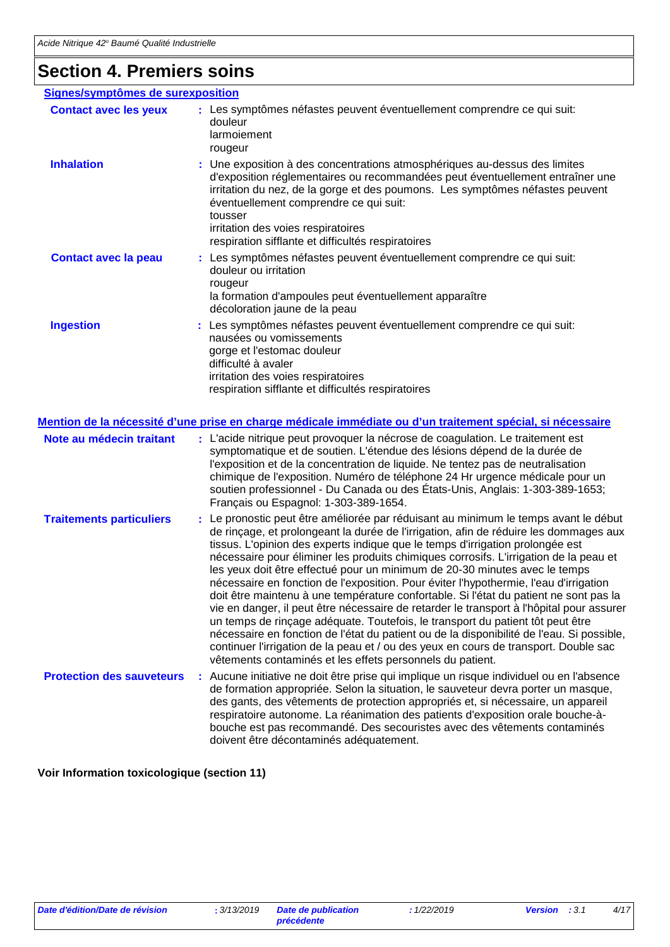## **Section 4. Premiers soins**

| Signes/symptômes de surexposition |                                                                                                                                                                                                                                                                                                                                                                                                                                                                                                                                                                                                                                                                                                                                                                                                                                                                                                                                                                                                                                                        |  |
|-----------------------------------|--------------------------------------------------------------------------------------------------------------------------------------------------------------------------------------------------------------------------------------------------------------------------------------------------------------------------------------------------------------------------------------------------------------------------------------------------------------------------------------------------------------------------------------------------------------------------------------------------------------------------------------------------------------------------------------------------------------------------------------------------------------------------------------------------------------------------------------------------------------------------------------------------------------------------------------------------------------------------------------------------------------------------------------------------------|--|
| <b>Contact avec les yeux</b>      | : Les symptômes néfastes peuvent éventuellement comprendre ce qui suit:<br>douleur<br>larmoiement<br>rougeur                                                                                                                                                                                                                                                                                                                                                                                                                                                                                                                                                                                                                                                                                                                                                                                                                                                                                                                                           |  |
| <b>Inhalation</b>                 | : Une exposition à des concentrations atmosphériques au-dessus des limites<br>d'exposition réglementaires ou recommandées peut éventuellement entraîner une<br>irritation du nez, de la gorge et des poumons. Les symptômes néfastes peuvent<br>éventuellement comprendre ce qui suit:<br>tousser<br>irritation des voies respiratoires<br>respiration sifflante et difficultés respiratoires                                                                                                                                                                                                                                                                                                                                                                                                                                                                                                                                                                                                                                                          |  |
| <b>Contact avec la peau</b>       | : Les symptômes néfastes peuvent éventuellement comprendre ce qui suit:<br>douleur ou irritation<br>rougeur<br>la formation d'ampoules peut éventuellement apparaître<br>décoloration jaune de la peau                                                                                                                                                                                                                                                                                                                                                                                                                                                                                                                                                                                                                                                                                                                                                                                                                                                 |  |
| <b>Ingestion</b>                  | Les symptômes néfastes peuvent éventuellement comprendre ce qui suit:<br>nausées ou vomissements<br>gorge et l'estomac douleur<br>difficulté à avaler<br>irritation des voies respiratoires<br>respiration sifflante et difficultés respiratoires                                                                                                                                                                                                                                                                                                                                                                                                                                                                                                                                                                                                                                                                                                                                                                                                      |  |
|                                   | <u>Mention de la nécessité d'une prise en charge médicale immédiate ou d'un traitement spécial, si nécessaire</u>                                                                                                                                                                                                                                                                                                                                                                                                                                                                                                                                                                                                                                                                                                                                                                                                                                                                                                                                      |  |
| Note au médecin traitant          | L'acide nitrique peut provoquer la nécrose de coagulation. Le traitement est<br>÷<br>symptomatique et de soutien. L'étendue des lésions dépend de la durée de<br>l'exposition et de la concentration de liquide. Ne tentez pas de neutralisation<br>chimique de l'exposition. Numéro de téléphone 24 Hr urgence médicale pour un<br>soutien professionnel - Du Canada ou des États-Unis, Anglais: 1-303-389-1653;<br>Français ou Espagnol: 1-303-389-1654.                                                                                                                                                                                                                                                                                                                                                                                                                                                                                                                                                                                             |  |
| <b>Traitements particuliers</b>   | : Le pronostic peut être améliorée par réduisant au minimum le temps avant le début<br>de rinçage, et prolongeant la durée de l'irrigation, afin de réduire les dommages aux<br>tissus. L'opinion des experts indique que le temps d'irrigation prolongée est<br>nécessaire pour éliminer les produits chimiques corrosifs. L'irrigation de la peau et<br>les yeux doit être effectué pour un minimum de 20-30 minutes avec le temps<br>nécessaire en fonction de l'exposition. Pour éviter l'hypothermie, l'eau d'irrigation<br>doit être maintenu à une température confortable. Si l'état du patient ne sont pas la<br>vie en danger, il peut être nécessaire de retarder le transport à l'hôpital pour assurer<br>un temps de rinçage adéquate. Toutefois, le transport du patient tôt peut être<br>nécessaire en fonction de l'état du patient ou de la disponibilité de l'eau. Si possible,<br>continuer l'irrigation de la peau et / ou des yeux en cours de transport. Double sac<br>vêtements contaminés et les effets personnels du patient. |  |
| <b>Protection des sauveteurs</b>  | : Aucune initiative ne doit être prise qui implique un risque individuel ou en l'absence<br>de formation appropriée. Selon la situation, le sauveteur devra porter un masque,<br>des gants, des vêtements de protection appropriés et, si nécessaire, un appareil<br>respiratoire autonome. La réanimation des patients d'exposition orale bouche-à-<br>bouche est pas recommandé. Des secouristes avec des vêtements contaminés<br>doivent être décontaminés adéquatement.                                                                                                                                                                                                                                                                                                                                                                                                                                                                                                                                                                            |  |

**Voir Information toxicologique (section 11)**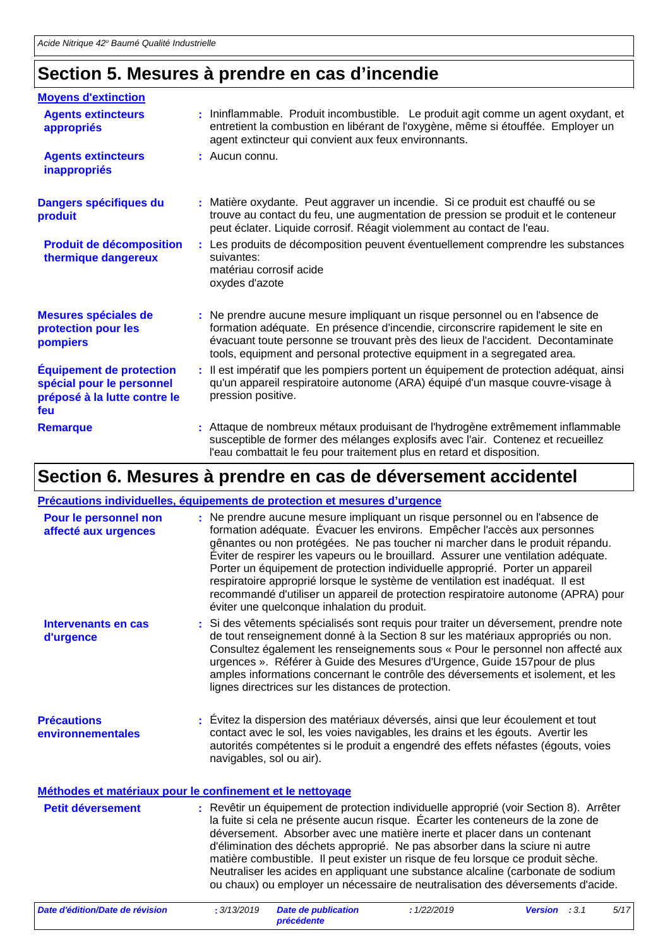### **Section 5. Mesures à prendre en cas d'incendie**

| <b>Moyens d'extinction</b>                                                                          |                                                                                                                                                                                                                                                                                                                               |
|-----------------------------------------------------------------------------------------------------|-------------------------------------------------------------------------------------------------------------------------------------------------------------------------------------------------------------------------------------------------------------------------------------------------------------------------------|
| <b>Agents extincteurs</b><br>appropriés                                                             | : Ininflammable. Produit incombustible. Le produit agit comme un agent oxydant, et<br>entretient la combustion en libérant de l'oxygène, même si étouffée. Employer un<br>agent extincteur qui convient aux feux environnants.                                                                                                |
| <b>Agents extincteurs</b><br>inappropriés                                                           | $:$ Aucun connu.                                                                                                                                                                                                                                                                                                              |
| Dangers spécifiques du<br>produit                                                                   | : Matière oxydante. Peut aggraver un incendie. Si ce produit est chauffé ou se<br>trouve au contact du feu, une augmentation de pression se produit et le conteneur<br>peut éclater. Liquide corrosif. Réagit violemment au contact de l'eau.                                                                                 |
| <b>Produit de décomposition</b><br>thermique dangereux                                              | : Les produits de décomposition peuvent éventuellement comprendre les substances<br>suivantes:<br>matériau corrosif acide<br>oxydes d'azote                                                                                                                                                                                   |
| Mesures spéciales de<br>protection pour les<br>pompiers                                             | : Ne prendre aucune mesure impliquant un risque personnel ou en l'absence de<br>formation adéquate. En présence d'incendie, circonscrire rapidement le site en<br>évacuant toute personne se trouvant près des lieux de l'accident. Decontaminate<br>tools, equipment and personal protective equipment in a segregated area. |
| <b>Équipement de protection</b><br>spécial pour le personnel<br>préposé à la lutte contre le<br>feu | : Il est impératif que les pompiers portent un équipement de protection adéquat, ainsi<br>qu'un appareil respiratoire autonome (ARA) équipé d'un masque couvre-visage à<br>pression positive.                                                                                                                                 |
| <b>Remarque</b>                                                                                     | : Attaque de nombreux métaux produisant de l'hydrogène extrêmement inflammable<br>susceptible de former des mélanges explosifs avec l'air. Contenez et recueillez<br>l'eau combattait le feu pour traitement plus en retard et disposition.                                                                                   |

### **Section 6. Mesures à prendre en cas de déversement accidentel**

#### **Précautions individuelles, équipements de protection et mesures d'urgence**

| Pour le personnel non<br>affecté aux urgences | : Ne prendre aucune mesure impliquant un risque personnel ou en l'absence de<br>formation adéquate. Évacuer les environs. Empêcher l'accès aux personnes<br>gênantes ou non protégées. Ne pas toucher ni marcher dans le produit répandu.<br>Éviter de respirer les vapeurs ou le brouillard. Assurer une ventilation adéquate.<br>Porter un équipement de protection individuelle approprié. Porter un appareil<br>respiratoire approprié lorsque le système de ventilation est inadéquat. Il est<br>recommandé d'utiliser un appareil de protection respiratoire autonome (APRA) pour<br>éviter une quelconque inhalation du produit. |
|-----------------------------------------------|-----------------------------------------------------------------------------------------------------------------------------------------------------------------------------------------------------------------------------------------------------------------------------------------------------------------------------------------------------------------------------------------------------------------------------------------------------------------------------------------------------------------------------------------------------------------------------------------------------------------------------------------|
| Intervenants en cas<br>d'urgence              | : Si des vêtements spécialisés sont requis pour traiter un déversement, prendre note<br>de tout renseignement donné à la Section 8 sur les matériaux appropriés ou non.<br>Consultez également les renseignements sous « Pour le personnel non affecté aux<br>urgences ». Référer à Guide des Mesures d'Urgence, Guide 157 pour de plus<br>amples informations concernant le contrôle des déversements et isolement, et les<br>lignes directrices sur les distances de protection.                                                                                                                                                      |
| <b>Précautions</b><br>environnementales       | : Évitez la dispersion des matériaux déversés, ainsi que leur écoulement et tout<br>contact avec le sol, les voies navigables, les drains et les égouts. Avertir les<br>autorités compétentes si le produit a engendré des effets néfastes (égouts, voies<br>navigables, sol ou air).                                                                                                                                                                                                                                                                                                                                                   |
|                                               | Méthodes et matériaux pour le confinement et le nettoyage                                                                                                                                                                                                                                                                                                                                                                                                                                                                                                                                                                               |
| <b>Petit déversement</b>                      | : Revêtir un équipement de protection individuelle approprié (voir Section 8). Arrêter<br>la fuite si cela ne présente aucun risque. Écarter les conteneurs de la zone de<br>déversement. Absorber avec une matière inerte et placer dans un contenant<br>d'élimination des déchets approprié. Ne pas absorber dans la sciure ni autre<br>matière combustible. Il peut exister un risque de feu lorsque ce produit sèche.<br>Neutraliser les acides en appliquant une substance alcaline (carbonate de sodium<br>ou chaux) ou employer un nécessaire de neutralisation des déversements d'acide.                                        |
| Data alláaltian (Data ala nácilatan           | $\frac{1}{2}$<br>$2/42/2010$ Data de nublication<br>$.1$ mnm $.10$                                                                                                                                                                                                                                                                                                                                                                                                                                                                                                                                                                      |

*Date d'édition/Date de révision* **:** *3/13/2019 Date de publication précédente : 1/22/2019 Version : 3.1 5/17*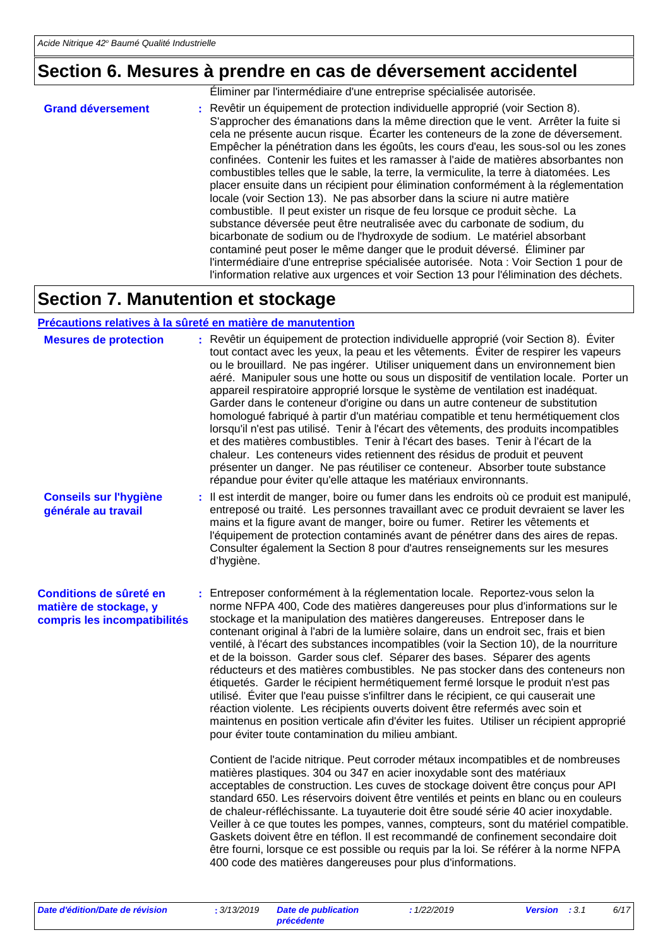## **Section 6. Mesures à prendre en cas de déversement accidentel**

|                          | Éliminer par l'intermédiaire d'une entreprise spécialisée autorisée.                                                                                                                                                                                                                                                                                                                                                                                                                                                                                                                                                                                                                                                                                                                                                                                                                                                                                                                                                                                                                                                                                                                                    |
|--------------------------|---------------------------------------------------------------------------------------------------------------------------------------------------------------------------------------------------------------------------------------------------------------------------------------------------------------------------------------------------------------------------------------------------------------------------------------------------------------------------------------------------------------------------------------------------------------------------------------------------------------------------------------------------------------------------------------------------------------------------------------------------------------------------------------------------------------------------------------------------------------------------------------------------------------------------------------------------------------------------------------------------------------------------------------------------------------------------------------------------------------------------------------------------------------------------------------------------------|
| <b>Grand déversement</b> | : Revêtir un équipement de protection individuelle approprié (voir Section 8).<br>S'approcher des émanations dans la même direction que le vent. Arrêter la fuite si<br>cela ne présente aucun risque. Écarter les conteneurs de la zone de déversement.<br>Empêcher la pénétration dans les égoûts, les cours d'eau, les sous-sol ou les zones<br>confinées. Contenir les fuites et les ramasser à l'aide de matières absorbantes non<br>combustibles telles que le sable, la terre, la vermiculite, la terre à diatomées. Les<br>placer ensuite dans un récipient pour élimination conformément à la réglementation<br>locale (voir Section 13). Ne pas absorber dans la sciure ni autre matière<br>combustible. Il peut exister un risque de feu lorsque ce produit sèche. La<br>substance déversée peut être neutralisée avec du carbonate de sodium, du<br>bicarbonate de sodium ou de l'hydroxyde de sodium. Le matériel absorbant<br>contaminé peut poser le même danger que le produit déversé. Éliminer par<br>l'intermédiaire d'une entreprise spécialisée autorisée. Nota : Voir Section 1 pour de<br>l'information relative aux urgences et voir Section 13 pour l'élimination des déchets. |

### **Section 7. Manutention et stockage**

#### **Précautions relatives à la sûreté en matière de manutention**

| <b>Mesures de protection</b>                                                      | : Revêtir un équipement de protection individuelle approprié (voir Section 8). Éviter<br>tout contact avec les yeux, la peau et les vêtements. Eviter de respirer les vapeurs<br>ou le brouillard. Ne pas ingérer. Utiliser uniquement dans un environnement bien<br>aéré. Manipuler sous une hotte ou sous un dispositif de ventilation locale. Porter un<br>appareil respiratoire approprié lorsque le système de ventilation est inadéquat.<br>Garder dans le conteneur d'origine ou dans un autre conteneur de substitution<br>homologué fabriqué à partir d'un matériau compatible et tenu hermétiquement clos<br>lorsqu'il n'est pas utilisé. Tenir à l'écart des vêtements, des produits incompatibles<br>et des matières combustibles. Tenir à l'écart des bases. Tenir à l'écart de la<br>chaleur. Les conteneurs vides retiennent des résidus de produit et peuvent<br>présenter un danger. Ne pas réutiliser ce conteneur. Absorber toute substance<br>répandue pour éviter qu'elle attaque les matériaux environnants. |
|-----------------------------------------------------------------------------------|------------------------------------------------------------------------------------------------------------------------------------------------------------------------------------------------------------------------------------------------------------------------------------------------------------------------------------------------------------------------------------------------------------------------------------------------------------------------------------------------------------------------------------------------------------------------------------------------------------------------------------------------------------------------------------------------------------------------------------------------------------------------------------------------------------------------------------------------------------------------------------------------------------------------------------------------------------------------------------------------------------------------------------|
| <b>Conseils sur l'hygiène</b><br>générale au travail                              | : Il est interdit de manger, boire ou fumer dans les endroits où ce produit est manipulé,<br>entreposé ou traité. Les personnes travaillant avec ce produit devraient se laver les<br>mains et la figure avant de manger, boire ou fumer. Retirer les vêtements et<br>l'équipement de protection contaminés avant de pénétrer dans des aires de repas.<br>Consulter également la Section 8 pour d'autres renseignements sur les mesures<br>d'hygiène.                                                                                                                                                                                                                                                                                                                                                                                                                                                                                                                                                                              |
| Conditions de sûreté en<br>matière de stockage, y<br>compris les incompatibilités | Entreposer conformément à la réglementation locale. Reportez-vous selon la<br>norme NFPA 400, Code des matières dangereuses pour plus d'informations sur le<br>stockage et la manipulation des matières dangereuses. Entreposer dans le<br>contenant original à l'abri de la lumière solaire, dans un endroit sec, frais et bien<br>ventilé, à l'écart des substances incompatibles (voir la Section 10), de la nourriture<br>et de la boisson. Garder sous clef. Séparer des bases. Séparer des agents<br>réducteurs et des matières combustibles. Ne pas stocker dans des conteneurs non<br>étiquetés. Garder le récipient hermétiquement fermé lorsque le produit n'est pas<br>utilisé. Éviter que l'eau puisse s'infiltrer dans le récipient, ce qui causerait une<br>réaction violente. Les récipients ouverts doivent être refermés avec soin et<br>maintenus en position verticale afin d'éviter les fuites. Utiliser un récipient approprié<br>pour éviter toute contamination du milieu ambiant.                          |
|                                                                                   | Contient de l'acide nitrique. Peut corroder métaux incompatibles et de nombreuses<br>matières plastiques. 304 ou 347 en acier inoxydable sont des matériaux<br>acceptables de construction. Les cuves de stockage doivent être conçus pour API<br>standard 650. Les réservoirs doivent être ventilés et peints en blanc ou en couleurs<br>de chaleur-réfléchissante. La tuyauterie doit être soudé série 40 acier inoxydable.<br>Veiller à ce que toutes les pompes, vannes, compteurs, sont du matériel compatible.<br>Gaskets doivent être en téflon. Il est recommandé de confinement secondaire doit<br>être fourni, lorsque ce est possible ou requis par la loi. Se référer à la norme NFPA<br>400 code des matières dangereuses pour plus d'informations.                                                                                                                                                                                                                                                                   |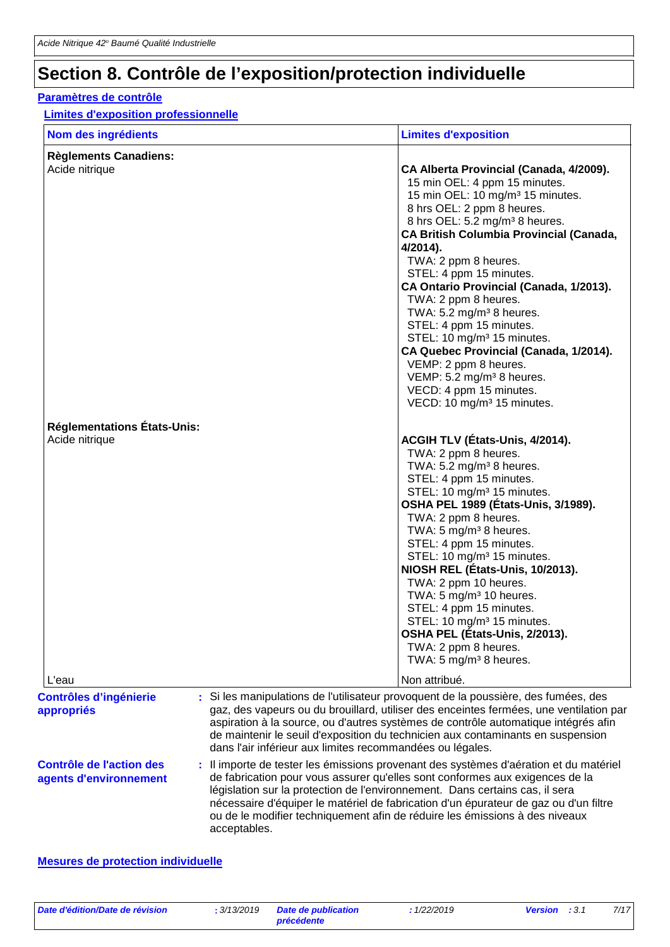### **Section 8. Contrôle de l'exposition/protection individuelle**

#### **Paramètres de contrôle**

#### **Limites d'exposition professionnelle**

| Nom des ingrédients                                  | <b>Limites d'exposition</b>                                                                                                                                                                                                                                                                                                                                                                                                                                                                                                                                                                                                                     |
|------------------------------------------------------|-------------------------------------------------------------------------------------------------------------------------------------------------------------------------------------------------------------------------------------------------------------------------------------------------------------------------------------------------------------------------------------------------------------------------------------------------------------------------------------------------------------------------------------------------------------------------------------------------------------------------------------------------|
| <b>Règlements Canadiens:</b>                         |                                                                                                                                                                                                                                                                                                                                                                                                                                                                                                                                                                                                                                                 |
| Acide nitrique                                       | CA Alberta Provincial (Canada, 4/2009).<br>15 min OEL: 4 ppm 15 minutes.<br>15 min OEL: 10 mg/m <sup>3</sup> 15 minutes.<br>8 hrs OEL: 2 ppm 8 heures.<br>8 hrs OEL: 5.2 mg/m <sup>3</sup> 8 heures.<br><b>CA British Columbia Provincial (Canada,</b><br>$4/2014$ ).<br>TWA: 2 ppm 8 heures.<br>STEL: 4 ppm 15 minutes.<br>CA Ontario Provincial (Canada, 1/2013).<br>TWA: 2 ppm 8 heures.<br>TWA: 5.2 mg/m <sup>3</sup> 8 heures.<br>STEL: 4 ppm 15 minutes.<br>STEL: 10 mg/m <sup>3</sup> 15 minutes.<br>CA Quebec Provincial (Canada, 1/2014).<br>VEMP: 2 ppm 8 heures.<br>VEMP: 5.2 mg/m <sup>3</sup> 8 heures.<br>VECD: 4 ppm 15 minutes. |
|                                                      | VECD: 10 mg/m <sup>3</sup> 15 minutes.                                                                                                                                                                                                                                                                                                                                                                                                                                                                                                                                                                                                          |
| <b>Réglementations États-Unis:</b><br>Acide nitrique | ACGIH TLV (États-Unis, 4/2014).<br>TWA: 2 ppm 8 heures.<br>TWA: 5.2 mg/m <sup>3</sup> 8 heures.<br>STEL: 4 ppm 15 minutes.<br>STEL: 10 mg/m <sup>3</sup> 15 minutes.<br>OSHA PEL 1989 (États-Unis, 3/1989).<br>TWA: 2 ppm 8 heures.<br>TWA: 5 mg/m <sup>3</sup> 8 heures.<br>STEL: 4 ppm 15 minutes.<br>STEL: 10 mg/m <sup>3</sup> 15 minutes.<br>NIOSH REL (États-Unis, 10/2013).<br>TWA: 2 ppm 10 heures.<br>TWA: 5 mg/m <sup>3</sup> 10 heures.<br>STEL: 4 ppm 15 minutes.<br>STEL: 10 mg/m <sup>3</sup> 15 minutes.<br>OSHA PEL (États-Unis, 2/2013).<br>TWA: 2 ppm 8 heures.<br>TWA: 5 mg/m <sup>3</sup> 8 heures.                         |
| L'eau                                                | Non attribué.                                                                                                                                                                                                                                                                                                                                                                                                                                                                                                                                                                                                                                   |
| <b>Contrôles d'ingénierie</b><br>appropriés          | : Si les manipulations de l'utilisateur provoquent de la poussière, des fumées, des<br>gaz, des vapeurs ou du brouillard, utiliser des enceintes fermées, une ventilation par<br>aspiration à la source, ou d'autres systèmes de contrôle automatique intégrés afin<br>de maintenir le seuil d'exposition du technicien aux contaminants en suspension<br>dans l'air inférieur aux limites recommandées ou légales.                                                                                                                                                                                                                             |

#### **Contrôle de l'action des agents d'environnement :** Il importe de tester les émissions provenant des systèmes d'aération et du matériel de fabrication pour vous assurer qu'elles sont conformes aux exigences de la législation sur la protection de l'environnement. Dans certains cas, il sera nécessaire d'équiper le matériel de fabrication d'un épurateur de gaz ou d'un filtre ou de le modifier techniquement afin de réduire les émissions à des niveaux acceptables.

#### **Mesures de protection individuelle**

*Date d'édition/Date de révision* **:** *3/13/2019 Date de publication*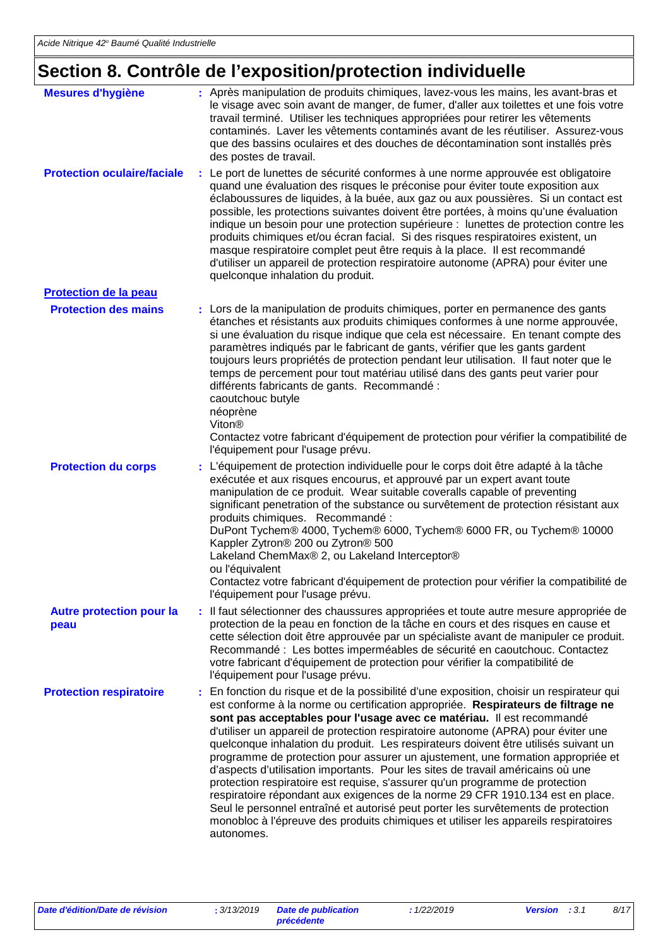# **Section 8. Contrôle de l'exposition/protection individuelle**

| <b>Mesures d'hygiène</b>                | : Après manipulation de produits chimiques, lavez-vous les mains, les avant-bras et<br>le visage avec soin avant de manger, de fumer, d'aller aux toilettes et une fois votre<br>travail terminé. Utiliser les techniques appropriées pour retirer les vêtements<br>contaminés. Laver les vêtements contaminés avant de les réutiliser. Assurez-vous<br>que des bassins oculaires et des douches de décontamination sont installés près<br>des postes de travail.                                                                                                                                                                                                                                                                                                                                                                                                                                                                                                  |
|-----------------------------------------|--------------------------------------------------------------------------------------------------------------------------------------------------------------------------------------------------------------------------------------------------------------------------------------------------------------------------------------------------------------------------------------------------------------------------------------------------------------------------------------------------------------------------------------------------------------------------------------------------------------------------------------------------------------------------------------------------------------------------------------------------------------------------------------------------------------------------------------------------------------------------------------------------------------------------------------------------------------------|
| <b>Protection oculaire/faciale</b>      | : Le port de lunettes de sécurité conformes à une norme approuvée est obligatoire<br>quand une évaluation des risques le préconise pour éviter toute exposition aux<br>éclaboussures de liquides, à la buée, aux gaz ou aux poussières. Si un contact est<br>possible, les protections suivantes doivent être portées, à moins qu'une évaluation<br>indique un besoin pour une protection supérieure : lunettes de protection contre les<br>produits chimiques et/ou écran facial. Si des risques respiratoires existent, un<br>masque respiratoire complet peut être requis à la place. Il est recommandé<br>d'utiliser un appareil de protection respiratoire autonome (APRA) pour éviter une<br>quelconque inhalation du produit.                                                                                                                                                                                                                               |
| <b>Protection de la peau</b>            |                                                                                                                                                                                                                                                                                                                                                                                                                                                                                                                                                                                                                                                                                                                                                                                                                                                                                                                                                                    |
| <b>Protection des mains</b>             | : Lors de la manipulation de produits chimiques, porter en permanence des gants<br>étanches et résistants aux produits chimiques conformes à une norme approuvée,<br>si une évaluation du risque indique que cela est nécessaire. En tenant compte des<br>paramètres indiqués par le fabricant de gants, vérifier que les gants gardent<br>toujours leurs propriétés de protection pendant leur utilisation. Il faut noter que le<br>temps de percement pour tout matériau utilisé dans des gants peut varier pour<br>différents fabricants de gants. Recommandé :<br>caoutchouc butyle<br>néoprène<br>Viton <sup>®</sup><br>Contactez votre fabricant d'équipement de protection pour vérifier la compatibilité de<br>l'équipement pour l'usage prévu.                                                                                                                                                                                                            |
| <b>Protection du corps</b>              | L'équipement de protection individuelle pour le corps doit être adapté à la tâche<br>exécutée et aux risques encourus, et approuvé par un expert avant toute<br>manipulation de ce produit. Wear suitable coveralls capable of preventing<br>significant penetration of the substance ou survêtement de protection résistant aux<br>produits chimiques. Recommandé :<br>DuPont Tychem® 4000, Tychem® 6000, Tychem® 6000 FR, ou Tychem® 10000<br>Kappler Zytron® 200 ou Zytron® 500<br>Lakeland ChemMax® 2, ou Lakeland Interceptor®<br>ou l'équivalent<br>Contactez votre fabricant d'équipement de protection pour vérifier la compatibilité de<br>l'équipement pour l'usage prévu.                                                                                                                                                                                                                                                                               |
| <b>Autre protection pour la</b><br>peau | : Il faut sélectionner des chaussures appropriées et toute autre mesure appropriée de<br>protection de la peau en fonction de la tâche en cours et des risques en cause et<br>cette sélection doit être approuvée par un spécialiste avant de manipuler ce produit.<br>Recommandé : Les bottes imperméables de sécurité en caoutchouc. Contactez<br>votre fabricant d'équipement de protection pour vérifier la compatibilité de<br>l'équipement pour l'usage prévu.                                                                                                                                                                                                                                                                                                                                                                                                                                                                                               |
| <b>Protection respiratoire</b>          | En fonction du risque et de la possibilité d'une exposition, choisir un respirateur qui<br>est conforme à la norme ou certification appropriée. Respirateurs de filtrage ne<br>sont pas acceptables pour l'usage avec ce matériau. Il est recommandé<br>d'utiliser un appareil de protection respiratoire autonome (APRA) pour éviter une<br>quelconque inhalation du produit. Les respirateurs doivent être utilisés suivant un<br>programme de protection pour assurer un ajustement, une formation appropriée et<br>d'aspects d'utilisation importants. Pour les sites de travail américains où une<br>protection respiratoire est requise, s'assurer qu'un programme de protection<br>respiratoire répondant aux exigences de la norme 29 CFR 1910.134 est en place.<br>Seul le personnel entraîné et autorisé peut porter les survêtements de protection<br>monobloc à l'épreuve des produits chimiques et utiliser les appareils respiratoires<br>autonomes. |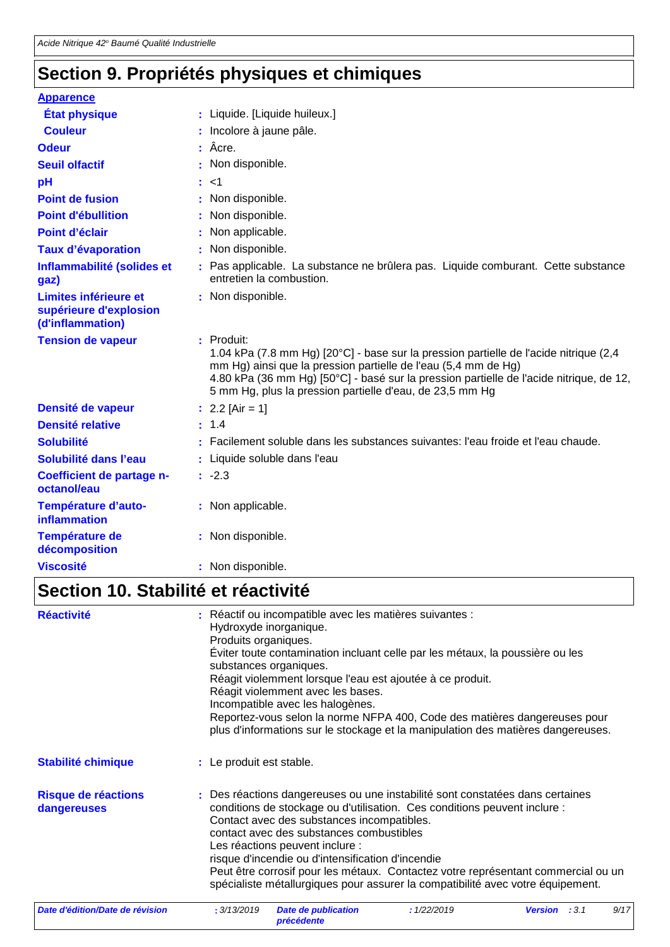## **Section 9. Propriétés physiques et chimiques**

| <b>Apparence</b>                                                    |                                                                                                                                                                                                                                                                                                                                |
|---------------------------------------------------------------------|--------------------------------------------------------------------------------------------------------------------------------------------------------------------------------------------------------------------------------------------------------------------------------------------------------------------------------|
| <b>État physique</b>                                                | : Liquide. [Liquide huileux.]                                                                                                                                                                                                                                                                                                  |
| <b>Couleur</b>                                                      | : Incolore à jaune pâle.                                                                                                                                                                                                                                                                                                       |
| <b>Odeur</b>                                                        | Âcre.                                                                                                                                                                                                                                                                                                                          |
| <b>Seuil olfactif</b>                                               | Non disponible.                                                                                                                                                                                                                                                                                                                |
| pH                                                                  | 1>                                                                                                                                                                                                                                                                                                                             |
| <b>Point de fusion</b>                                              | Non disponible.                                                                                                                                                                                                                                                                                                                |
| <b>Point d'ébullition</b>                                           | Non disponible.                                                                                                                                                                                                                                                                                                                |
| Point d'éclair                                                      | Non applicable.                                                                                                                                                                                                                                                                                                                |
| <b>Taux d'évaporation</b>                                           | Non disponible.                                                                                                                                                                                                                                                                                                                |
| Inflammabilité (solides et<br>gaz)                                  | Pas applicable. La substance ne brûlera pas. Liquide comburant. Cette substance<br>entretien la combustion.                                                                                                                                                                                                                    |
| Limites inférieure et<br>supérieure d'explosion<br>(d'inflammation) | : Non disponible.                                                                                                                                                                                                                                                                                                              |
| <b>Tension de vapeur</b>                                            | $:$ Produit:<br>1.04 kPa (7.8 mm Hg) [20°C] - base sur la pression partielle de l'acide nitrique (2,4<br>mm Hg) ainsi que la pression partielle de l'eau (5,4 mm de Hg)<br>4.80 kPa (36 mm Hg) [50°C] - basé sur la pression partielle de l'acide nitrique, de 12,<br>5 mm Hg, plus la pression partielle d'eau, de 23,5 mm Hg |
| Densité de vapeur                                                   | : $2.2$ [Air = 1]                                                                                                                                                                                                                                                                                                              |
| <b>Densité relative</b>                                             | 1.4                                                                                                                                                                                                                                                                                                                            |
| <b>Solubilité</b>                                                   | Facilement soluble dans les substances suivantes: l'eau froide et l'eau chaude.                                                                                                                                                                                                                                                |
| Solubilité dans l'eau                                               | Liquide soluble dans l'eau                                                                                                                                                                                                                                                                                                     |
| Coefficient de partage n-<br>octanol/eau                            | $: -2.3$                                                                                                                                                                                                                                                                                                                       |
| Température d'auto-<br><b>inflammation</b>                          | : Non applicable.                                                                                                                                                                                                                                                                                                              |
| Température de<br>décomposition                                     | : Non disponible.                                                                                                                                                                                                                                                                                                              |
| <b>Viscosité</b>                                                    | : Non disponible.                                                                                                                                                                                                                                                                                                              |

## **Section 10. Stabilité et réactivité**

| <b>Réactivité</b>                  | Produits organiques.     | : Réactif ou incompatible avec les matières suivantes :<br>Hydroxyde inorganique.<br>Éviter toute contamination incluant celle par les métaux, la poussière ou les<br>substances organiques.<br>Réagit violemment lorsque l'eau est ajoutée à ce produit.<br>Réagit violemment avec les bases.<br>Incompatible avec les halogènes.<br>Reportez-vous selon la norme NFPA 400, Code des matières dangereuses pour<br>plus d'informations sur le stockage et la manipulation des matières dangereuses.                  |             |                      |  |      |  |
|------------------------------------|--------------------------|----------------------------------------------------------------------------------------------------------------------------------------------------------------------------------------------------------------------------------------------------------------------------------------------------------------------------------------------------------------------------------------------------------------------------------------------------------------------------------------------------------------------|-------------|----------------------|--|------|--|
| <b>Stabilité chimique</b>          | : Le produit est stable. |                                                                                                                                                                                                                                                                                                                                                                                                                                                                                                                      |             |                      |  |      |  |
| Risque de réactions<br>dangereuses |                          | : Des réactions dangereuses ou une instabilité sont constatées dans certaines<br>conditions de stockage ou d'utilisation. Ces conditions peuvent inclure :<br>Contact avec des substances incompatibles.<br>contact avec des substances combustibles<br>Les réactions peuvent inclure :<br>risque d'incendie ou d'intensification d'incendie<br>Peut être corrosif pour les métaux. Contactez votre représentant commercial ou un<br>spécialiste métallurgiques pour assurer la compatibilité avec votre équipement. |             |                      |  |      |  |
| Date d'édition/Date de révision    | : 3/13/2019              | <b>Date de publication</b><br>précédente                                                                                                                                                                                                                                                                                                                                                                                                                                                                             | : 1/22/2019 | <b>Version</b> : 3.1 |  | 9/17 |  |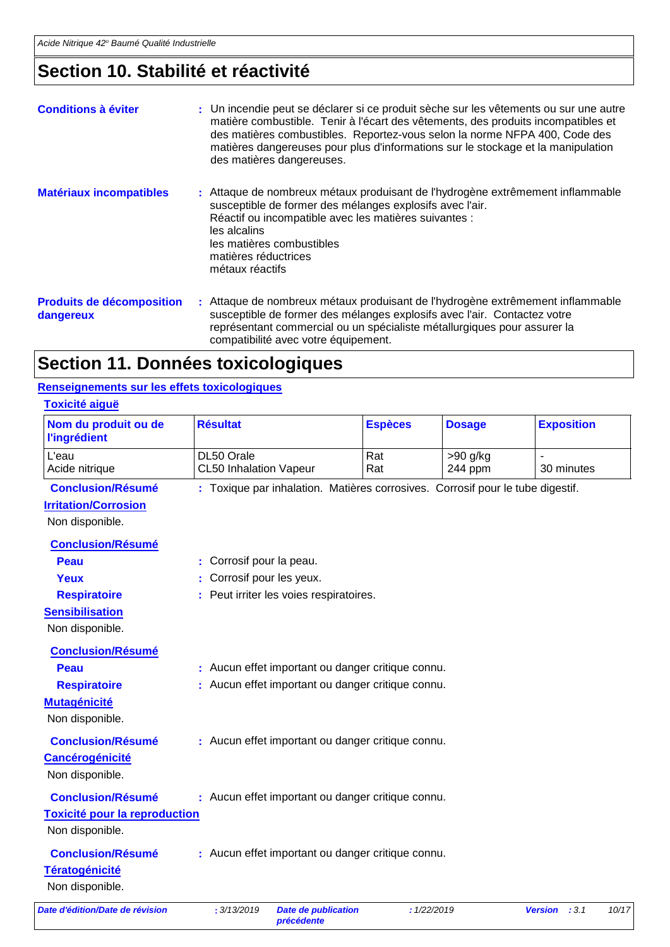## **Section 10. Stabilité et réactivité**

| <b>Conditions à éviter</b>                    | : Un incendie peut se déclarer si ce produit sèche sur les vêtements ou sur une autre<br>matière combustible. Tenir à l'écart des vêtements, des produits incompatibles et<br>des matières combustibles. Reportez-vous selon la norme NFPA 400, Code des<br>matières dangereuses pour plus d'informations sur le stockage et la manipulation<br>des matières dangereuses. |
|-----------------------------------------------|---------------------------------------------------------------------------------------------------------------------------------------------------------------------------------------------------------------------------------------------------------------------------------------------------------------------------------------------------------------------------|
| <b>Matériaux incompatibles</b>                | : Attaque de nombreux métaux produisant de l'hydrogène extrêmement inflammable<br>susceptible de former des mélanges explosifs avec l'air.<br>Réactif ou incompatible avec les matières suivantes :<br>les alcalins<br>les matières combustibles<br>matières réductrices<br>métaux réactifs                                                                               |
| <b>Produits de décomposition</b><br>dangereux | : Attaque de nombreux métaux produisant de l'hydrogène extrêmement inflammable<br>susceptible de former des mélanges explosifs avec l'air. Contactez votre<br>représentant commercial ou un spécialiste métallurgiques pour assurer la<br>compatibilité avec votre équipement.                                                                                            |

### **Section 11. Données toxicologiques**

#### **Renseignements sur les effets toxicologiques**

| Nom du produit ou de<br><b>l'ingrédient</b> | <b>Résultat</b>                       | <b>Espèces</b>                                                                 | <b>Dosage</b> | <b>Exposition</b>      |
|---------------------------------------------|---------------------------------------|--------------------------------------------------------------------------------|---------------|------------------------|
| L'eau                                       | DL50 Orale                            | Rat                                                                            | $>90$ g/kg    |                        |
| Acide nitrique                              | <b>CL50 Inhalation Vapeur</b>         | Rat                                                                            | 244 ppm       | 30 minutes             |
| <b>Conclusion/Résumé</b>                    |                                       | : Toxique par inhalation. Matières corrosives. Corrosif pour le tube digestif. |               |                        |
| <b>Irritation/Corrosion</b>                 |                                       |                                                                                |               |                        |
| Non disponible.                             |                                       |                                                                                |               |                        |
| <b>Conclusion/Résumé</b>                    |                                       |                                                                                |               |                        |
| Peau                                        | Corrosif pour la peau.                |                                                                                |               |                        |
| <b>Yeux</b>                                 | Corrosif pour les yeux.               |                                                                                |               |                        |
| <b>Respiratoire</b>                         | Peut irriter les voies respiratoires. |                                                                                |               |                        |
| <b>Sensibilisation</b>                      |                                       |                                                                                |               |                        |
| Non disponible.                             |                                       |                                                                                |               |                        |
| <b>Conclusion/Résumé</b>                    |                                       |                                                                                |               |                        |
| <b>Peau</b>                                 |                                       | : Aucun effet important ou danger critique connu.                              |               |                        |
| <b>Respiratoire</b>                         |                                       | Aucun effet important ou danger critique connu.                                |               |                        |
| <b>Mutagénicité</b>                         |                                       |                                                                                |               |                        |
| Non disponible.                             |                                       |                                                                                |               |                        |
| <b>Conclusion/Résumé</b>                    |                                       | : Aucun effet important ou danger critique connu.                              |               |                        |
| <b>Cancérogénicité</b>                      |                                       |                                                                                |               |                        |
| Non disponible.                             |                                       |                                                                                |               |                        |
| <b>Conclusion/Résumé</b>                    |                                       | : Aucun effet important ou danger critique connu.                              |               |                        |
| <b>Toxicité pour la reproduction</b>        |                                       |                                                                                |               |                        |
| Non disponible.                             |                                       |                                                                                |               |                        |
| <b>Conclusion/Résumé</b>                    |                                       | : Aucun effet important ou danger critique connu.                              |               |                        |
| <b>Tératogénicité</b>                       |                                       |                                                                                |               |                        |
| Non disponible.                             |                                       |                                                                                |               |                        |
| Date d'édition/Date de révision             | : 3/13/2019<br>précédente             | <b>Date de publication</b>                                                     | : 1/22/2019   | 10/17<br>Version : 3.1 |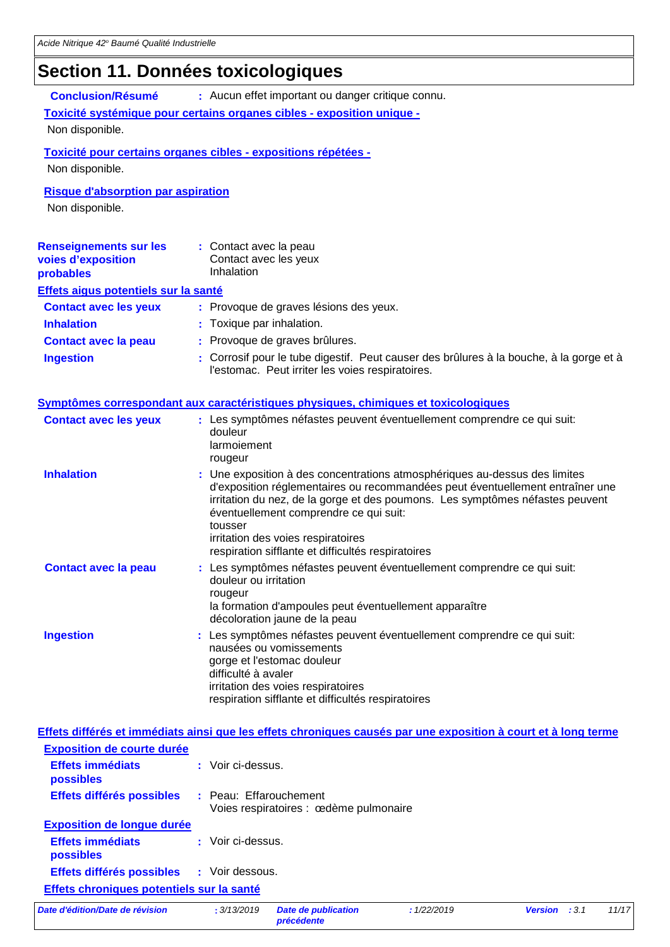### **Section 11. Données toxicologiques**

**Conclusion/Résumé :** Aucun effet important ou danger critique connu.

#### **Toxicité systémique pour certains organes cibles - exposition unique -**

Non disponible.

#### **Toxicité pour certains organes cibles - expositions répétées -**

Non disponible.

#### **Risque d'absorption par aspiration**

Non disponible.

| <b>Renseignements sur les</b><br>voies d'exposition<br>probables | : Contact avec la peau<br>Contact avec les yeux<br>Inhalation                                                                               |
|------------------------------------------------------------------|---------------------------------------------------------------------------------------------------------------------------------------------|
| Effets aigus potentiels sur la santé                             |                                                                                                                                             |
| <b>Contact avec les yeux</b>                                     | : Provoque de graves lésions des yeux.                                                                                                      |
| <b>Inhalation</b>                                                | : Toxique par inhalation.                                                                                                                   |
| <b>Contact avec la peau</b>                                      | : Provoque de graves brûlures.                                                                                                              |
| <b>Ingestion</b>                                                 | : Corrosif pour le tube digestif. Peut causer des brûlures à la bouche, à la gorge et à<br>l'estomac. Peut irriter les voies respiratoires. |

#### **Symptômes correspondant aux caractéristiques physiques, chimiques et toxicologiques**

| <b>Contact avec les yeux</b> | : Les symptômes néfastes peuvent éventuellement comprendre ce qui suit:<br>douleur<br>larmoiement<br>rougeur                                                                                                                                                                                                                                                                                  |
|------------------------------|-----------------------------------------------------------------------------------------------------------------------------------------------------------------------------------------------------------------------------------------------------------------------------------------------------------------------------------------------------------------------------------------------|
| <b>Inhalation</b>            | : Une exposition à des concentrations atmosphériques au-dessus des limites<br>d'exposition réglementaires ou recommandées peut éventuellement entraîner une<br>irritation du nez, de la gorge et des poumons. Les symptômes néfastes peuvent<br>éventuellement comprendre ce qui suit:<br>tousser<br>irritation des voies respiratoires<br>respiration sifflante et difficultés respiratoires |
| <b>Contact avec la peau</b>  | : Les symptômes néfastes peuvent éventuellement comprendre ce qui suit:<br>douleur ou irritation<br>rougeur<br>la formation d'ampoules peut éventuellement apparaître<br>décoloration jaune de la peau                                                                                                                                                                                        |
| <b>Ingestion</b>             | : Les symptômes néfastes peuvent éventuellement comprendre ce qui suit:<br>nausées ou vomissements<br>gorge et l'estomac douleur<br>difficulté à avaler<br>irritation des voies respiratoires<br>respiration sifflante et difficultés respiratoires                                                                                                                                           |

|                                           | Effets différés et immédiats ainsi que les effets chroniques causés par une exposition à court et à long terme |
|-------------------------------------------|----------------------------------------------------------------------------------------------------------------|
| <b>Exposition de courte durée</b>         |                                                                                                                |
| <b>Effets immédiats</b><br>possibles      | : Voir ci-dessus.                                                                                              |
| Effets différés possibles                 | : Peau: Effarouchement<br>Voies respiratoires : cedème pulmonaire                                              |
| <b>Exposition de longue durée</b>         |                                                                                                                |
| <b>Effets immédiats</b><br>possibles      | : Voir ci-dessus.                                                                                              |
| Effets différés possibles : Voir dessous. |                                                                                                                |
| Effets chroniques potentiels sur la santé |                                                                                                                |

*Date d'édition/Date de révision* **:** *3/13/2019 Date de publication* 

*précédente*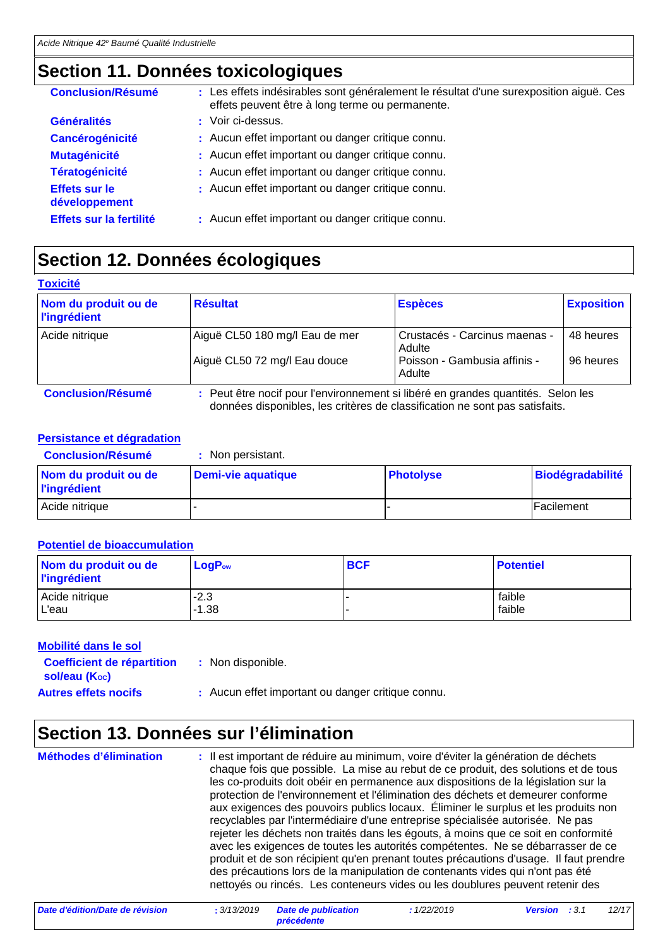### **Section 11. Données toxicologiques**

| <b>Conclusion/Résumé</b>              | : Les effets indésirables sont généralement le résultat d'une surexposition aiguë. Ces<br>effets peuvent être à long terme ou permanente. |
|---------------------------------------|-------------------------------------------------------------------------------------------------------------------------------------------|
| <b>Généralités</b>                    | : Voir ci-dessus.                                                                                                                         |
| <b>Cancérogénicité</b>                | : Aucun effet important ou danger critique connu.                                                                                         |
| <b>Mutagénicité</b>                   | : Aucun effet important ou danger critique connu.                                                                                         |
| <b>Tératogénicité</b>                 | : Aucun effet important ou danger critique connu.                                                                                         |
| <b>Effets sur le</b><br>développement | : Aucun effet important ou danger critique connu.                                                                                         |
| Effets sur la fertilité               | : Aucun effet important ou danger critique connu.                                                                                         |

### **Section 12. Données écologiques**

| <b>Toxicité</b>                             |                                                                                                                                                                 |                                         |                   |
|---------------------------------------------|-----------------------------------------------------------------------------------------------------------------------------------------------------------------|-----------------------------------------|-------------------|
| Nom du produit ou de<br><b>l'ingrédient</b> | <b>Résultat</b>                                                                                                                                                 | <b>Espèces</b>                          | <b>Exposition</b> |
| Acide nitrique                              | Aiguë CL50 180 mg/l Eau de mer                                                                                                                                  | Crustacés - Carcinus maenas -<br>Adulte | 48 heures         |
|                                             | Aiguë CL50 72 mg/l Eau douce                                                                                                                                    | Poisson - Gambusia affinis -<br>Adulte  | 96 heures         |
| <b>Conclusion/Résumé</b>                    | : Peut être nocif pour l'environnement si libéré en grandes quantités. Selon les<br>données disponibles, les critères de classification ne sont pas satisfaits. |                                         |                   |

#### **Persistance et dégradation**

| <b>Conclusion/Résumé</b>                    | : Non persistant.         |                  |                    |
|---------------------------------------------|---------------------------|------------------|--------------------|
| Nom du produit ou de<br><b>l'ingrédient</b> | <b>Demi-vie aquatique</b> | <b>Photolyse</b> | Biodégradabilité   |
| Acide nitrique                              |                           |                  | <b>IFacilement</b> |

#### **Potentiel de bioaccumulation**

| Nom du produit ou de<br><b>l'ingrédient</b> | <b>LogPow</b> | <b>BCF</b> | <b>Potentiel</b> |
|---------------------------------------------|---------------|------------|------------------|
| Acide nitrique                              | $-2.3$        |            | faible           |
| L'eau                                       | $-1.38$       |            | faible           |

#### **Mobilité dans le sol**

| <b>Coefficient de répartition</b> | Non disponible. |
|-----------------------------------|-----------------|
|                                   |                 |

**sol/eau (Koc)** 

Autres effets nocifs : Aucun effet important ou danger critique connu.

### **Section 13. Données sur l'élimination**

Il est important de réduire au minimum, voire d'éviter la génération de déchets chaque fois que possible. La mise au rebut de ce produit, des solutions et de tous les co-produits doit obéir en permanence aux dispositions de la législation sur la protection de l'environnement et l'élimination des déchets et demeurer conforme aux exigences des pouvoirs publics locaux. Éliminer le surplus et les produits non recyclables par l'intermédiaire d'une entreprise spécialisée autorisée. Ne pas rejeter les déchets non traités dans les égouts, à moins que ce soit en conformité avec les exigences de toutes les autorités compétentes. Ne se débarrasser de ce produit et de son récipient qu'en prenant toutes précautions d'usage. Il faut prendre des précautions lors de la manipulation de contenants vides qui n'ont pas été nettoyés ou rincés. Les conteneurs vides ou les doublures peuvent retenir des **Méthodes d'élimination :**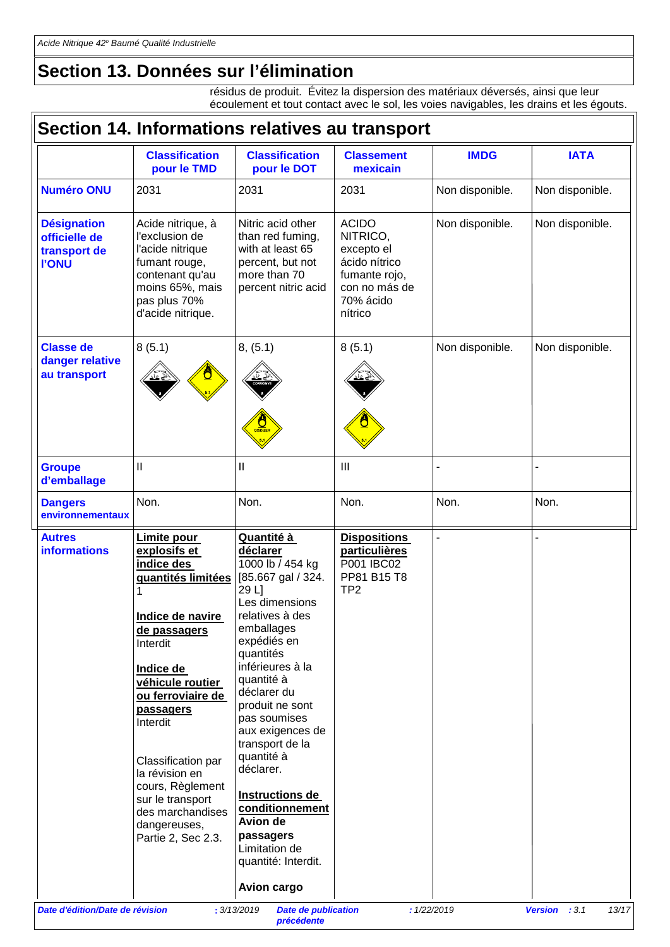### **Section 13. Données sur l'élimination**

résidus de produit. Évitez la dispersion des matériaux déversés, ainsi que leur écoulement et tout contact avec le sol, les voies navigables, les drains et les égouts.

|                                                                     | Section 14. Informations relatives au transport                                                                                                                                                                                                                                                                                                 |                                                                                                                                                                                                                                                                                                                                                                                                                                      |                                                                                                                   |                 |                        |
|---------------------------------------------------------------------|-------------------------------------------------------------------------------------------------------------------------------------------------------------------------------------------------------------------------------------------------------------------------------------------------------------------------------------------------|--------------------------------------------------------------------------------------------------------------------------------------------------------------------------------------------------------------------------------------------------------------------------------------------------------------------------------------------------------------------------------------------------------------------------------------|-------------------------------------------------------------------------------------------------------------------|-----------------|------------------------|
|                                                                     | <b>Classification</b><br>pour le TMD                                                                                                                                                                                                                                                                                                            | <b>Classification</b><br>pour le DOT                                                                                                                                                                                                                                                                                                                                                                                                 | <b>Classement</b><br>mexicain                                                                                     | <b>IMDG</b>     | <b>IATA</b>            |
| <b>Numéro ONU</b>                                                   | 2031                                                                                                                                                                                                                                                                                                                                            | 2031                                                                                                                                                                                                                                                                                                                                                                                                                                 | 2031                                                                                                              | Non disponible. | Non disponible.        |
| <b>Désignation</b><br>officielle de<br>transport de<br><b>I'ONU</b> | Acide nitrique, à<br>l'exclusion de<br>l'acide nitrique<br>fumant rouge,<br>contenant qu'au<br>moins 65%, mais<br>pas plus 70%<br>d'acide nitrique.                                                                                                                                                                                             | Nitric acid other<br>than red fuming,<br>with at least 65<br>percent, but not<br>more than 70<br>percent nitric acid                                                                                                                                                                                                                                                                                                                 | <b>ACIDO</b><br>NITRICO,<br>excepto el<br>ácido nítrico<br>fumante rojo,<br>con no más de<br>70% ácido<br>nítrico | Non disponible. | Non disponible.        |
| <b>Classe de</b><br>danger relative<br>au transport                 | 8(5.1)                                                                                                                                                                                                                                                                                                                                          | 8, (5.1)<br>$\frac{1}{\sqrt{2}}$                                                                                                                                                                                                                                                                                                                                                                                                     | 8(5.1)                                                                                                            | Non disponible. | Non disponible.        |
| <b>Groupe</b><br>d'emballage                                        | $\mathbf{I}$                                                                                                                                                                                                                                                                                                                                    | $\mathbf{I}$                                                                                                                                                                                                                                                                                                                                                                                                                         | III                                                                                                               |                 |                        |
| <b>Dangers</b><br>environnementaux                                  | Non.                                                                                                                                                                                                                                                                                                                                            | Non.                                                                                                                                                                                                                                                                                                                                                                                                                                 | Non.                                                                                                              | Non.            | Non.                   |
| <b>Autres</b><br><b>informations</b>                                | Limite pour<br>explosifs et<br>indice des<br>quantités limitées<br>Indice de navire<br>de passagers<br>Interdit<br><b>Indice de</b><br>véhicule routier<br>ou ferroviaire de<br>passagers<br>Interdit<br>Classification par<br>la révision en<br>cours, Règlement<br>sur le transport<br>des marchandises<br>dangereuses,<br>Partie 2, Sec 2.3. | Quantité à<br>déclarer<br>1000 lb / 454 kg<br>[85.667 gal / 324.<br>29 L]<br>Les dimensions<br>relatives à des<br>emballages<br>expédiés en<br>quantités<br>inférieures à la<br>quantité à<br>déclarer du<br>produit ne sont<br>pas soumises<br>aux exigences de<br>transport de la<br>quantité à<br>déclarer.<br>Instructions de<br>conditionnement<br>Avion de<br>passagers<br>Limitation de<br>quantité: Interdit.<br>Avion cargo | <b>Dispositions</b><br><b>particulières</b><br>P001 IBC02<br>PP81 B15 T8<br>TP <sub>2</sub>                       |                 |                        |
| Date d'édition/Date de révision                                     |                                                                                                                                                                                                                                                                                                                                                 | : 3/13/2019<br><b>Date de publication</b>                                                                                                                                                                                                                                                                                                                                                                                            |                                                                                                                   | : 1/22/2019     | Version : 3.1<br>13/17 |

*précédente*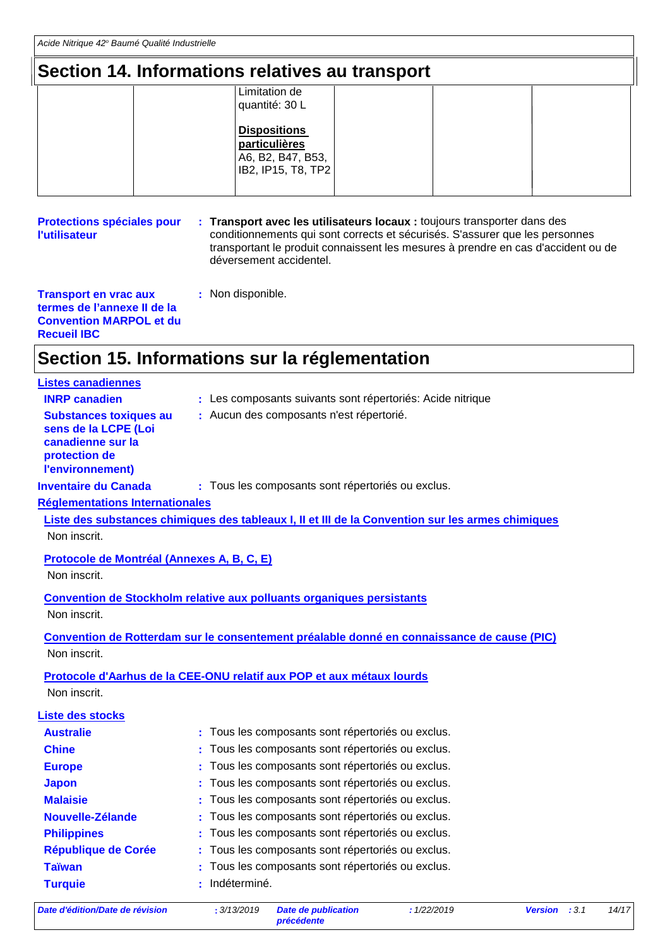### **Section 14. Informations relatives au transport**

| Limitation de<br>quantité: 30 L                                                 |
|---------------------------------------------------------------------------------|
| <b>Dispositions</b><br>particulières<br>A6, B2, B47, B53,<br>IB2, IP15, T8, TP2 |
|                                                                                 |

**Protections spéciales pour l'utilisateur Transport avec les utilisateurs locaux :** toujours transporter dans des **:** conditionnements qui sont corrects et sécurisés. S'assurer que les personnes transportant le produit connaissent les mesures à prendre en cas d'accident ou de déversement accidentel.

| <b>Transport en vrac aux</b>   |  |
|--------------------------------|--|
| termes de l'annexe II de la    |  |
| <b>Convention MARPOL et du</b> |  |
| <b>Recueil IBC</b>             |  |

### **Section 15. Informations sur la réglementation**

**:** Non disponible.

| <b>Listes canadiennes</b>                                                                                       |                                                                                                   |
|-----------------------------------------------------------------------------------------------------------------|---------------------------------------------------------------------------------------------------|
| <b>INRP canadien</b>                                                                                            | : Les composants suivants sont répertoriés: Acide nitrique                                        |
| <b>Substances toxiques au</b><br>sens de la LCPE (Loi<br>canadienne sur la<br>protection de<br>l'environnement) | : Aucun des composants n'est répertorié.                                                          |
| <b>Inventaire du Canada</b>                                                                                     | : Tous les composants sont répertoriés ou exclus.                                                 |
| <b>Réglementations Internationales</b>                                                                          |                                                                                                   |
|                                                                                                                 | Liste des substances chimiques des tableaux I, II et III de la Convention sur les armes chimiques |
| Non inscrit.                                                                                                    |                                                                                                   |
| Protocole de Montréal (Annexes A, B, C, E)                                                                      |                                                                                                   |
| Non inscrit.                                                                                                    |                                                                                                   |
|                                                                                                                 | <b>Convention de Stockholm relative aux polluants organiques persistants</b>                      |
| Non inscrit.                                                                                                    |                                                                                                   |
|                                                                                                                 |                                                                                                   |
|                                                                                                                 | Convention de Rotterdam sur le consentement préalable donné en connaissance de cause (PIC)        |
| Non inscrit.                                                                                                    |                                                                                                   |
|                                                                                                                 | Protocole d'Aarhus de la CEE-ONU relatif aux POP et aux métaux lourds                             |
| Non inscrit.                                                                                                    |                                                                                                   |
| <b>Liste des stocks</b>                                                                                         |                                                                                                   |
| <b>Australie</b>                                                                                                | : Tous les composants sont répertoriés ou exclus.                                                 |
| <b>Chine</b>                                                                                                    | : Tous les composants sont répertoriés ou exclus.                                                 |
| <b>Europe</b>                                                                                                   | Tous les composants sont répertoriés ou exclus.                                                   |
| <b>Japon</b>                                                                                                    | Tous les composants sont répertoriés ou exclus.                                                   |
| <b>Malaisie</b>                                                                                                 | : Tous les composants sont répertoriés ou exclus.                                                 |
| Nouvelle-Zélande                                                                                                | Tous les composants sont répertoriés ou exclus.                                                   |
| <b>Philippines</b>                                                                                              | Tous les composants sont répertoriés ou exclus.                                                   |
| <b>République de Corée</b>                                                                                      | Tous les composants sont répertoriés ou exclus.                                                   |
| <b>Taïwan</b>                                                                                                   | Tous les composants sont répertoriés ou exclus.                                                   |
| <b>Turquie</b>                                                                                                  | : Indéterminé.                                                                                    |
|                                                                                                                 |                                                                                                   |

*Date d'édition/Date de révision* **:** *3/13/2019 Date de publication*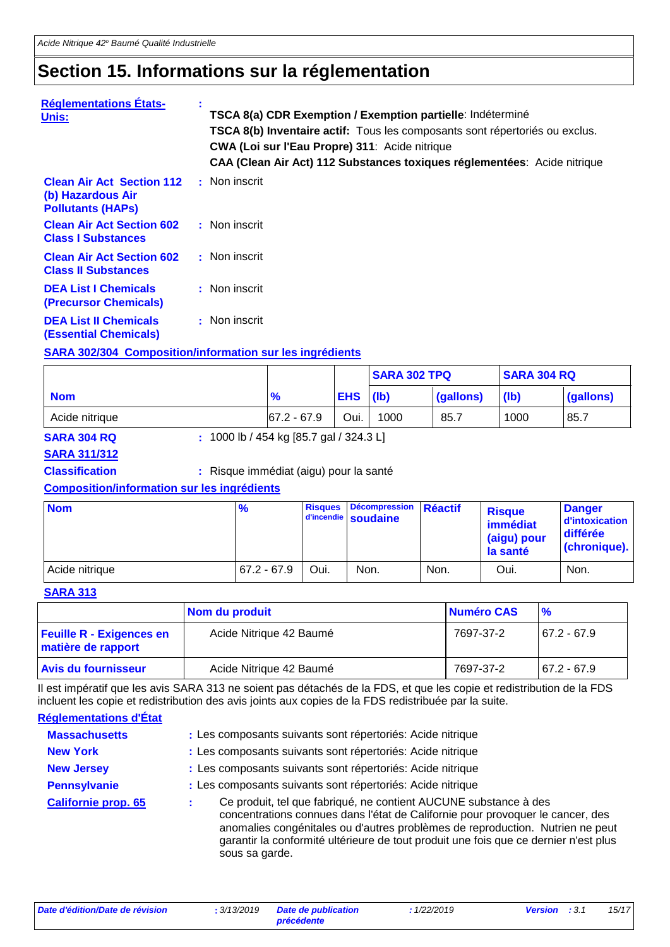### **Section 15. Informations sur la réglementation**

| <b>Réglementations États-</b><br>Unis:                                            |               | TSCA 8(a) CDR Exemption / Exemption partielle: Indéterminé<br>TSCA 8(b) Inventaire actif: Tous les composants sont répertoriés ou exclus.<br>CWA (Loi sur l'Eau Propre) 311: Acide nitrique<br>CAA (Clean Air Act) 112 Substances toxiques réglementées: Acide nitrique |
|-----------------------------------------------------------------------------------|---------------|-------------------------------------------------------------------------------------------------------------------------------------------------------------------------------------------------------------------------------------------------------------------------|
| <b>Clean Air Act Section 112</b><br>(b) Hazardous Air<br><b>Pollutants (HAPS)</b> | : Non inscrit |                                                                                                                                                                                                                                                                         |
| <b>Clean Air Act Section 602</b><br><b>Class I Substances</b>                     | : Non inscrit |                                                                                                                                                                                                                                                                         |
| <b>Clean Air Act Section 602</b><br><b>Class II Substances</b>                    | : Non inscrit |                                                                                                                                                                                                                                                                         |
| <b>DEA List I Chemicals</b><br>(Precursor Chemicals)                              | : Non inscrit |                                                                                                                                                                                                                                                                         |
| <b>DEA List II Chemicals</b><br><b>(Essential Chemicals)</b>                      | : Non inscrit |                                                                                                                                                                                                                                                                         |
| <b>SARA 302/304 Composition/information sur les ingrédients</b>                   |               |                                                                                                                                                                                                                                                                         |

|                |                 |            | <b>SARA 302 TPQ</b> |           | <b>SARA 304 RQ</b> |           |
|----------------|-----------------|------------|---------------------|-----------|--------------------|-----------|
| <b>Nom</b>     | %               | <b>EHS</b> | (lb)                | (gallons) | (lb)               | (gallons) |
| Acide nitrique | $ 67.2 - 67.9 $ | Oui.       | 1000                | 85.7      | 1000               | 85.7      |

**SARA 304 RQ :** 1000 lb / 454 kg [85.7 gal / 324.3 L]

#### **SARA 311/312**

**Classification :** Risque immédiat (aigu) pour la santé

#### **Composition/information sur les ingrédients**

| <b>Nom</b>     | $\%$          | <b>Risques</b> | Décompression Réactif<br>d'incendie soudaine |      | <b>Risque</b><br>immédiat<br>(aigu) pour<br>la santé | <b>Danger</b><br>d'intoxication<br>différée<br><b>(chronique).</b> |
|----------------|---------------|----------------|----------------------------------------------|------|------------------------------------------------------|--------------------------------------------------------------------|
| Acide nitrique | $67.2 - 67.9$ | Oui.           | Non.                                         | Non. | Oui.                                                 | Non.                                                               |

#### **SARA 313**

|                                                       | Nom du produit          | Numéro CAS | $\frac{9}{6}$ |
|-------------------------------------------------------|-------------------------|------------|---------------|
| <b>Feuille R - Exigences en</b><br>matière de rapport | Acide Nitrique 42 Baumé | 7697-37-2  | $67.2 - 67.9$ |
| Avis du fournisseur                                   | Acide Nitrique 42 Baumé | 7697-37-2  | $67.2 - 67.9$ |

Il est impératif que les avis SARA 313 ne soient pas détachés de la FDS, et que les copie et redistribution de la FDS incluent les copie et redistribution des avis joints aux copies de la FDS redistribuée par la suite.

#### **Réglementations d'État**

| <b>Massachusetts</b>       | : Les composants suivants sont répertoriés: Acide nitrique                                                                                                                                                                                                                                                                                    |
|----------------------------|-----------------------------------------------------------------------------------------------------------------------------------------------------------------------------------------------------------------------------------------------------------------------------------------------------------------------------------------------|
| <b>New York</b>            | : Les composants suivants sont répertoriés: Acide nitrique                                                                                                                                                                                                                                                                                    |
| <b>New Jersey</b>          | : Les composants suivants sont répertoriés: Acide nitrique                                                                                                                                                                                                                                                                                    |
| <b>Pennsylvanie</b>        | : Les composants suivants sont répertoriés: Acide nitrique                                                                                                                                                                                                                                                                                    |
| <b>Californie prop. 65</b> | Ce produit, tel que fabriqué, ne contient AUCUNE substance à des<br>concentrations connues dans l'état de Californie pour provoquer le cancer, des<br>anomalies congénitales ou d'autres problèmes de reproduction. Nutrien ne peut<br>garantir la conformité ultérieure de tout produit une fois que ce dernier n'est plus<br>sous sa garde. |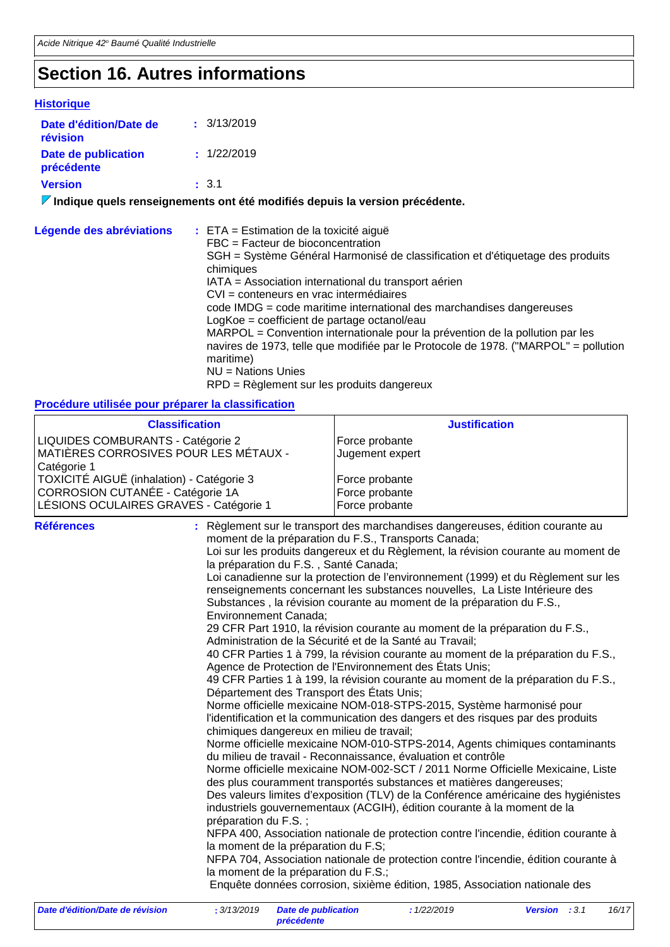### **Section 16. Autres informations**

#### **Historique Date d'édition/Date de révision Version Date de publication précédente :** 3.1 **:** 3/13/2019 **:** 1/22/2019

**Indique quels renseignements ont été modifiés depuis la version précédente.**

| Légende des abréviations | $\div$ ETA = Estimation de la toxicité aiguë<br>FBC = Facteur de bioconcentration<br>SGH = Système Général Harmonisé de classification et d'étiquetage des produits<br>chimiques<br>IATA = Association international du transport aérien<br>CVI = conteneurs en vrac intermédiaires<br>code IMDG = code maritime international des marchandises dangereuses<br>LogKoe = coefficient de partage octanol/eau<br>MARPOL = Convention internationale pour la prévention de la pollution par les<br>navires de 1973, telle que modifiée par le Protocole de 1978. ("MARPOL" = pollution<br>maritime) |
|--------------------------|-------------------------------------------------------------------------------------------------------------------------------------------------------------------------------------------------------------------------------------------------------------------------------------------------------------------------------------------------------------------------------------------------------------------------------------------------------------------------------------------------------------------------------------------------------------------------------------------------|
|                          | $NU = Nations$ Unies<br>RPD = Règlement sur les produits dangereux                                                                                                                                                                                                                                                                                                                                                                                                                                                                                                                              |

#### **Procédure utilisée pour préparer la classification**

| <b>Classification</b>                                                                                                   |                                                                                                                                                                                                                                                                 | <b>Justification</b>                                                                                                                                                                                                                                                                                                                                                                                                                                                                                                                                                                                                                                                                                                                                                                                                                                                                                                                                                                                                                                                                                                                                                                                                                                                                                                                                                                                                                                                                                                                                                                                                                                                                                                                                          |                               |
|-------------------------------------------------------------------------------------------------------------------------|-----------------------------------------------------------------------------------------------------------------------------------------------------------------------------------------------------------------------------------------------------------------|---------------------------------------------------------------------------------------------------------------------------------------------------------------------------------------------------------------------------------------------------------------------------------------------------------------------------------------------------------------------------------------------------------------------------------------------------------------------------------------------------------------------------------------------------------------------------------------------------------------------------------------------------------------------------------------------------------------------------------------------------------------------------------------------------------------------------------------------------------------------------------------------------------------------------------------------------------------------------------------------------------------------------------------------------------------------------------------------------------------------------------------------------------------------------------------------------------------------------------------------------------------------------------------------------------------------------------------------------------------------------------------------------------------------------------------------------------------------------------------------------------------------------------------------------------------------------------------------------------------------------------------------------------------------------------------------------------------------------------------------------------------|-------------------------------|
| LIQUIDES COMBURANTS - Catégorie 2<br>MATIÈRES CORROSIVES POUR LES MÉTAUX -<br>Catégorie 1                               |                                                                                                                                                                                                                                                                 | Force probante<br>Jugement expert                                                                                                                                                                                                                                                                                                                                                                                                                                                                                                                                                                                                                                                                                                                                                                                                                                                                                                                                                                                                                                                                                                                                                                                                                                                                                                                                                                                                                                                                                                                                                                                                                                                                                                                             |                               |
| TOXICITÉ AIGUË (inhalation) - Catégorie 3<br>CORROSION CUTANÉE - Catégorie 1A<br>LÉSIONS OCULAIRES GRAVES - Catégorie 1 |                                                                                                                                                                                                                                                                 | Force probante<br>Force probante<br>Force probante                                                                                                                                                                                                                                                                                                                                                                                                                                                                                                                                                                                                                                                                                                                                                                                                                                                                                                                                                                                                                                                                                                                                                                                                                                                                                                                                                                                                                                                                                                                                                                                                                                                                                                            |                               |
| <b>Références</b>                                                                                                       | la préparation du F.S., Santé Canada;<br>Environnement Canada;<br>Département des Transport des États Unis;<br>chimiques dangereux en milieu de travail;<br>préparation du F.S.;<br>la moment de la préparation du F.S;<br>la moment de la préparation du F.S.; | : Règlement sur le transport des marchandises dangereuses, édition courante au<br>moment de la préparation du F.S., Transports Canada;<br>Loi sur les produits dangereux et du Règlement, la révision courante au moment de<br>Loi canadienne sur la protection de l'environnement (1999) et du Règlement sur les<br>renseignements concernant les substances nouvelles, La Liste Intérieure des<br>Substances, la révision courante au moment de la préparation du F.S.,<br>29 CFR Part 1910, la révision courante au moment de la préparation du F.S.,<br>Administration de la Sécurité et de la Santé au Travail;<br>40 CFR Parties 1 à 799, la révision courante au moment de la préparation du F.S.,<br>Agence de Protection de l'Environnement des États Unis;<br>49 CFR Parties 1 à 199, la révision courante au moment de la préparation du F.S.,<br>Norme officielle mexicaine NOM-018-STPS-2015, Système harmonisé pour<br>l'identification et la communication des dangers et des risques par des produits<br>Norme officielle mexicaine NOM-010-STPS-2014, Agents chimiques contaminants<br>du milieu de travail - Reconnaissance, évaluation et contrôle<br>Norme officielle mexicaine NOM-002-SCT / 2011 Norme Officielle Mexicaine, Liste<br>des plus couramment transportés substances et matières dangereuses;<br>Des valeurs limites d'exposition (TLV) de la Conférence américaine des hygiénistes<br>industriels gouvernementaux (ACGIH), édition courante à la moment de la<br>NFPA 400, Association nationale de protection contre l'incendie, édition courante à<br>NFPA 704, Association nationale de protection contre l'incendie, édition courante à<br>Enquête données corrosion, sixième édition, 1985, Association nationale des |                               |
| Date d'édition/Date de révision                                                                                         | :3/13/2019<br><b>Date de publication</b>                                                                                                                                                                                                                        | : 1/22/2019                                                                                                                                                                                                                                                                                                                                                                                                                                                                                                                                                                                                                                                                                                                                                                                                                                                                                                                                                                                                                                                                                                                                                                                                                                                                                                                                                                                                                                                                                                                                                                                                                                                                                                                                                   | 16/17<br><b>Version</b> : 3.1 |

*précédente*